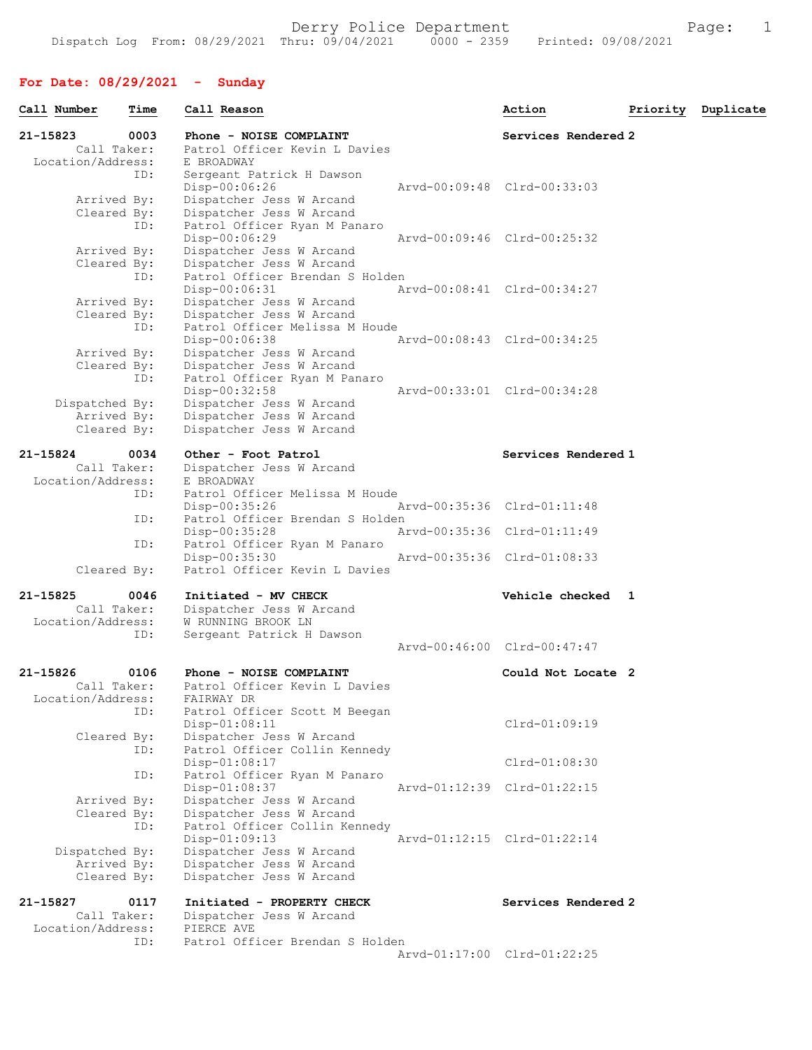| Call Number       | Time                       | Call Reason                                  | Action                      | Priority | Duplicate |
|-------------------|----------------------------|----------------------------------------------|-----------------------------|----------|-----------|
| $21 - 15823$      | 0003                       | Phone - NOISE COMPLAINT                      | Services Rendered 2         |          |           |
|                   | Call Taker:                | Patrol Officer Kevin L Davies                |                             |          |           |
| Location/Address: |                            | E BROADWAY                                   |                             |          |           |
|                   | ID:                        | Sergeant Patrick H Dawson<br>Disp-00:06:26   | Arvd-00:09:48 Clrd-00:33:03 |          |           |
|                   | Arrived By:                | Dispatcher Jess W Arcand                     |                             |          |           |
|                   | Cleared By:                | Dispatcher Jess W Arcand                     |                             |          |           |
|                   | ID:                        | Patrol Officer Ryan M Panaro                 |                             |          |           |
|                   |                            | Disp-00:06:29                                | Aryd-00:09:46 Clrd-00:25:32 |          |           |
|                   | Arrived By:                | Dispatcher Jess W Arcand                     |                             |          |           |
|                   | Cleared By:                | Dispatcher Jess W Arcand                     |                             |          |           |
|                   | ID:                        | Patrol Officer Brendan S Holden              |                             |          |           |
|                   |                            | Disp-00:06:31                                | Arvd-00:08:41 Clrd-00:34:27 |          |           |
|                   | Arrived By:                | Dispatcher Jess W Arcand                     |                             |          |           |
|                   | Cleared By:                | Dispatcher Jess W Arcand                     |                             |          |           |
|                   | ID:                        | Patrol Officer Melissa M Houde               | Arvd-00:08:43 Clrd-00:34:25 |          |           |
|                   |                            | Disp-00:06:38<br>Dispatcher Jess W Arcand    |                             |          |           |
|                   | Arrived By:<br>Cleared By: | Dispatcher Jess W Arcand                     |                             |          |           |
|                   | ID:                        | Patrol Officer Ryan M Panaro                 |                             |          |           |
|                   |                            | Disp-00:32:58                                | Aryd-00:33:01 Clrd-00:34:28 |          |           |
| Dispatched By:    |                            | Dispatcher Jess W Arcand                     |                             |          |           |
|                   | Arrived By:                | Dispatcher Jess W Arcand                     |                             |          |           |
|                   | Cleared By:                | Dispatcher Jess W Arcand                     |                             |          |           |
|                   |                            |                                              |                             |          |           |
| 21-15824          | 0034                       | Other - Foot Patrol                          | Services Rendered 1         |          |           |
|                   | Call Taker:                | Dispatcher Jess W Arcand                     |                             |          |           |
| Location/Address: | ID:                        | E BROADWAY<br>Patrol Officer Melissa M Houde |                             |          |           |
|                   |                            | $Disp-00:35:26$                              | Arvd-00:35:36 Clrd-01:11:48 |          |           |
|                   | ID:                        | Patrol Officer Brendan S Holden              |                             |          |           |
|                   |                            | Disp-00:35:28                                | Arvd-00:35:36 Clrd-01:11:49 |          |           |
|                   | ID:                        | Patrol Officer Ryan M Panaro                 |                             |          |           |
|                   |                            | Disp-00:35:30                                | Arvd-00:35:36 Clrd-01:08:33 |          |           |
|                   | Cleared By:                | Patrol Officer Kevin L Davies                |                             |          |           |
| 21-15825          | 0046                       | Initiated - MV CHECK                         | Vehicle checked 1           |          |           |
|                   | Call Taker:                | Dispatcher Jess W Arcand                     |                             |          |           |
| Location/Address: |                            | W RUNNING BROOK LN                           |                             |          |           |
|                   | ID:                        | Sergeant Patrick H Dawson                    |                             |          |           |
|                   |                            |                                              | Arvd-00:46:00 Clrd-00:47:47 |          |           |
|                   |                            |                                              |                             |          |           |
| 21-15826          | 0106                       | Phone - NOISE COMPLAINT                      | Could Not Locate 2          |          |           |
|                   | Call Taker:                | Patrol Officer Kevin L Davies                |                             |          |           |
| Location/Address: | ID:                        | FAIRWAY DR<br>Patrol Officer Scott M Beegan  |                             |          |           |
|                   |                            | Disp-01:08:11                                | $Clrd-01:09:19$             |          |           |
|                   | Cleared By:                | Dispatcher Jess W Arcand                     |                             |          |           |
|                   | ID:                        | Patrol Officer Collin Kennedy                |                             |          |           |
|                   |                            | Disp-01:08:17                                | $Clrd-01:08:30$             |          |           |
|                   | ID:                        | Patrol Officer Ryan M Panaro                 |                             |          |           |
|                   |                            | Disp-01:08:37                                | Arvd-01:12:39 Clrd-01:22:15 |          |           |
|                   | Arrived By:                | Dispatcher Jess W Arcand                     |                             |          |           |
|                   | Cleared By:                | Dispatcher Jess W Arcand                     |                             |          |           |
|                   | ID:                        | Patrol Officer Collin Kennedy                |                             |          |           |
|                   |                            | $Disp-01:09:13$                              | Arvd-01:12:15 Clrd-01:22:14 |          |           |
| Dispatched By:    |                            | Dispatcher Jess W Arcand                     |                             |          |           |
|                   | Arrived By:                | Dispatcher Jess W Arcand                     |                             |          |           |
|                   | Cleared By:                | Dispatcher Jess W Arcand                     |                             |          |           |
| 21-15827          | 0117                       | Initiated - PROPERTY CHECK                   | Services Rendered 2         |          |           |
|                   | Call Taker:                | Dispatcher Jess W Arcand                     |                             |          |           |
| Location/Address: |                            | PIERCE AVE                                   |                             |          |           |
|                   | ID:                        | Patrol Officer Brendan S Holden              |                             |          |           |
|                   |                            |                                              | Arvd-01:17:00 Clrd-01:22:25 |          |           |
|                   |                            |                                              |                             |          |           |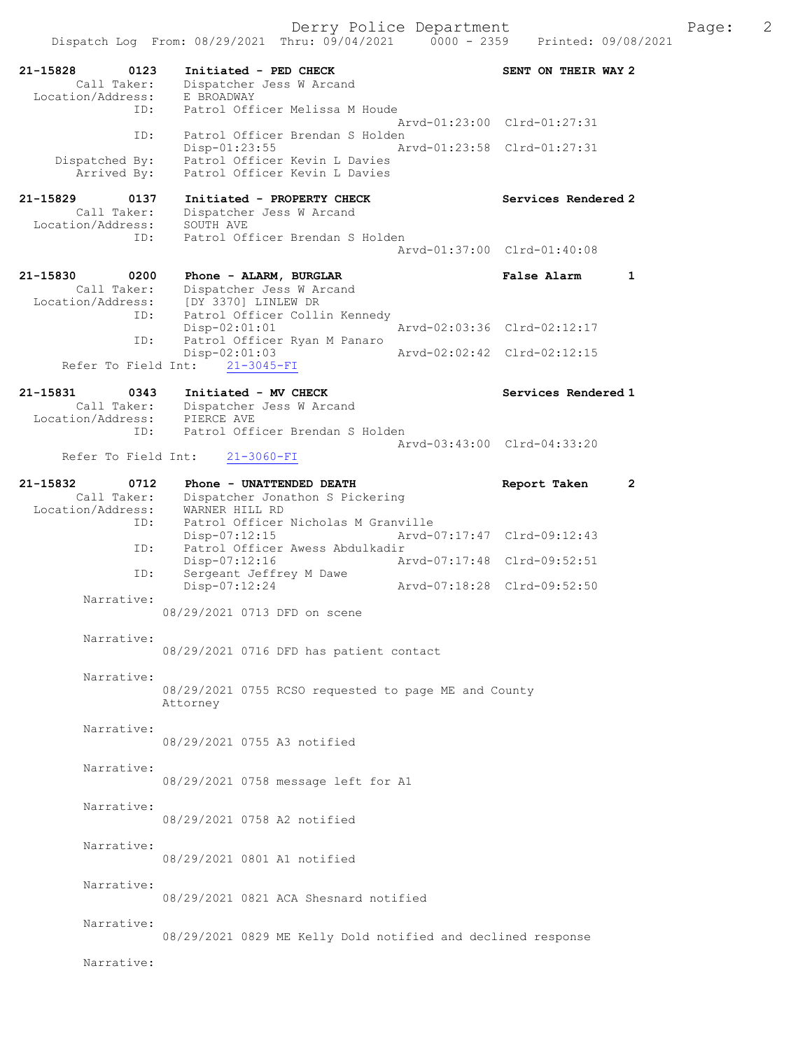21-15828 0123 Initiated - PED CHECK SENT ON THEIR WAY 2 Call Taker: Dispatcher Jess W Arcand -15828<br>Call Taker: Dispatence<br>Location/Address: E BROADWAY ID: Patrol Officer Melissa M Houde Arvd-01:23:00 Clrd-01:27:31 ID: Patrol Officer Brendan S Holden<br>Disp-01:23:55 Ar Disp-01:23:55 Arvd-01:23:58 Clrd-01:27:31 Dispatched By: Patrol Officer Kevin L Davies Arrived By: Patrol Officer Kevin L Davies 21-15829 0137 Initiated - PROPERTY CHECK Services Rendered 2 Call Taker: Dispatcher Jess W Arcand<br>cion/Address: SOUTH AVE Location/Address:<br>ID: Patrol Officer Brendan S Holden Arvd-01:37:00 Clrd-01:40:08 21-15830 0200 Phone - ALARM, BURGLAR False Alarm 1 Call Taker: Dispatcher Jess W Arcand Location/Address: [DY 3370] LINLEW DR ID: Patrol Officer Collin Kennedy Disp-02:01:01 <br>ID: Patrol Officer Rvan M Panaro<br>Displacement Panaro Patrol Officer Ryan M Panaro<br>Disp-02:01:03 Disp-02:01:03 Arvd-02:02:42 Clrd-02:12:15 Refer To Field Int: 21-3045-FI 21-15831 0343 Initiated - MV CHECK North Services Rendered 1 Call Taker: Dispatcher Jess W Arcand Location/Address: PIERCE AVE ID: Patrol Officer Brendan S Holden Arvd-03:43:00 Clrd-04:33:20<br>21-3060-FI Refer To Field Int: 21-15832 0712 Phone - UNATTENDED DEATH Report Taken 2 Call Taker: Dispatcher Jonathon S Pickering Location/Address: WARNER HILL RD ID: Patrol Officer Nicholas M Granville<br>Disp-07:12:15 Arvd-0 Disp-07:12:15 Arvd-07:17:47 Clrd-09:12:43 ID: Patrol Officer Awess Abdulkadir Disp-07:12:16 <br>Disp-07:12:16 Arvd-07:17:48 Clrd-09:52:51<br>ID: Sergeant Jeffrey M Dawe Sergeant Jeffrey M Dawe<br>Disp-07:12:24 Disp-07:12:24 Arvd-07:18:28 Clrd-09:52:50 Narrative: 08/29/2021 0713 DFD on scene Narrative: 08/29/2021 0716 DFD has patient contact Narrative: 08/29/2021 0755 RCSO requested to page ME and County Attorney Narrative: 08/29/2021 0755 A3 notified Narrative: 08/29/2021 0758 message left for A1 Narrative: 08/29/2021 0758 A2 notified Narrative: 08/29/2021 0801 A1 notified Narrative: 08/29/2021 0821 ACA Shesnard notified Narrative: 08/29/2021 0829 ME Kelly Dold notified and declined response Narrative: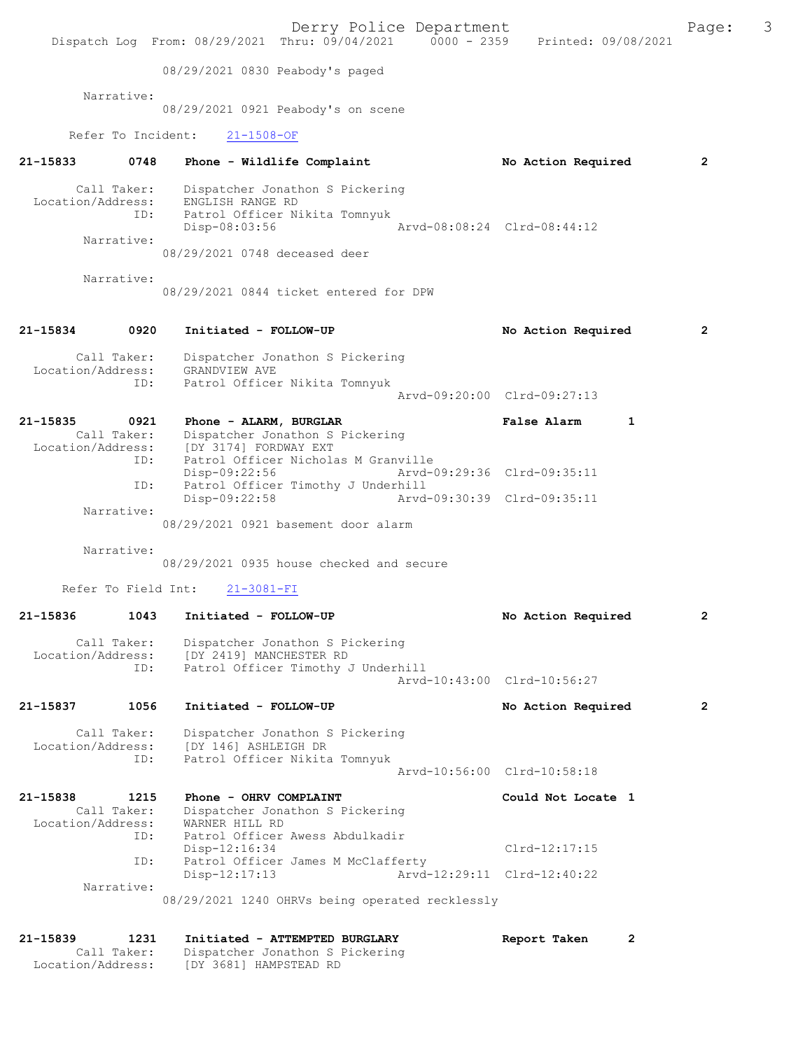|                                  |                   | Derry Police Department<br>Dispatch Log From: 08/29/2021 Thru: 09/04/2021 0000 - 2359 Printed: 09/08/2021 |                             | Page:          | 3 |
|----------------------------------|-------------------|-----------------------------------------------------------------------------------------------------------|-----------------------------|----------------|---|
|                                  |                   | 08/29/2021 0830 Peabody's paged                                                                           |                             |                |   |
|                                  | Narrative:        |                                                                                                           |                             |                |   |
|                                  |                   | 08/29/2021 0921 Peabody's on scene                                                                        |                             |                |   |
|                                  |                   | Refer To Incident:<br>$21 - 1508 - OF$                                                                    |                             |                |   |
| $21 - 15833$                     | 0748              | Phone - Wildlife Complaint                                                                                | No Action Required          | $\overline{2}$ |   |
| Call Taker:<br>Location/Address: | ID:<br>Narrative: | Dispatcher Jonathon S Pickering<br>ENGLISH RANGE RD<br>Patrol Officer Nikita Tomnyuk<br>Disp-08:03:56     | Arvd-08:08:24 Clrd-08:44:12 |                |   |
|                                  |                   | 08/29/2021 0748 deceased deer                                                                             |                             |                |   |
|                                  | Narrative:        | 08/29/2021 0844 ticket entered for DPW                                                                    |                             |                |   |
| 21-15834                         | 0920              | Initiated - FOLLOW-UP                                                                                     | No Action Required          | $\mathbf{2}$   |   |
| Call Taker:                      |                   | Dispatcher Jonathon S Pickering                                                                           |                             |                |   |
|                                  | ID:               | Location/Address: GRANDVIEW AVE<br>Patrol Officer Nikita Tomnyuk                                          | Arvd-09:20:00 Clrd-09:27:13 |                |   |
| 21-15835                         | 0921              | Phone - ALARM, BURGLAR                                                                                    | <b>False Alarm</b><br>1     |                |   |
| Call Taker:<br>Location/Address: | ID:               | Dispatcher Jonathon S Pickering<br>[DY 3174] FORDWAY EXT<br>Patrol Officer Nicholas M Granville           |                             |                |   |
|                                  | ID:               | Disp-09:22:56<br>Patrol Officer Timothy J Underhill                                                       | Arvd-09:29:36 Clrd-09:35:11 |                |   |
|                                  | Narrative:        | Disp-09:22:58                                                                                             | Arvd-09:30:39 Clrd-09:35:11 |                |   |
|                                  |                   | 08/29/2021 0921 basement door alarm                                                                       |                             |                |   |
|                                  | Narrative:        | 08/29/2021 0935 house checked and secure                                                                  |                             |                |   |
|                                  |                   | Refer To Field Int: 21-3081-FI                                                                            |                             |                |   |
| 21-15836                         | 1043              | Initiated - FOLLOW-UP                                                                                     | No Action Required          | 2              |   |
| Call Taker:<br>Location/Address: | ID:               | Dispatcher Jonathon S Pickering<br>[DY 2419] MANCHESTER RD<br>Patrol Officer Timothy J Underhill          |                             |                |   |
|                                  |                   |                                                                                                           | Aryd-10:43:00 Clrd-10:56:27 |                |   |
| 21-15837                         | 1056              | Initiated - FOLLOW-UP                                                                                     | No Action Required          | $\mathbf{2}$   |   |
| Call Taker:<br>Location/Address: | ID:               | Dispatcher Jonathon S Pickering<br>[DY 146] ASHLEIGH DR<br>Patrol Officer Nikita Tomnyuk                  |                             |                |   |
|                                  |                   |                                                                                                           | Arvd-10:56:00 Clrd-10:58:18 |                |   |
| 21-15838                         | 1215              | Phone - OHRV COMPLAINT                                                                                    | Could Not Locate 1          |                |   |
| Call Taker:<br>Location/Address: | ID:               | Dispatcher Jonathon S Pickering<br>WARNER HILL RD<br>Patrol Officer Awess Abdulkadir                      |                             |                |   |
|                                  |                   | $Disp-12:16:34$                                                                                           | $Clrd-12:17:15$             |                |   |
|                                  | ID:               | Patrol Officer James M McClafferty<br>Disp-12:17:13                                                       | Arvd-12:29:11 Clrd-12:40:22 |                |   |
|                                  | Narrative:        | 08/29/2021 1240 OHRVs being operated recklessly                                                           |                             |                |   |
| 21-15839                         | 1231              | Initiated - ATTEMPTED BURGLARY                                                                            | Report Taken<br>2           |                |   |
| Call Taker:<br>Location/Address: |                   | Dispatcher Jonathon S Pickering<br>[DY 3681] HAMPSTEAD RD                                                 |                             |                |   |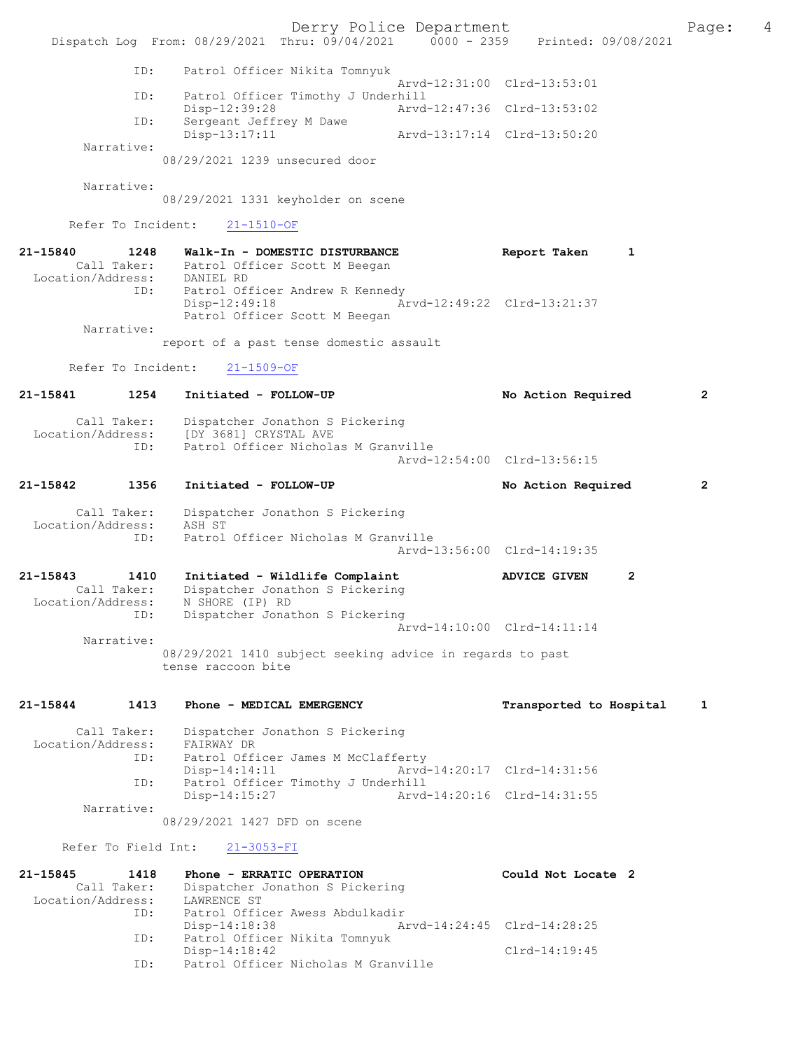Derry Police Department The Page: 4 Dispatch Log From: 08/29/2021 Thru: 09/04/2021 0000 - 2359 Printed: 09/08/2021 ID: Patrol Officer Nikita Tomnyuk Arvd-12:31:00 Clrd-13:53:01<br>TD: Patrol Officer Timothy J Underbill Patrol Officer Timothy J Underhill<br>Disp-12:39:28 Arvd Disp-12:39:28 Arvd-12:47:36 Clrd-13:53:02<br>TD: Sergeant Jeffrey M Dawe Sergeant Jeffrey M Dawe<br>Disp-13:17:11 Disp-13:17:11 Arvd-13:17:14 Clrd-13:50:20 Narrative: 08/29/2021 1239 unsecured door Narrative: 08/29/2021 1331 keyholder on scene Refer To Incident: 21-1510-OF 21-15840 1248 Walk-In - DOMESTIC DISTURBANCE Report Taken 1 Call Taker: Patrol Officer Scott M Beegan Call Taker: Patrol Of:<br>Location/Address: DANIEL RD ID: Patrol Officer Andrew R Kennedy<br>Disp-12:49:18 Am Disp-12:49:18 Arvd-12:49:22 Clrd-13:21:37 Patrol Officer Scott M Beegan Narrative: report of a past tense domestic assault Refer To Incident: 21-1509-OF 21-15841 1254 Initiated - FOLLOW-UP No Action Required 2 Call Taker: Dispatcher Jonathon S Pickering<br>Location/Address: [DY 3681] CRYSTAL AVE [DY 3681] CRYSTAL AVE ESS: [21 SSS] IF FORD RESS: [21 SSS] IF FORD RESS: [21 SSS] IF FORD RESSION RESSIONS Arvd-12:54:00 Clrd-13:56:15 21-15842 1356 Initiated - FOLLOW-UP No Action Required 2 Call Taker: Dispatcher Jonathon S Pickering Location/Address:<br>Fr. ess: ASH<sup>-</sup>ST<br>ID: Patrol Officer Nicholas M Granville Arvd-13:56:00 Clrd-14:19:35 21-15843 1410 Initiated - Wildlife Complaint ADVICE GIVEN 2 Call Taker: Dispatcher Jonathon S Pickering<br>ion/Address: N SHORE (IP) RD Location/Address: ID: Dispatcher Jonathon S Pickering Arvd-14:10:00 Clrd-14:11:14 Narrative: 08/29/2021 1410 subject seeking advice in regards to past tense raccoon bite 21-15844 1413 Phone - MEDICAL EMERGENCY Transported to Hospital 1 Call Taker: Dispatcher Jonathon S Pickering<br>ion/Address: FAIRWAY DR Location/Address:<br>ID: Patrol Officer James M McClafferty<br>Disp-14:14:11 Arvd Arvd-14:20:17 Clrd-14:31:56 ID: Patrol Officer Timothy J Underhill Arvd-14:20:16 Clrd-14:31:55 Narrative: 08/29/2021 1427 DFD on scene Refer To Field Int: 21-3053-FI 21-15845 1418 Phone - ERRATIC OPERATION Could Not Locate 2 Call Taker: Dispatcher Jonathon S Pickering Location/Address: LAWRENCE ST ID: Patrol Officer Awess Abdulkadir Disp-14:18:38 Arvd-14:24:45 Clrd-14:28:25<br>TD: Patrol Officer Nikita Tompyuk Patrol Officer Nikita Tomnyuk Disp-14:18:42 Clrd-14:19:45 ID: Patrol Officer Nicholas M Granville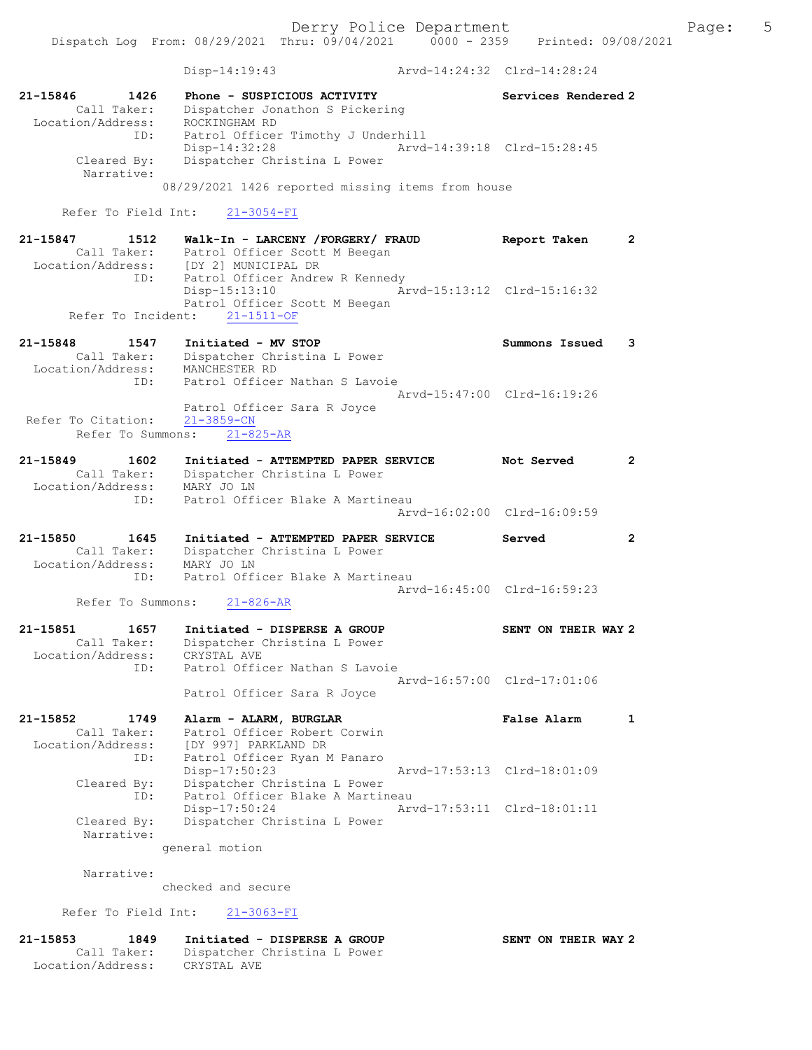Dispatch Log From: 08/29/2021 Thru: 09/04/2021 0000 - 2359 Printed: 09/08/2021

 Disp-14:19:43 Arvd-14:24:32 Clrd-14:28:24 21-15846 1426 Phone - SUSPICIOUS ACTIVITY Services Rendered 2 Call Taker: Dispatcher Jonathon S Pickering Location/Address: ROCKINGHAM RD ID: Patrol Officer Timothy J Underhill Disp-14:32:28 Arvd-14:39:18 Clrd-15:28:45 Cleared By: Dispatcher Christina L Power Narrative: 08/29/2021 1426 reported missing items from house Refer To Field Int: 21-3054-FI 21-15847 1512 Walk-In - LARCENY /FORGERY/ FRAUD Report Taken 2 Call Taker: Patrol Officer Scott M Beegan Location/Address: [DY 2] MUNICIPAL DR<br>ID: Patrol Officer Andre Patrol Officer Andrew R Kennedy Disp-15:13:10 Arvd-15:13:12 Clrd-15:16:32 Patrol Officer Scott M Beegan Refer To Incident: 21-1511-OF 21-15848 1547 Initiated - MV STOP Summons Issued 3 Call Taker: Dispatcher Christina L Power Location/Address: MANCHESTER RD ID: Patrol Officer Nathan S Lavoie Arvd-15:47:00 Clrd-16:19:26 Patrol Officer Sara R Joyce Refer To Citation: 21-3859-CN Refer To Summons: 21-825-AR 21-15849 1602 Initiated - ATTEMPTED PAPER SERVICE Not Served 2 Call Taker: Dispatcher Christina L Power Location/Address: MARY JO LN ID: Patrol Officer Blake A Martineau Arvd-16:02:00 Clrd-16:09:59 21-15850 1645 Initiated - ATTEMPTED PAPER SERVICE Served 2 Call Taker: Dispatcher Christina L Power Location/Address: MARY JO LN ID: Patrol Officer Blake A Martineau Arvd-16:45:00 Clrd-16:59:23<br>21-826-AR Refer To Summons: 21-15851 1657 Initiated - DISPERSE A GROUP SENT ON THEIR WAY 2 Call Taker: Dispatcher Christina L Power Location/Address: CRYSTAL AVE ID: Patrol Officer Nathan S Lavoie Arvd-16:57:00 Clrd-17:01:06 Patrol Officer Sara R Joyce 21-15852 1749 Alarm - ALARM, BURGLAR False Alarm 1 Call Taker: Patrol Officer Robert Corwin Location/Address: [DY 997] PARKLAND DR ID: Patrol Officer Ryan M Panaro Disp-17:50:23 Arvd-17:53:13 Clrd-18:01:09 Cleared By: Dispatcher Christina L Power ID: Patrol Officer Blake A Martineau Disp-17:50:24 Arvd-17:53:11 Clrd-18:01:11 Cleared By: Dispatcher Christina L Power Narrative: general motion Narrative: checked and secure Refer To Field Int: 21-3063-FI 21-15853 1849 Initiated - DISPERSE A GROUP SENT ON THEIR WAY 2 Call Taker: Dispatcher Christina L Power Location/Address: CRYSTAL AVE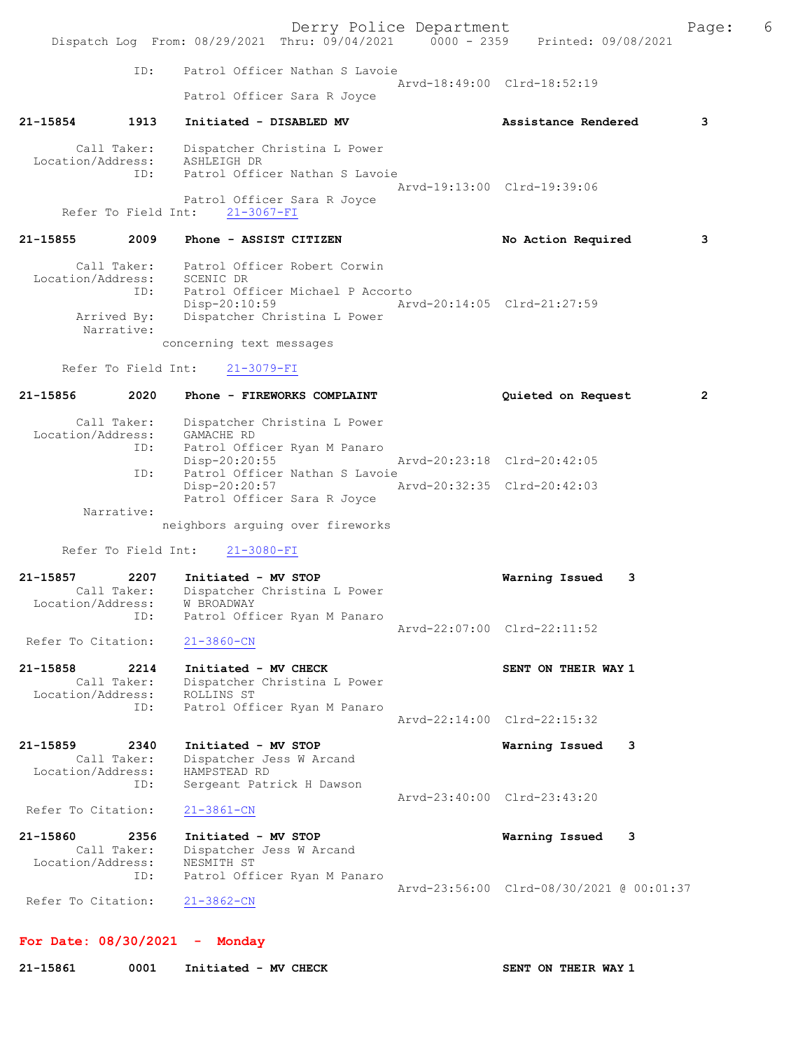ID: Patrol Officer Nathan S Lavoie Arvd-18:49:00 Clrd-18:52:19 Patrol Officer Sara R Joyce

## 21-15854 1913 Initiated - DISABLED MV Assistance Rendered 3

 Call Taker: Dispatcher Christina L Power Location/Address: ASHLEIGH DR ID: Patrol Officer Nathan S Lavoie

 Arvd-19:13:00 Clrd-19:39:06 Patrol Officer Sara R Joyce Refer To Field Int: 21-3067-FI

#### 21-15855 2009 Phone - ASSIST CITIZEN No Action Required 3

 Call Taker: Patrol Officer Robert Corwin Location/Address: SCENIC DR ID: Patrol Officer Michael P Accorto Disp-20:10:59 Arvd-20:14:05 Clrd-21:27:59 Arrived By: Dispatcher Christina L Power Narrative:

concerning text messages

Refer To Field Int: 21-3079-FI

# 21-15856 2020 Phone - FIREWORKS COMPLAINT Quieted on Request 2 Call Taker: Dispatcher Christina L Power Location/Address:<br>ID: CAMACHE RD<br>Patrol Officer Ryan M Panaro<br>Disp-20:20:55 Arvd-20:23:18 Clrd-20:42:05 ID: Patrol Officer Nathan S Lavoie Disp-20:20:57 Arvd-20:32:35 Clrd-20:42:03 Patrol Officer Sara R Joyce Narrative: neighbors arguing over fireworks

Refer To Field Int: 21-3080-FI

| 21-15857           | 2207        | Initiated - MV STOP          | Warning Issued 3            |  |
|--------------------|-------------|------------------------------|-----------------------------|--|
|                    | Call Taker: | Dispatcher Christina L Power |                             |  |
| Location/Address:  |             | W BROADWAY                   |                             |  |
|                    | ID:         | Patrol Officer Ryan M Panaro |                             |  |
|                    |             |                              | Arvd-22:07:00 Clrd-22:11:52 |  |
| Refer To Citation: |             | 21-3860-CN                   |                             |  |

```
21-15858 2214 Initiated - MV CHECK SENT ON THEIR WAY 1 
     Call Taker: Dispatcher Christina L Power
 Location/Address: ROLLINS ST
 ID: Patrol Officer Ryan M Panaro
                                         Arvd-22:14:00 Clrd-22:15:32
```
21-15859 2340 Initiated - MV STOP Warning Issued 3 Call Taker: Dispatcher Jess W Arcand Location/Address: HAMPSTEAD RD<br>ID: Sergeant Pati Sergeant Patrick H Dawson Arvd-23:40:00 Clrd-23:43:20<br>21-3861-CN Refer To Citation:

| 21-15860           | 2356        | Initiated - MV STOP          |                                          | Warning Issued | $\overline{\phantom{a}}$ 3 |  |
|--------------------|-------------|------------------------------|------------------------------------------|----------------|----------------------------|--|
|                    | Call Taker: | Dispatcher Jess W Arcand     |                                          |                |                            |  |
| Location/Address:  |             | NESMITH ST                   |                                          |                |                            |  |
|                    | ID:         | Patrol Officer Ryan M Panaro |                                          |                |                            |  |
|                    |             |                              | Arvd-23:56:00 Clrd-08/30/2021 @ 00:01:37 |                |                            |  |
| Refer To Citation: |             | 21-3862-CN                   |                                          |                |                            |  |

```
For Date: 08/30/2021 - Monday
```
21-15861 0001 Initiated - MV CHECK SENT ON THEIR WAY 1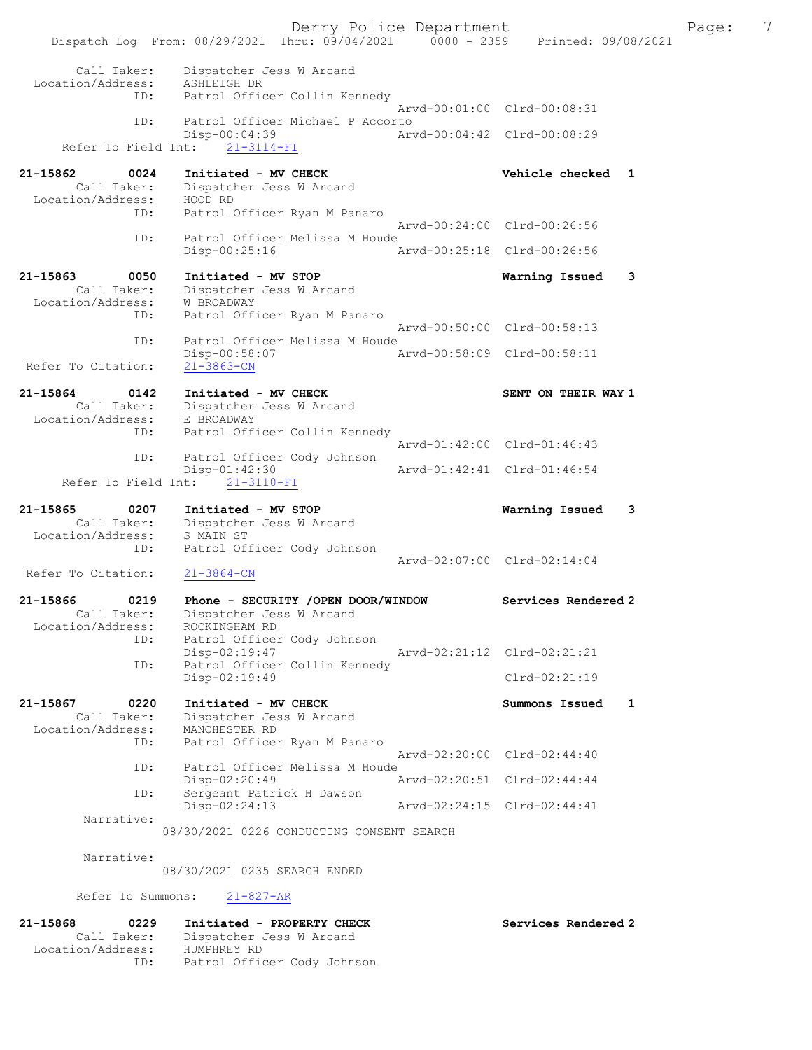Derry Police Department The Page: 7 Dispatch Log From: 08/29/2021 Thru: 09/04/2021 0000 - 2359 Printed: 09/08/2021 Call Taker: Dispatcher Jess W Arcand Location/Address: ASHLEIGH DR ID: Patrol Officer Collin Kennedy Arvd-00:01:00 Clrd-00:08:31 ID: Patrol Officer Michael P Accorto Disp-00:04:39 Arvd-00:04:42 Clrd-00:08:29 Refer To Field Int: 21-3114-FI 21-15862 0024 Initiated - MV CHECK Vehicle checked 1 Call Taker: Dispatcher Jess W Arcand Location/Address: HOOD RD ID: Patrol Officer Ryan M Panaro Arvd-00:24:00 Clrd-00:26:56<br>Patrol Officer Melissa M Houde ID: Patrol Officer Melissa M Houde Disp-00:25:16 Arvd-00:25:18 Clrd-00:26:56 21-15863 0050 Initiated - MV STOP Warning Issued 3 Call Taker: Dispatcher Jess W Arcand Location/Address: W BROADWAY ID: Patrol Officer Ryan M Panaro Arvd-00:50:00 Clrd-00:58:13 ID: Patrol Officer Melissa M Houde<br>Disp-00:58:07 A Disp-00:58:07 Arvd-00:58:09 Clrd-00:58:11 Refer To Citation: 21-15864 0142 Initiated - MV CHECK SENT ON THEIR WAY 1 Call Taker: Dispatcher Jess W Arcand Location/Address: E BROADWAY ID: Patrol Officer Collin Kennedy Arvd-01:42:00 Clrd-01:46:43<br>ID: Patrol Officer Cody Johnson Patrol Officer Cody Johnson<br>Disp-01:42:30 p-01:42:30 <br>
21-3110-FI <br>
Arvd-01:42:41 Clrd-01:46:54 Refer To Field Int: 21-15865 0207 Initiated - MV STOP Warning Issued 3 Call Taker: Dispatcher Jess W Arcand Location/Address: S MAIN ST ID: Patrol Officer Cody Johnson Arvd-02:07:00 Clrd-02:14:04<br>21-3864-CN Refer To Citation: 21-15866 0219 Phone - SECURITY /OPEN DOOR/WINDOW Services Rendered 2 Call Taker: Dispatcher Jess W Arcand Location/Address: ROCKINGHAM RD ID: Patrol Officer Cody Johnson Disp-02:19:47 Arvd-02:21:12 Clrd-02:21:21 ID: Patrol Officer Collin Kennedy Disp-02:19:49 Clrd-02:21:19 21-15867 0220 Initiated - MV CHECK Summons Issued 1 Call Taker: Dispatcher Jess W Arcand Location/Address: MANCHESTER RD ID: Patrol Officer Ryan M Panaro Arvd-02:20:00 Clrd-02:44:40 ID: Patrol Officer Melissa M Houde Disp-02:20:49 Arvd-02:20:51 Clrd-02:44:44<br>TD: Sergeant Patrick H Dawson Sergeant Patrick H Dawson<br>Disp-02:24:13 Disp-02:24:13 Arvd-02:24:15 Clrd-02:44:41 Narrative: 08/30/2021 0226 CONDUCTING CONSENT SEARCH Narrative: 08/30/2021 0235 SEARCH ENDED Refer To Summons: 21-827-AR 21-15868 0229 Initiated - PROPERTY CHECK Services Rendered 2 Call Taker: Dispatcher Jess W Arcand

Location/Address: HUMPHREY RD

ID: Patrol Officer Cody Johnson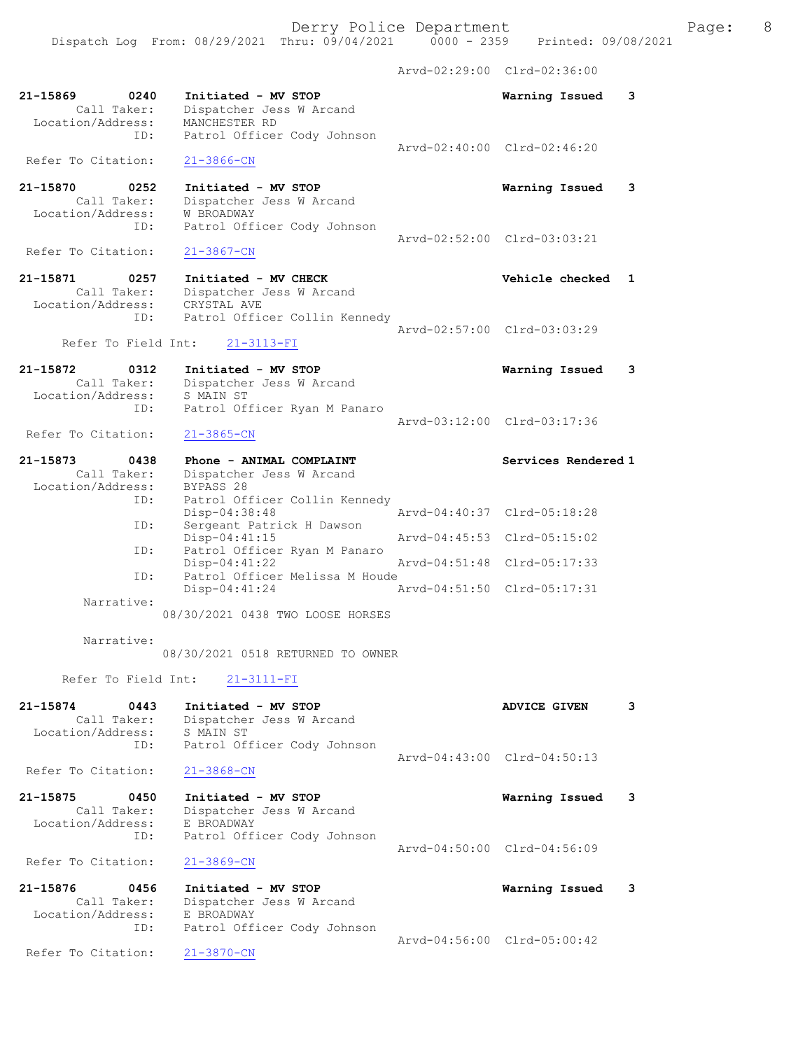Dispatch Log From: 08/29/2021 Thru: 09/04/2021 0000 - 2359 Printed: 09/08/2021

Arvd-02:29:00 Clrd-02:36:00

| 21-15869<br>0240<br>Call Taker:<br>Location/Address:        | Initiated - MV STOP<br>Dispatcher Jess W Arcand<br>MANCHESTER RD                             |               | Warning Issued              | 3 |
|-------------------------------------------------------------|----------------------------------------------------------------------------------------------|---------------|-----------------------------|---|
| ID:                                                         | Patrol Officer Cody Johnson                                                                  |               | Arvd-02:40:00 Clrd-02:46:20 |   |
| Refer To Citation:                                          | $21 - 3866 - CN$                                                                             |               |                             |   |
| 21-15870<br>0252<br>Call Taker:<br>Location/Address:<br>ID: | Initiated - MV STOP<br>Dispatcher Jess W Arcand<br>W BROADWAY<br>Patrol Officer Cody Johnson |               | Warning Issued              | 3 |
| Refer To Citation:                                          | $21 - 3867 - CN$                                                                             |               | Arvd-02:52:00 Clrd-03:03:21 |   |
| 21-15871<br>0257<br>Call Taker:<br>Location/Address:        | Initiated - MV CHECK<br>Dispatcher Jess W Arcand<br>CRYSTAL AVE                              |               | Vehicle checked             | 1 |
| ID:<br>Refer To Field Int:                                  | Patrol Officer Collin Kennedy<br>$21 - 3113 - FI$                                            |               | Arvd-02:57:00 Clrd-03:03:29 |   |
|                                                             |                                                                                              |               |                             |   |
| 21-15872<br>0312<br>Call Taker:<br>Location/Address:<br>ID: | Initiated - MV STOP<br>Dispatcher Jess W Arcand<br>S MAIN ST<br>Patrol Officer Ryan M Panaro |               | Warning Issued              | 3 |
| Refer To Citation:                                          | $21 - 3865 - CN$                                                                             |               | Arvd-03:12:00 Clrd-03:17:36 |   |
| 21-15873<br>0438                                            | Phone - ANIMAL COMPLAINT                                                                     |               | Services Rendered 1         |   |
| Call Taker:                                                 | Dispatcher Jess W Arcand                                                                     |               |                             |   |
| Location/Address:                                           | BYPASS 28                                                                                    |               |                             |   |
| ID:                                                         | Patrol Officer Collin Kennedy<br>Disp-04:38:48                                               |               | Arvd-04:40:37 Clrd-05:18:28 |   |
| ID:                                                         | Sergeant Patrick H Dawson<br>Disp-04:41:15                                                   |               | Arvd-04:45:53 Clrd-05:15:02 |   |
| ID:                                                         | Patrol Officer Ryan M Panaro<br>$Disp-04:41:22$                                              | Arvd-04:51:48 | $Clrd-05:17:33$             |   |
| ID:                                                         | Patrol Officer Melissa M Houde<br>Disp-04:41:24                                              |               | Arvd-04:51:50 Clrd-05:17:31 |   |
| Narrative:                                                  |                                                                                              |               |                             |   |
|                                                             | 08/30/2021 0438 TWO LOOSE HORSES                                                             |               |                             |   |
| Narrative:                                                  | 08/30/2021 0518 RETURNED TO OWNER                                                            |               |                             |   |
| Refer To Field Int:                                         | $21 - 3111 - FI$                                                                             |               |                             |   |
| 21-15874<br>0443<br>Call Taker:                             | Initiated - MV STOP<br>Dispatcher Jess W Arcand                                              |               | <b>ADVICE GIVEN</b>         | 3 |
| Location/Address:                                           | S MAIN ST                                                                                    |               |                             |   |
| ID:                                                         | Patrol Officer Cody Johnson                                                                  |               |                             |   |
| Refer To Citation:                                          | $21 - 3868 - CN$                                                                             |               | Arvd-04:43:00 Clrd-04:50:13 |   |
| 21-15875<br>0450<br>Call Taker:                             | Initiated - MV STOP                                                                          |               | Warning Issued              | 3 |
| Location/Address:                                           | Dispatcher Jess W Arcand<br>E BROADWAY                                                       |               |                             |   |
| ID:                                                         | Patrol Officer Cody Johnson                                                                  |               |                             |   |
| Refer To Citation:                                          | $21 - 3869 - CN$                                                                             |               | Arvd-04:50:00 Clrd-04:56:09 |   |
| 21-15876<br>0456                                            | Initiated - MV STOP                                                                          |               | Warning Issued              | 3 |
| Call Taker:                                                 | Dispatcher Jess W Arcand                                                                     |               |                             |   |
| Location/Address:                                           | E BROADWAY                                                                                   |               |                             |   |
| ID:                                                         | Patrol Officer Cody Johnson                                                                  |               | Arvd-04:56:00 Clrd-05:00:42 |   |
| Refer To Citation:                                          | $21 - 3870 - CN$                                                                             |               |                             |   |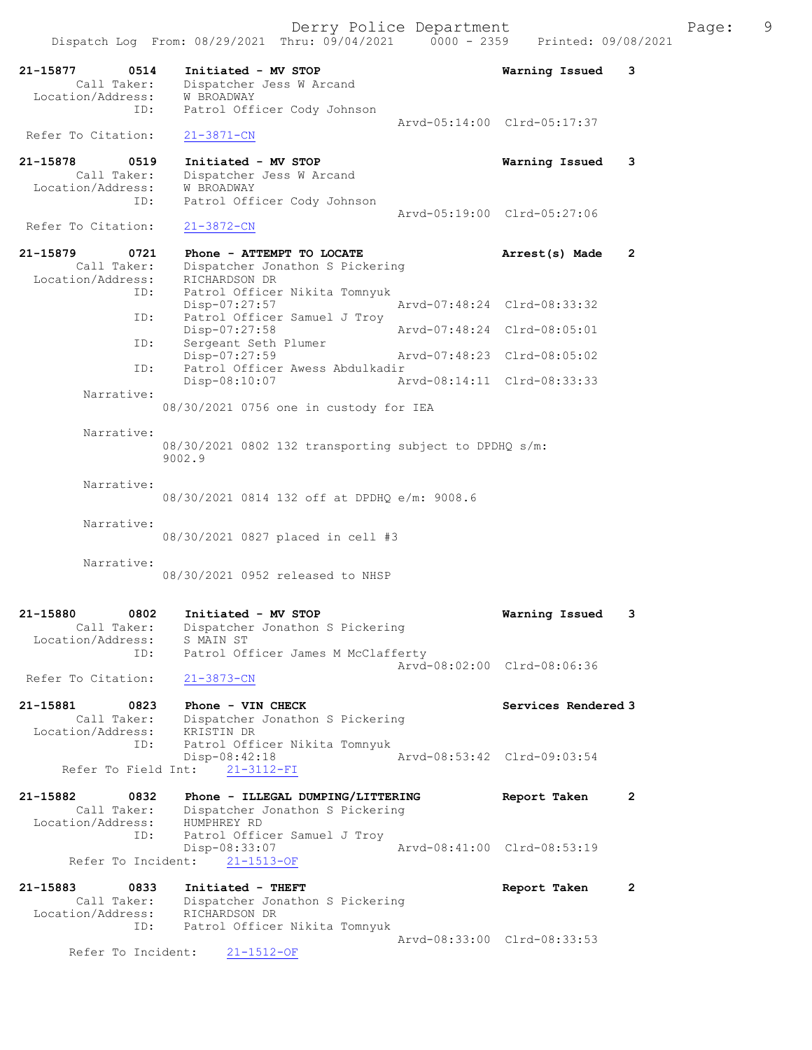| 21-15877<br>0514                 | Initiated - MV STOP                                              | Warning Issued              | 3                    |
|----------------------------------|------------------------------------------------------------------|-----------------------------|----------------------|
| Call Taker:                      | Dispatcher Jess W Arcand                                         |                             |                      |
| Location/Address:<br>ID:         | W BROADWAY<br>Patrol Officer Cody Johnson                        |                             |                      |
| Refer To Citation:               |                                                                  | Arvd-05:14:00 Clrd-05:17:37 |                      |
|                                  | 21-3871-CN                                                       |                             |                      |
| 21-15878<br>0519<br>Call Taker:  | Initiated - MV STOP<br>Dispatcher Jess W Arcand                  | Warning Issued              | 3                    |
| Location/Address:                | W BROADWAY                                                       |                             |                      |
| ID:                              | Patrol Officer Cody Johnson                                      | Arvd-05:19:00 Clrd-05:27:06 |                      |
| Refer To Citation:               | $21 - 3872 - CN$                                                 |                             |                      |
| 21-15879<br>0721<br>Call Taker:  | Phone - ATTEMPT TO LOCATE<br>Dispatcher Jonathon S Pickering     | Arrest(s) Made              | $\mathbf{2}$         |
| Location/Address:<br>ID:         | RICHARDSON DR<br>Patrol Officer Nikita Tomnyuk                   |                             |                      |
|                                  | Disp-07:27:57                                                    | Arvd-07:48:24 Clrd-08:33:32 |                      |
| ID:                              | Patrol Officer Samuel J Troy<br>$Disp-07:27:58$                  | Arvd-07:48:24 Clrd-08:05:01 |                      |
| ID:                              | Sergeant Seth Plumer<br>Disp-07:27:59                            | Arvd-07:48:23 Clrd-08:05:02 |                      |
| ID:                              | Patrol Officer Awess Abdulkadir                                  |                             |                      |
| Narrative:                       | Disp-08:10:07                                                    | Arvd-08:14:11 Clrd-08:33:33 |                      |
|                                  | 08/30/2021 0756 one in custody for IEA                           |                             |                      |
| Narrative:                       |                                                                  |                             |                      |
|                                  | 08/30/2021 0802 132 transporting subject to DPDHQ s/m:<br>9002.9 |                             |                      |
| Narrative:                       |                                                                  |                             |                      |
|                                  | 08/30/2021 0814 132 off at DPDHQ e/m: 9008.6                     |                             |                      |
|                                  |                                                                  |                             |                      |
| Narrative:                       | 08/30/2021 0827 placed in cell #3                                |                             |                      |
| Narrative:                       |                                                                  |                             |                      |
|                                  | 08/30/2021 0952 released to NHSP                                 |                             |                      |
|                                  |                                                                  |                             |                      |
| 21-15880<br>0802<br>Call Taker:  | Initiated - MV STOP<br>Dispatcher Jonathon S Pickering           | Warning Issued              | 3                    |
| Location/Address:<br>ID:         | S MAIN ST<br>Patrol Officer James M McClafferty                  |                             |                      |
|                                  |                                                                  | Arvd-08:02:00 Clrd-08:06:36 |                      |
| Refer To Citation:               | $21 - 3873 - CN$                                                 |                             |                      |
| 21-15881<br>0823                 | Phone - VIN CHECK                                                | Services Rendered 3         |                      |
| Call Taker:<br>Location/Address: | Dispatcher Jonathon S Pickering<br>KRISTIN DR                    |                             |                      |
| ID:                              | Patrol Officer Nikita Tomnyuk<br>$Disp-08:42:18$                 | Arvd-08:53:42 Clrd-09:03:54 |                      |
| Refer To Field Int:              | 21-3112-FI                                                       |                             |                      |
| 21-15882<br>0832                 | Phone - ILLEGAL DUMPING/LITTERING                                | Report Taken                | $\mathbf{2}$         |
| Call Taker:<br>Location/Address: | Dispatcher Jonathon S Pickering<br>HUMPHREY RD                   |                             |                      |
| ID:                              | Patrol Officer Samuel J Troy                                     |                             |                      |
| Refer To Incident:               | Disp-08:33:07<br>$21 - 1513 - OF$                                | Arvd-08:41:00 Clrd-08:53:19 |                      |
| 21-15883<br>0833                 | Initiated - THEFT                                                | Report Taken                | $\mathbf{2}^{\circ}$ |
| Call Taker:                      | Dispatcher Jonathon S Pickering                                  |                             |                      |
| Location/Address:<br>ID:         | RICHARDSON DR<br>Patrol Officer Nikita Tomnyuk                   |                             |                      |
| Refer To Incident:               | $21 - 1512 - OF$                                                 | Arvd-08:33:00 Clrd-08:33:53 |                      |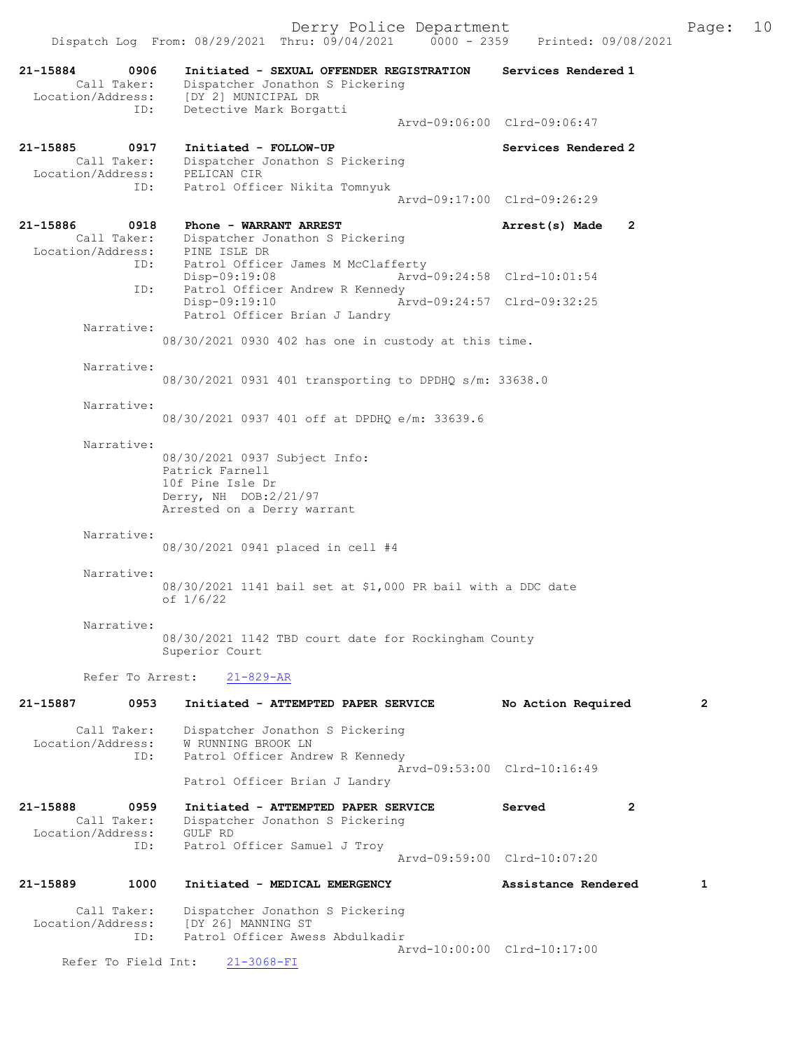Dispatch Log From: 08/29/2021 Thru: 09/04/2021 0000 - 2359 Printed: 09/08/2021 21-15884 0906 Initiated - SEXUAL OFFENDER REGISTRATION Services Rendered 1 Call Taker: Dispatcher Jonathon S Pickering Location/Address: [DY 2] MUNICIPAL DR ID: Detective Mark Borgatti Arvd-09:06:00 Clrd-09:06:47 21-15885 0917 Initiated - FOLLOW-UP Services Rendered 2 Call Taker: Dispatcher Jonathon S Pickering Location/Address: PELICAN CIR ID: Patrol Officer Nikita Tomnyuk Arvd-09:17:00 Clrd-09:26:29 21-15886 0918 Phone - WARRANT ARREST 2001 Arrest(s) Made 2 Call Taker: Dispatcher Jonathon S Pickering Location/Address: PINE ISLE DR ID: Patrol Officer James M McClafferty<br>Disp-09:19:08 Arvd-Disp-09:19:08 Arvd-09:24:58 Clrd-10:01:54<br>ID: Patrol Officer Andrew R Kennedy Patrol Officer Andrew R Kennedy<br>Disp-09:19:10 Ar Disp-09:19:10 Arvd-09:24:57 Clrd-09:32:25 Patrol Officer Brian J Landry Narrative: 08/30/2021 0930 402 has one in custody at this time. Narrative: 08/30/2021 0931 401 transporting to DPDHQ s/m: 33638.0 Narrative: 08/30/2021 0937 401 off at DPDHQ e/m: 33639.6 Narrative: 08/30/2021 0937 Subject Info: Patrick Farnell 10f Pine Isle Dr Derry, NH DOB:2/21/97 Arrested on a Derry warrant Narrative: 08/30/2021 0941 placed in cell #4 Narrative: 08/30/2021 1141 bail set at \$1,000 PR bail with a DDC date of 1/6/22 Narrative: 08/30/2021 1142 TBD court date for Rockingham County Superior Court Refer To Arrest: 21-829-AR 21-15887 0953 Initiated - ATTEMPTED PAPER SERVICE No Action Required 2 Call Taker: Dispatcher Jonathon S Pickering Location/Address: W RUNNING BROOK LN ID: Patrol Officer Andrew R Kennedy Arvd-09:53:00 Clrd-10:16:49 Patrol Officer Brian J Landry 21-15888 0959 Initiated - ATTEMPTED PAPER SERVICE Served 2 Call Taker: Dispatcher Jonathon S Pickering Location/Address: GULF RD<br>ID: Patrol ( Patrol Officer Samuel J Troy

21-15889 1000 Initiated - MEDICAL EMERGENCY Assistance Rendered 1

Arvd-09:59:00 Clrd-10:07:20

 Call Taker: Dispatcher Jonathon S Pickering Location/Address: [DY 26] MANNING ST ess: [D. Zv] nummine --<br>ID: Patrol Officer Awess Abdulkadir Arvd-10:00:00 Clrd-10:17:00<br>21-3068-FI

Refer To Field Int: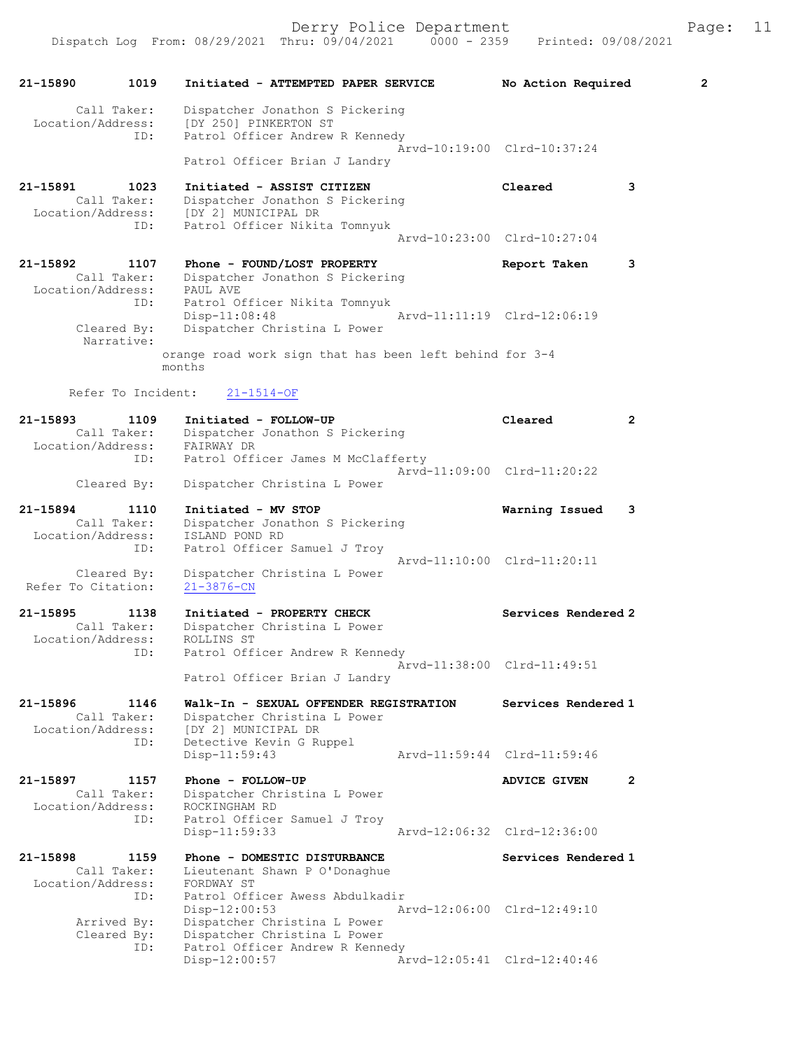Derry Police Department Fage: 11

| 21-15890<br>1019                                            | Initiated - ATTEMPTED PAPER SERVICE                                                                                       | $\overline{2}$<br>No Action Required  |
|-------------------------------------------------------------|---------------------------------------------------------------------------------------------------------------------------|---------------------------------------|
| Call Taker:<br>Location/Address:<br>ID:                     | Dispatcher Jonathon S Pickering<br>[DY 250] PINKERTON ST<br>Patrol Officer Andrew R Kennedy                               |                                       |
|                                                             | Patrol Officer Brian J Landry                                                                                             | Arvd-10:19:00 Clrd-10:37:24           |
| 21-15891<br>1023<br>Call Taker:<br>Location/Address:<br>ID: | Initiated - ASSIST CITIZEN<br>Dispatcher Jonathon S Pickering<br>[DY 2] MUNICIPAL DR<br>Patrol Officer Nikita Tomnyuk     | Cleared<br>3                          |
|                                                             |                                                                                                                           | Arvd-10:23:00 Clrd-10:27:04           |
| 21-15892<br>1107<br>Call Taker:<br>Location/Address:        | Phone - FOUND/LOST PROPERTY<br>Dispatcher Jonathon S Pickering<br>PAUL AVE                                                | Report Taken<br>3                     |
| ID:<br>Cleared By:<br>Narrative:                            | Patrol Officer Nikita Tomnyuk<br>$Disp-11:08:48$<br>Dispatcher Christina L Power                                          | Arvd-11:11:19 Clrd-12:06:19           |
|                                                             | orange road work sign that has been left behind for 3-4<br>months                                                         |                                       |
| Refer To Incident:                                          | $21 - 1514 - OF$                                                                                                          |                                       |
| 21-15893<br>1109<br>Call Taker:<br>Location/Address:        | Initiated - FOLLOW-UP<br>Dispatcher Jonathon S Pickering<br>FAIRWAY DR                                                    | Cleared<br>2                          |
| ID:<br>Cleared By:                                          | Patrol Officer James M McClafferty<br>Dispatcher Christina L Power                                                        | Arvd-11:09:00 Clrd-11:20:22           |
| 21-15894<br>1110                                            | Initiated - MV STOP                                                                                                       | Warning Issued<br>3                   |
| Call Taker:<br>Location/Address:<br>ID:                     | Dispatcher Jonathon S Pickering<br>ISLAND POND RD<br>Patrol Officer Samuel J Troy                                         |                                       |
| Cleared By:<br>Refer To Citation:                           | Dispatcher Christina L Power<br>$21 - 3876 - CN$                                                                          | Arvd-11:10:00 Clrd-11:20:11           |
| 21-15895<br>1138<br>Call Taker:<br>Location/Address:        | Initiated - PROPERTY CHECK<br>Dispatcher Christina L Power<br>ROLLINS ST                                                  | Services Rendered 2                   |
| ID:                                                         | Patrol Officer Andrew R Kennedy<br>Patrol Officer Brian J Landry                                                          | Arvd-11:38:00 Clrd-11:49:51           |
| 21-15896<br>1146<br>Call Taker:<br>Location/Address:<br>ID: | Walk-In - SEXUAL OFFENDER REGISTRATION<br>Dispatcher Christina L Power<br>[DY 2] MUNICIPAL DR<br>Detective Kevin G Ruppel | Services Rendered 1                   |
|                                                             | Disp-11:59:43                                                                                                             | Arvd-11:59:44 Clrd-11:59:46           |
| 21-15897<br>1157<br>Call Taker:<br>Location/Address:        | Phone - FOLLOW-UP<br>Dispatcher Christina L Power<br>ROCKINGHAM RD                                                        | $\overline{2}$<br><b>ADVICE GIVEN</b> |
| ID:                                                         | Patrol Officer Samuel J Troy<br>$Disp-11:59:33$                                                                           | Arvd-12:06:32 Clrd-12:36:00           |
| 21-15898<br>1159<br>Call Taker:<br>Location/Address:<br>ID: | Phone - DOMESTIC DISTURBANCE<br>Lieutenant Shawn P O'Donaghue<br>FORDWAY ST<br>Patrol Officer Awess Abdulkadir            | Services Rendered 1                   |
| Arrived By:<br>Cleared By:                                  | $Disp-12:00:53$<br>Dispatcher Christina L Power<br>Dispatcher Christina L Power                                           | Arvd-12:06:00 Clrd-12:49:10           |
| ID:                                                         | Patrol Officer Andrew R Kennedy<br>Disp-12:00:57                                                                          | Arvd-12:05:41 Clrd-12:40:46           |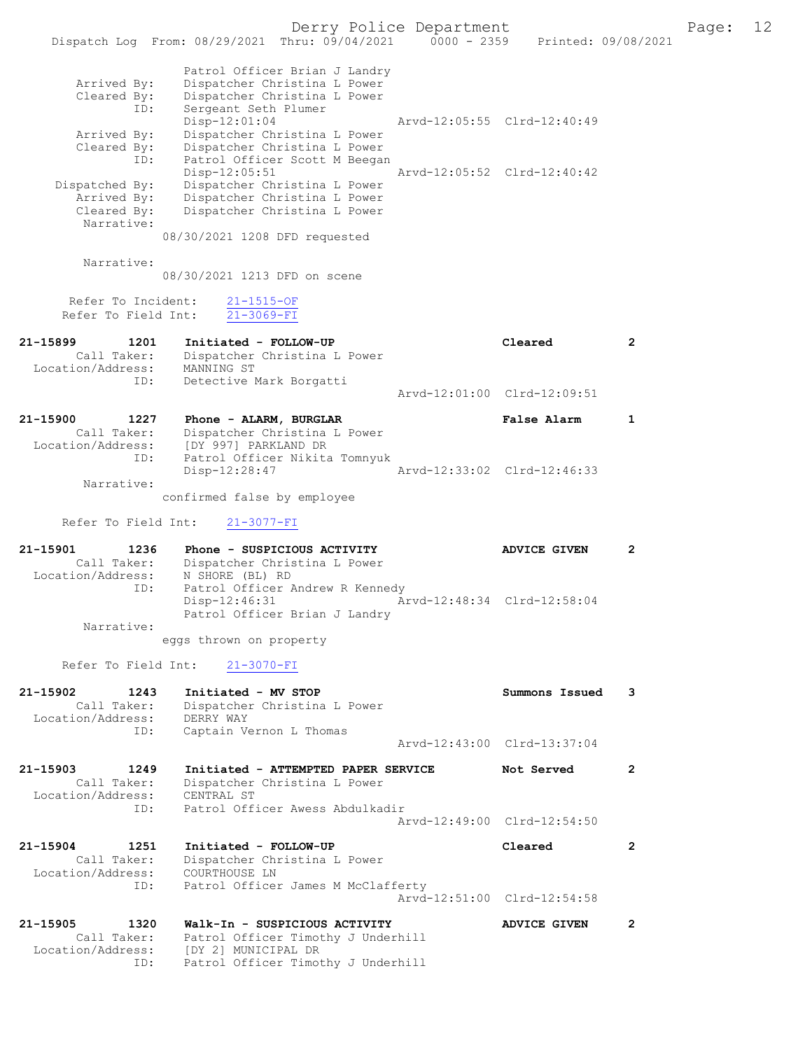|                                                                 | Dispatch Log From: 08/29/2021 Thru: 09/04/2021 0000 - 2359                                                                       | Derry Police Department | Printed: 09/08/2021         |                | Page: | 12 |
|-----------------------------------------------------------------|----------------------------------------------------------------------------------------------------------------------------------|-------------------------|-----------------------------|----------------|-------|----|
| Arrived By:<br>Cleared By:                                      | Patrol Officer Brian J Landry<br>Dispatcher Christina L Power<br>Dispatcher Christina L Power                                    |                         |                             |                |       |    |
| ID:<br>Arrived By:                                              | Sergeant Seth Plumer<br>Disp-12:01:04<br>Dispatcher Christina L Power                                                            |                         | Arvd-12:05:55 Clrd-12:40:49 |                |       |    |
| Cleared By:<br>ID:                                              | Dispatcher Christina L Power<br>Patrol Officer Scott M Beegan<br>Disp-12:05:51                                                   |                         | Arvd-12:05:52 Clrd-12:40:42 |                |       |    |
| Dispatched By:<br>Arrived By:<br>Cleared By:                    | Dispatcher Christina L Power<br>Dispatcher Christina L Power<br>Dispatcher Christina L Power                                     |                         |                             |                |       |    |
| Narrative:                                                      | 08/30/2021 1208 DFD requested                                                                                                    |                         |                             |                |       |    |
| Narrative:                                                      | 08/30/2021 1213 DFD on scene                                                                                                     |                         |                             |                |       |    |
| Refer To Incident:<br>Refer To Field Int:                       | $21 - 1515 - OF$<br>$21 - 3069 - FI$                                                                                             |                         |                             |                |       |    |
| 21-15899<br>1201<br>Call Taker:<br>Location/Address: MANNING ST | Initiated - FOLLOW-UP<br>Dispatcher Christina L Power                                                                            |                         | Cleared                     | $\overline{2}$ |       |    |
| ID:                                                             | Detective Mark Borgatti                                                                                                          |                         | Arvd-12:01:00 Clrd-12:09:51 |                |       |    |
| 21-15900<br>1227<br>Call Taker:<br>Location/Address:            | Phone - ALARM, BURGLAR<br>Dispatcher Christina L Power<br>[DY 997] PARKLAND DR                                                   |                         | False Alarm                 | 1              |       |    |
| ID:<br>Narrative:                                               | Patrol Officer Nikita Tomnyuk<br>Disp-12:28:47                                                                                   |                         | Arvd-12:33:02 Clrd-12:46:33 |                |       |    |
|                                                                 | confirmed false by employee                                                                                                      |                         |                             |                |       |    |
| Refer To Field Int:                                             | $21 - 3077 - FI$                                                                                                                 |                         |                             |                |       |    |
| 21-15901<br>1236<br>Call Taker:<br>Location/Address:<br>ID:     | Phone - SUSPICIOUS ACTIVITY<br>Dispatcher Christina L Power<br>N SHORE (BL) RD<br>Patrol Officer Andrew R Kennedy                |                         | <b>ADVICE GIVEN</b>         | 2              |       |    |
| Narrative:                                                      | Disp-12:46:31<br>Patrol Officer Brian J Landry                                                                                   |                         | Arvd-12:48:34 Clrd-12:58:04 |                |       |    |
|                                                                 | eggs thrown on property                                                                                                          |                         |                             |                |       |    |
| Refer To Field Int:                                             | $21 - 3070 - FI$                                                                                                                 |                         |                             |                |       |    |
| 21-15902<br>1243<br>Call Taker:<br>Location/Address:            | Initiated - MV STOP<br>Dispatcher Christina L Power<br>DERRY WAY                                                                 |                         | Summons Issued              | 3              |       |    |
| ID:                                                             | Captain Vernon L Thomas                                                                                                          |                         | Arvd-12:43:00 Clrd-13:37:04 |                |       |    |
| 21-15903<br>1249<br>Call Taker:                                 | Initiated - ATTEMPTED PAPER SERVICE<br>Dispatcher Christina L Power                                                              |                         | Not Served                  | $\overline{2}$ |       |    |
| Location/Address:<br>ID:                                        | CENTRAL ST<br>Patrol Officer Awess Abdulkadir                                                                                    |                         | Arvd-12:49:00 Clrd-12:54:50 |                |       |    |
| 21-15904<br>1251<br>Call Taker:<br>Location/Address:            | Initiated - FOLLOW-UP<br>Dispatcher Christina L Power<br>COURTHOUSE LN                                                           |                         | Cleared                     | $\mathbf{2}$   |       |    |
| ID:                                                             | Patrol Officer James M McClafferty                                                                                               |                         | Arvd-12:51:00 Clrd-12:54:58 |                |       |    |
| 21-15905<br>1320<br>Call Taker:<br>Location/Address:<br>ID:     | Walk-In - SUSPICIOUS ACTIVITY<br>Patrol Officer Timothy J Underhill<br>[DY 2] MUNICIPAL DR<br>Patrol Officer Timothy J Underhill |                         | <b>ADVICE GIVEN</b>         | $\mathbf{2}$   |       |    |
|                                                                 |                                                                                                                                  |                         |                             |                |       |    |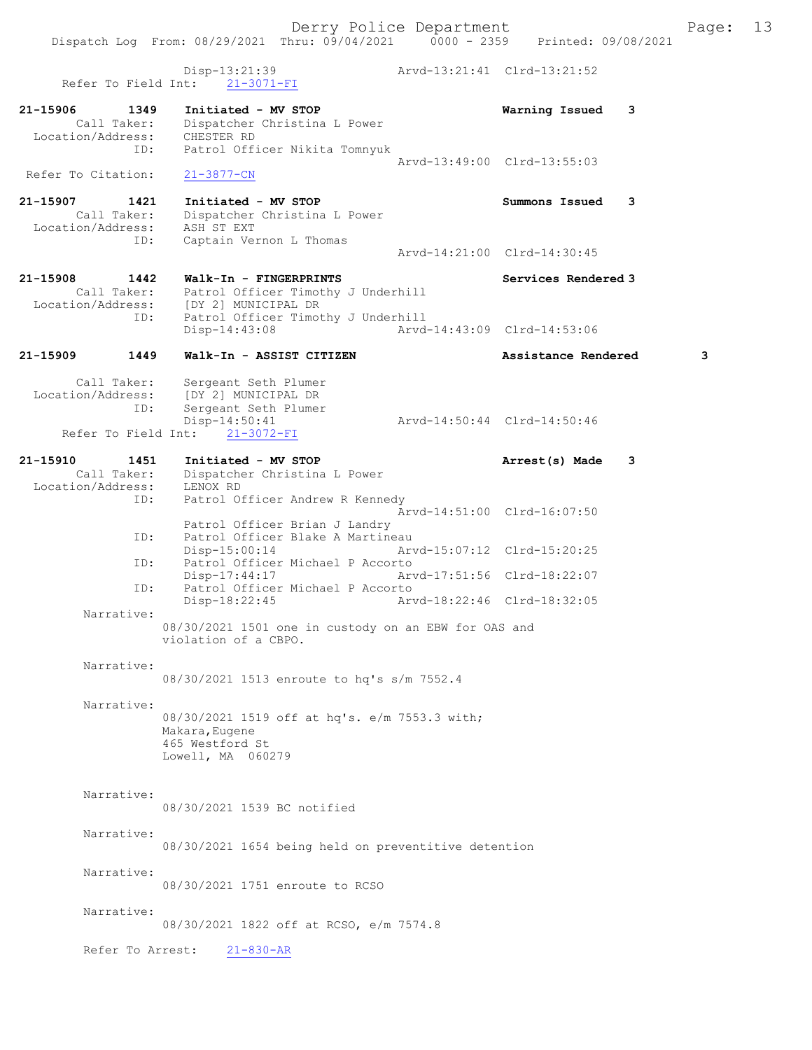Derry Police Department The Page: 13 Dispatch Log From: 08/29/2021 Thru: 09/04/2021 0000 - 2359 Printed: 09/08/2021 Disp-13:21:39 Arvd-13:21:41 Clrd-13:21:52 Refer To Field Int: 21-3071-FI 21-15906 1349 Initiated - MV STOP Warning Issued 3 Call Taker: Dispatcher Christina L Power Location/Address: CHESTER RD ID: Patrol Officer Nikita Tomnyuk Arvd-13:49:00 Clrd-13:55:03 Refer To Citation: 21-3877-CN 21-15907 1421 Initiated - MV STOP Summons Issued 3 Call Taker: Dispatcher Christina L Power Location/Address: ASH ST EXT ID: Captain Vernon L Thomas Arvd-14:21:00 Clrd-14:30:45 21-15908 1442 Walk-In - FINGERPRINTS Services Rendered 3 Call Taker: Patrol Officer Timothy J Underhill Location/Address: [DY 2] MUNICIPAL DR ID: Patrol Officer Timothy J Underhill<br>Disp-14:43:08 Arvd Disp-14:43:08 Arvd-14:43:09 Clrd-14:53:06 21-15909 1449 Walk-In - ASSIST CITIZEN Assistance Rendered 3 Call Taker: Sergeant Seth Plumer Location/Address: [DY 2] MUNICIPAL DR<br>ID: Sergeant Seth Plumer Sergeant Seth Plumer<br>Disp-14:50:41 -14:50:41<br>
21-3072-FI Arvd-14:50:44 Clrd-14:50:46 Refer To Field Int: 21-15910 1451 Initiated - MV STOP Arrest(s) Made 3 Call Taker: Dispatcher Christina L Power Location/Address: LENOX RD ID: Patrol Officer Andrew R Kennedy Arvd-14:51:00 Clrd-16:07:50 Patrol Officer Brian J Landry ID: Patrol Officer Blake A Martineau<br>Disp-15:00:14 Ary Disp-15:00:14 Arvd-15:07:12 Clrd-15:20:25 ID: Patrol Officer Michael P Accorto Disp-17:44:17 Arvd-17:51:56 Clrd-18:22:07<br>ID: Patrol Officer Michael P Accorto Patrol Officer Michael P Accorto<br>Disp-18:22:45 Arv Disp-18:22:45 Arvd-18:22:46 Clrd-18:32:05 Narrative: 08/30/2021 1501 one in custody on an EBW for OAS and violation of a CBPO. Narrative: 08/30/2021 1513 enroute to hq's s/m 7552.4 Narrative: 08/30/2021 1519 off at hq's. e/m 7553.3 with; Makara,Eugene 465 Westford St Lowell, MA 060279 Narrative: 08/30/2021 1539 BC notified Narrative: 08/30/2021 1654 being held on preventitive detention Narrative: 08/30/2021 1751 enroute to RCSO Narrative:

08/30/2021 1822 off at RCSO, e/m 7574.8

Refer To Arrest: 21-830-AR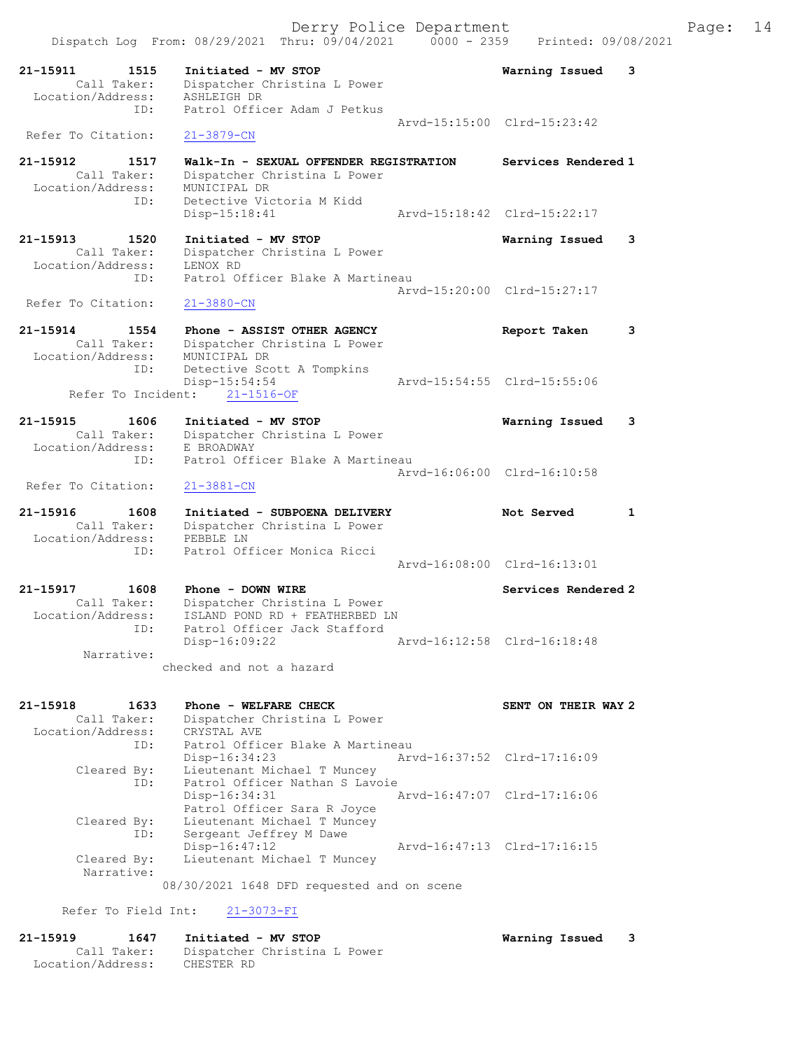|                                  | Dispatch Log From: 08/29/2021 Thru: 09/04/2021                 | $0000 - 2359$ | Printed: 09/08/2021         |              |
|----------------------------------|----------------------------------------------------------------|---------------|-----------------------------|--------------|
| 21-15911<br>1515                 | Initiated - MV STOP                                            |               | Warning Issued              | 3            |
| Call Taker:<br>Location/Address: | Dispatcher Christina L Power<br>ASHLEIGH DR                    |               |                             |              |
| ID:                              | Patrol Officer Adam J Petkus                                   |               |                             |              |
| Refer To Citation:               | $21 - 3879 - CN$                                               |               | Arvd-15:15:00 Clrd-15:23:42 |              |
| 21-15912<br>1517                 | Walk-In - SEXUAL OFFENDER REGISTRATION                         |               | Services Rendered 1         |              |
| Call Taker:                      | Dispatcher Christina L Power                                   |               |                             |              |
| Location/Address:<br>ID:         | MUNICIPAL DR<br>Detective Victoria M Kidd                      |               |                             |              |
|                                  | Disp-15:18:41                                                  |               | Arvd-15:18:42 Clrd-15:22:17 |              |
| 21-15913<br>1520                 | Initiated - MV STOP                                            |               | Warning Issued              | 3            |
| Call Taker:<br>Location/Address: | Dispatcher Christina L Power<br>LENOX RD                       |               |                             |              |
| ID:                              | Patrol Officer Blake A Martineau                               |               |                             |              |
| Refer To Citation:               | $21 - 3880 - CN$                                               |               | Arvd-15:20:00 Clrd-15:27:17 |              |
|                                  |                                                                |               |                             |              |
| 21-15914<br>1554<br>Call Taker:  | Phone - ASSIST OTHER AGENCY<br>Dispatcher Christina L Power    |               | Report Taken                | 3            |
| Location/Address:                | MUNICIPAL DR                                                   |               |                             |              |
| ID:                              | Detective Scott A Tompkins<br>Disp-15:54:54                    |               | Arvd-15:54:55 Clrd-15:55:06 |              |
| Refer To Incident:               | $21 - 1516 - OF$                                               |               |                             |              |
| 21-15915<br>1606                 | Initiated - MV STOP                                            |               | Warning Issued              | 3            |
| Call Taker:<br>Location/Address: | Dispatcher Christina L Power<br>E BROADWAY                     |               |                             |              |
| ID:                              | Patrol Officer Blake A Martineau                               |               |                             |              |
| Refer To Citation:               | $21 - 3881 - CN$                                               |               | Arvd-16:06:00 Clrd-16:10:58 |              |
| 21-15916<br>1608                 | Initiated - SUBPOENA DELIVERY                                  |               | Not Served                  | $\mathbf{1}$ |
| Call Taker:                      | Dispatcher Christina L Power                                   |               |                             |              |
| Location/Address:<br>ID:         | PEBBLE LN<br>Patrol Officer Monica Ricci                       |               |                             |              |
|                                  |                                                                |               | Arvd-16:08:00 Clrd-16:13:01 |              |
| 21-15917<br>1608                 | Phone - DOWN WIRE                                              |               | Services Rendered 2         |              |
| Call Taker:<br>Location/Address: | Dispatcher Christina L Power                                   |               |                             |              |
| ID:                              | ISLAND POND RD + FEATHERBED LN<br>Patrol Officer Jack Stafford |               |                             |              |
| Narrative:                       | Disp-16:09:22                                                  |               | Arvd-16:12:58 Clrd-16:18:48 |              |
|                                  | checked and not a hazard                                       |               |                             |              |
|                                  |                                                                |               |                             |              |
| 21-15918<br>1633<br>Call Taker:  | Phone - WELFARE CHECK<br>Dispatcher Christina L Power          |               | SENT ON THEIR WAY 2         |              |
| Location/Address:                | CRYSTAL AVE                                                    |               |                             |              |
| ID:                              | Patrol Officer Blake A Martineau<br>Disp-16:34:23              |               | Arvd-16:37:52 Clrd-17:16:09 |              |
| Cleared By:                      | Lieutenant Michael T Muncey                                    |               |                             |              |
| ID:                              | Patrol Officer Nathan S Lavoie<br>Disp-16:34:31                |               | Arvd-16:47:07 Clrd-17:16:06 |              |
| Cleared By:                      | Patrol Officer Sara R Joyce<br>Lieutenant Michael T Muncey     |               |                             |              |
| ID:                              | Sergeant Jeffrey M Dawe                                        |               |                             |              |
| Cleared By:                      | Disp-16:47:12<br>Lieutenant Michael T Muncey                   |               | Arvd-16:47:13 Clrd-17:16:15 |              |
| Narrative:                       |                                                                |               |                             |              |
|                                  | 08/30/2021 1648 DFD requested and on scene                     |               |                             |              |
| Refer To Field Int:              | $21 - 3073 - FI$                                               |               |                             |              |
| 21-15919<br>1647                 | Initiated - MV STOP                                            |               | Warning Issued              | 3            |

Call Taker: Dispatcher Christina L Power

Location/Address: CHESTER RD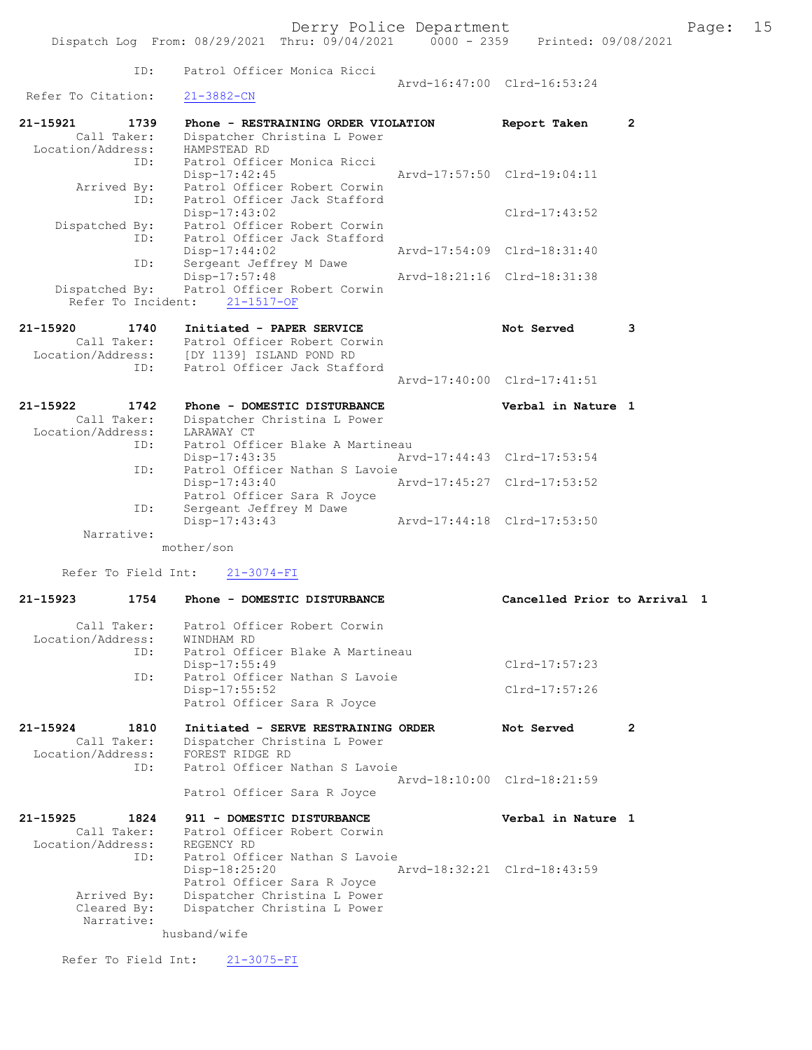| Page: |  | Б<br>IJ |
|-------|--|---------|
|       |  |         |

|                                  | Dispatch Log From: 08/29/2021 Thru: 09/04/2021 0000 - 2359 Printed: 09/08/2021 | Derry Police Department |                              |                | Page: | 15 |
|----------------------------------|--------------------------------------------------------------------------------|-------------------------|------------------------------|----------------|-------|----|
|                                  |                                                                                |                         |                              |                |       |    |
| ID:                              | Patrol Officer Monica Ricci                                                    |                         | Arvd-16:47:00 Clrd-16:53:24  |                |       |    |
| Refer To Citation:               | $21 - 3882 - CN$                                                               |                         |                              |                |       |    |
| 21-15921<br>1739                 | Phone - RESTRAINING ORDER VIOLATION                                            |                         | Report Taken                 | $\overline{2}$ |       |    |
| Call Taker:<br>Location/Address: | Dispatcher Christina L Power<br>HAMPSTEAD RD                                   |                         |                              |                |       |    |
| ID:                              | Patrol Officer Monica Ricci                                                    |                         |                              |                |       |    |
|                                  | $Disp-17:42:45$                                                                |                         | Arvd-17:57:50 Clrd-19:04:11  |                |       |    |
| Arrived By:<br>ID:               | Patrol Officer Robert Corwin<br>Patrol Officer Jack Stafford                   |                         |                              |                |       |    |
|                                  | Disp-17:43:02                                                                  |                         | $Clrd-17:43:52$              |                |       |    |
| Dispatched By:<br>ID:            | Patrol Officer Robert Corwin<br>Patrol Officer Jack Stafford                   |                         |                              |                |       |    |
|                                  | Disp-17:44:02                                                                  |                         | Arvd-17:54:09 Clrd-18:31:40  |                |       |    |
| ID:                              | Sergeant Jeffrey M Dawe<br>Disp-17:57:48                                       |                         | Arvd-18:21:16 Clrd-18:31:38  |                |       |    |
| Dispatched By:                   | Patrol Officer Robert Corwin                                                   |                         |                              |                |       |    |
| Refer To Incident:               | $21 - 1517 - OF$                                                               |                         |                              |                |       |    |
| 21-15920<br>1740                 | Initiated - PAPER SERVICE                                                      |                         | Not Served                   | 3              |       |    |
|                                  | Call Taker: Patrol Officer Robert Corwin                                       |                         |                              |                |       |    |
| ID:                              | Location/Address: [DY 1139] ISLAND POND RD<br>Patrol Officer Jack Stafford     |                         |                              |                |       |    |
|                                  |                                                                                |                         | Arvd-17:40:00 Clrd-17:41:51  |                |       |    |
| 21-15922<br>1742                 | Phone - DOMESTIC DISTURBANCE                                                   |                         | Verbal in Nature 1           |                |       |    |
| Call Taker:                      | Dispatcher Christina L Power                                                   |                         |                              |                |       |    |
| Location/Address:                | LARAWAY CT                                                                     |                         |                              |                |       |    |
| ID:                              | Patrol Officer Blake A Martineau<br>$Disp-17:43:35$                            |                         | Arvd-17:44:43 Clrd-17:53:54  |                |       |    |
| ID:                              | Patrol Officer Nathan S Lavoie                                                 |                         |                              |                |       |    |
|                                  | Disp-17:43:40<br>Patrol Officer Sara R Joyce                                   |                         | Arvd-17:45:27 Clrd-17:53:52  |                |       |    |
| ID:                              | Sergeant Jeffrey M Dawe                                                        |                         |                              |                |       |    |
| Narrative:                       | Disp-17:43:43                                                                  |                         | Arvd-17:44:18 Clrd-17:53:50  |                |       |    |
|                                  | mother/son                                                                     |                         |                              |                |       |    |
| Refer To Field Int:              | $21 - 3074 - FI$                                                               |                         |                              |                |       |    |
| 21-15923<br>1754                 | Phone - DOMESTIC DISTURBANCE                                                   |                         | Cancelled Prior to Arrival 1 |                |       |    |
| Call Taker:                      | Patrol Officer Robert Corwin                                                   |                         |                              |                |       |    |
| Location/Address:                | WINDHAM RD                                                                     |                         |                              |                |       |    |
| ID:                              | Patrol Officer Blake A Martineau                                               |                         | Clrd-17:57:23                |                |       |    |
| ID:                              | Disp-17:55:49<br>Patrol Officer Nathan S Lavoie                                |                         |                              |                |       |    |
|                                  | Disp-17:55:52                                                                  |                         | Clrd-17:57:26                |                |       |    |
|                                  | Patrol Officer Sara R Joyce                                                    |                         |                              |                |       |    |
| 21-15924<br>1810                 | Initiated - SERVE RESTRAINING ORDER                                            |                         | Not Served                   | 2              |       |    |
| Call Taker:<br>Location/Address: | Dispatcher Christina L Power<br>FOREST RIDGE RD                                |                         |                              |                |       |    |
| ID:                              | Patrol Officer Nathan S Lavoie                                                 |                         |                              |                |       |    |
|                                  |                                                                                |                         | Arvd-18:10:00 Clrd-18:21:59  |                |       |    |
|                                  | Patrol Officer Sara R Joyce                                                    |                         |                              |                |       |    |
| 21-15925<br>1824                 | 911 - DOMESTIC DISTURBANCE                                                     |                         | Verbal in Nature 1           |                |       |    |
| Call Taker:<br>Location/Address: | Patrol Officer Robert Corwin<br>REGENCY RD                                     |                         |                              |                |       |    |
| ID:                              | Patrol Officer Nathan S Lavoie                                                 |                         |                              |                |       |    |
|                                  | Disp-18:25:20<br>Patrol Officer Sara R Joyce                                   |                         | Arvd-18:32:21 Clrd-18:43:59  |                |       |    |
| Arrived By:                      | Dispatcher Christina L Power                                                   |                         |                              |                |       |    |
| Cleared By:<br>Narrative:        | Dispatcher Christina L Power                                                   |                         |                              |                |       |    |

husband/wife

Refer To Field Int:  $21-3075-FI$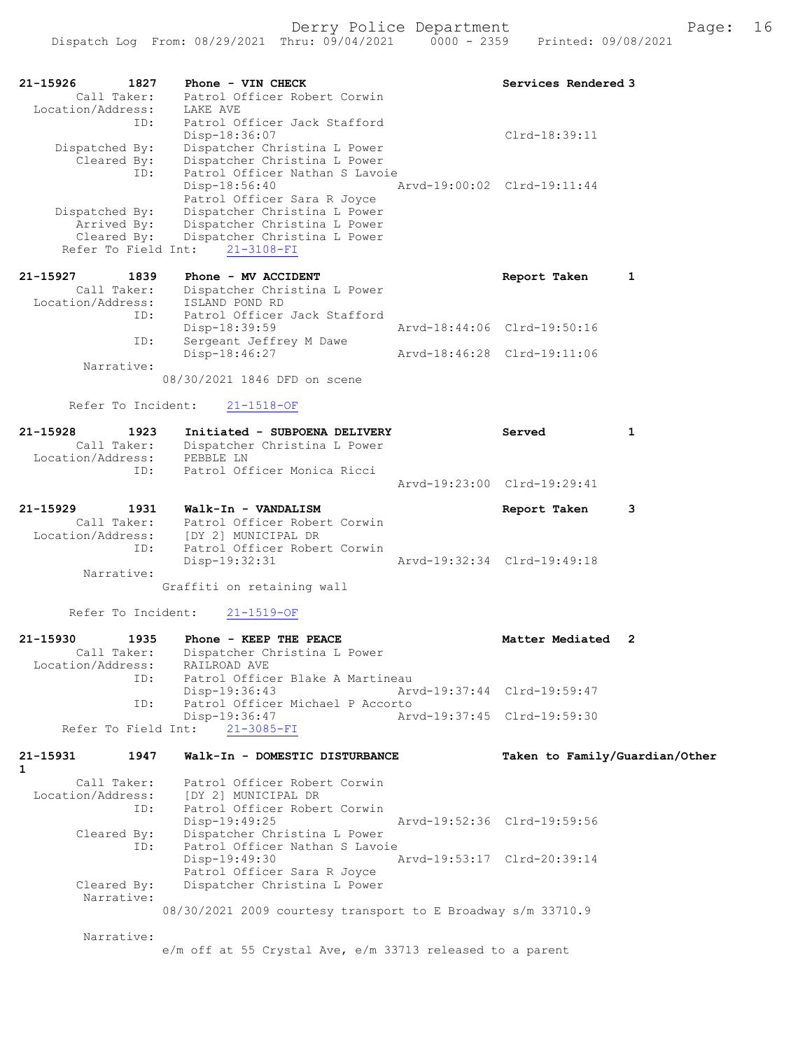| 21-15926<br>1827<br>Call Taker: | Phone - VIN CHECK<br>Patrol Officer Robert Corwin                     | Services Rendered 3            |   |
|---------------------------------|-----------------------------------------------------------------------|--------------------------------|---|
| Location/Address:<br>ID:        | LAKE AVE                                                              |                                |   |
|                                 | Patrol Officer Jack Stafford                                          |                                |   |
| Dispatched By:                  | Disp-18:36:07<br>Dispatcher Christina L Power                         | $Clrd-18:39:11$                |   |
| Cleared By:                     | Dispatcher Christina L Power                                          |                                |   |
| ID:                             | Patrol Officer Nathan S Lavoie<br>Disp-18:56:40                       | Arvd-19:00:02 Clrd-19:11:44    |   |
|                                 | Patrol Officer Sara R Joyce                                           |                                |   |
| Dispatched By:                  | Dispatcher Christina L Power                                          |                                |   |
| Arrived By:<br>Cleared By:      | Dispatcher Christina L Power<br>Dispatcher Christina L Power          |                                |   |
| Refer To Field Int:             | $21 - 3108 - FI$                                                      |                                |   |
| 21-15927<br>1839                | Phone - MV ACCIDENT                                                   | Report Taken                   | 1 |
| Call Taker:                     | Dispatcher Christina L Power                                          |                                |   |
| Location/Address:               | ISLAND POND RD                                                        |                                |   |
| ID:                             | Patrol Officer Jack Stafford<br>Disp-18:39:59                         | Arvd-18:44:06 Clrd-19:50:16    |   |
| ID:                             | Sergeant Jeffrey M Dawe                                               |                                |   |
| Narrative:                      | Disp-18:46:27                                                         | Arvd-18:46:28 Clrd-19:11:06    |   |
|                                 | 08/30/2021 1846 DFD on scene                                          |                                |   |
|                                 |                                                                       |                                |   |
| Refer To Incident:              | $21 - 1518 - OF$                                                      |                                |   |
| 21-15928<br>1923                | Initiated - SUBPOENA DELIVERY                                         | Served                         | 1 |
| Call Taker:                     | Dispatcher Christina L Power                                          |                                |   |
| Location/Address:<br>ID:        | PEBBLE LN<br>Patrol Officer Monica Ricci                              |                                |   |
|                                 |                                                                       | Arvd-19:23:00 Clrd-19:29:41    |   |
| 21-15929<br>1931                | Walk-In - VANDALISM                                                   | Report Taken                   | 3 |
| Call Taker:                     | Patrol Officer Robert Corwin                                          |                                |   |
| ID:                             | Location/Address: [DY 2] MUNICIPAL DR<br>Patrol Officer Robert Corwin |                                |   |
|                                 | Disp-19:32:31                                                         | Arvd-19:32:34 Clrd-19:49:18    |   |
| Narrative:                      |                                                                       |                                |   |
|                                 | Graffiti on retaining wall                                            |                                |   |
| Refer To Incident:              | $21 - 1519 - OF$                                                      |                                |   |
| 21-15930<br>1935                | Phone - KEEP THE PEACE                                                | Matter Mediated 2              |   |
| Call Taker:                     | Dispatcher Christina L Power                                          |                                |   |
| Location/Address:               | RAILROAD AVE                                                          |                                |   |
| ID:                             | Patrol Officer Blake A Martineau<br>Disp-19:36:43                     | Arvd-19:37:44 Clrd-19:59:47    |   |
| ID:                             | Patrol Officer Michael P Accorto                                      |                                |   |
| Refer To Field Int:             | Disp-19:36:47<br>$21 - 3085 - FI$                                     | Arvd-19:37:45 Clrd-19:59:30    |   |
|                                 |                                                                       |                                |   |
| 21-15931<br>1947                | Walk-In - DOMESTIC DISTURBANCE                                        | Taken to Family/Guardian/Other |   |
| $\mathbf{1}$<br>Call Taker:     | Patrol Officer Robert Corwin                                          |                                |   |
| Location/Address:               | [DY 2] MUNICIPAL DR                                                   |                                |   |
| ID:                             | Patrol Officer Robert Corwin<br>Disp-19:49:25                         | Arvd-19:52:36 Clrd-19:59:56    |   |
| Cleared By:                     | Dispatcher Christina L Power                                          |                                |   |
| ID:                             | Patrol Officer Nathan S Lavoie                                        |                                |   |
|                                 | Disp-19:49:30<br>Patrol Officer Sara R Joyce                          | Arvd-19:53:17 Clrd-20:39:14    |   |
| Cleared By:                     | Dispatcher Christina L Power                                          |                                |   |
| Narrative:                      | 08/30/2021 2009 courtesy transport to E Broadway s/m 33710.9          |                                |   |
|                                 |                                                                       |                                |   |
| Narrative:                      |                                                                       |                                |   |
|                                 | e/m off at 55 Crystal Ave, e/m 33713 released to a parent             |                                |   |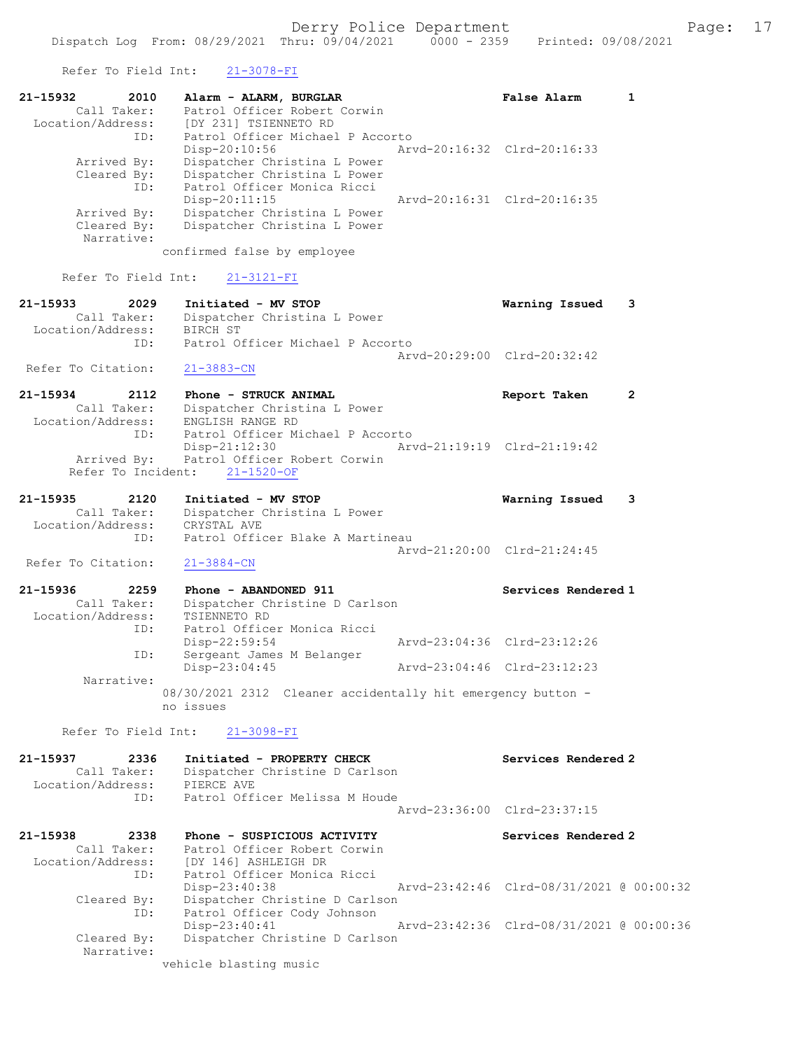Refer To Field Int: 21-3078-FI

Cleared By: Dispatcher Christine D Carlson

vehicle blasting music

Narrative:

| Keter to Field TUP:                                | $21 - 3010 - 11$                                                         |                                          |                |
|----------------------------------------------------|--------------------------------------------------------------------------|------------------------------------------|----------------|
| 21-15932<br>2010<br>Call Taker:                    | Alarm - ALARM, BURGLAR<br>Patrol Officer Robert Corwin                   | <b>False Alarm</b>                       | 1              |
| Location/Address:                                  | [DY 231] TSIENNETO RD                                                    |                                          |                |
| ID:                                                | Patrol Officer Michael P Accorto                                         |                                          |                |
|                                                    | Disp-20:10:56                                                            | Arvd-20:16:32 Clrd-20:16:33              |                |
| Arrived By:<br>Cleared By:                         | Dispatcher Christina L Power<br>Dispatcher Christina L Power             |                                          |                |
| ID:                                                | Patrol Officer Monica Ricci                                              |                                          |                |
|                                                    | Disp-20:11:15                                                            | Arvd-20:16:31 Clrd-20:16:35              |                |
| Arrived By:                                        | Dispatcher Christina L Power                                             |                                          |                |
| Cleared By:                                        | Dispatcher Christina L Power                                             |                                          |                |
| Narrative:                                         | confirmed false by employee                                              |                                          |                |
| Refer To Field Int:                                | $21 - 3121 - FI$                                                         |                                          |                |
|                                                    |                                                                          |                                          |                |
| 21-15933<br>2029                                   | Initiated - MV STOP<br>Dispatcher Christina L Power                      | Warning Issued                           | 3              |
| .<br>Call Taker:<br>Callmass.<br>Location/Address: | BIRCH ST                                                                 |                                          |                |
| ID:                                                | Patrol Officer Michael P Accorto                                         |                                          |                |
|                                                    |                                                                          | Arvd-20:29:00 Clrd-20:32:42              |                |
| Refer To Citation:                                 | $21 - 3883 - CN$                                                         |                                          |                |
| 21-15934<br>2112                                   | Phone - STRUCK ANIMAL                                                    | Report Taken                             | $\overline{2}$ |
| Call Taker:                                        | Dispatcher Christina L Power                                             |                                          |                |
| Location/Address:                                  | ENGLISH RANGE RD                                                         |                                          |                |
| ID:                                                | Patrol Officer Michael P Accorto<br>Disp-21:12:30                        | Arvd-21:19:19 Clrd-21:19:42              |                |
| Arrived By:                                        | Patrol Officer Robert Corwin                                             |                                          |                |
| Refer To Incident:                                 | $21 - 1520 - OF$                                                         |                                          |                |
| 21-15935<br>2120                                   | Initiated - MV STOP                                                      | Warning Issued                           | 3              |
| Call Taker:                                        | Dispatcher Christina L Power                                             |                                          |                |
| Location/Address:                                  | CRYSTAL AVE                                                              |                                          |                |
| ID:                                                | Patrol Officer Blake A Martineau                                         | Arvd-21:20:00 Clrd-21:24:45              |                |
| Refer To Citation:                                 | $21 - 3884 - CN$                                                         |                                          |                |
| 21-15936<br>2259                                   | Phone - ABANDONED 911                                                    | Services Rendered 1                      |                |
| Call Taker:                                        | Dispatcher Christine D Carlson                                           |                                          |                |
| Location/Address:                                  | TSIENNETO RD                                                             |                                          |                |
| ID:                                                | Patrol Officer Monica Ricci                                              |                                          |                |
|                                                    | $Disp-22:59:54$                                                          | Arvd-23:04:36 Clrd-23:12:26              |                |
| ID:                                                | Sergeant James M Belanger<br>Disp-23:04:45                               | Arvd-23:04:46 Clrd-23:12:23              |                |
| Narrative:                                         |                                                                          |                                          |                |
|                                                    | 08/30/2021 2312 Cleaner accidentally hit emergency button -<br>no issues |                                          |                |
| Refer To Field Int:                                | $21 - 3098 - FI$                                                         |                                          |                |
| 21-15937<br>2336                                   | Initiated - PROPERTY CHECK                                               | Services Rendered 2                      |                |
| Call Taker:                                        | Dispatcher Christine D Carlson                                           |                                          |                |
| Location/Address:                                  | PIERCE AVE                                                               |                                          |                |
| ID:                                                | Patrol Officer Melissa M Houde                                           |                                          |                |
|                                                    |                                                                          | Arvd-23:36:00 Clrd-23:37:15              |                |
| 21-15938<br>2338                                   | Phone - SUSPICIOUS ACTIVITY                                              | Services Rendered 2                      |                |
| Call Taker:                                        | Patrol Officer Robert Corwin                                             |                                          |                |
| Location/Address:                                  | [DY 146] ASHLEIGH DR                                                     |                                          |                |
| ID:                                                | Patrol Officer Monica Ricci                                              |                                          |                |
| Cleared By:                                        | Disp-23:40:38<br>Dispatcher Christine D Carlson                          | Arvd-23:42:46 Clrd-08/31/2021 @ 00:00:32 |                |
| ID:                                                | Patrol Officer Cody Johnson                                              |                                          |                |
|                                                    | $Disp-23:40:41$                                                          | Arvd-23:42:36 Clrd-08/31/2021 @ 00:00:36 |                |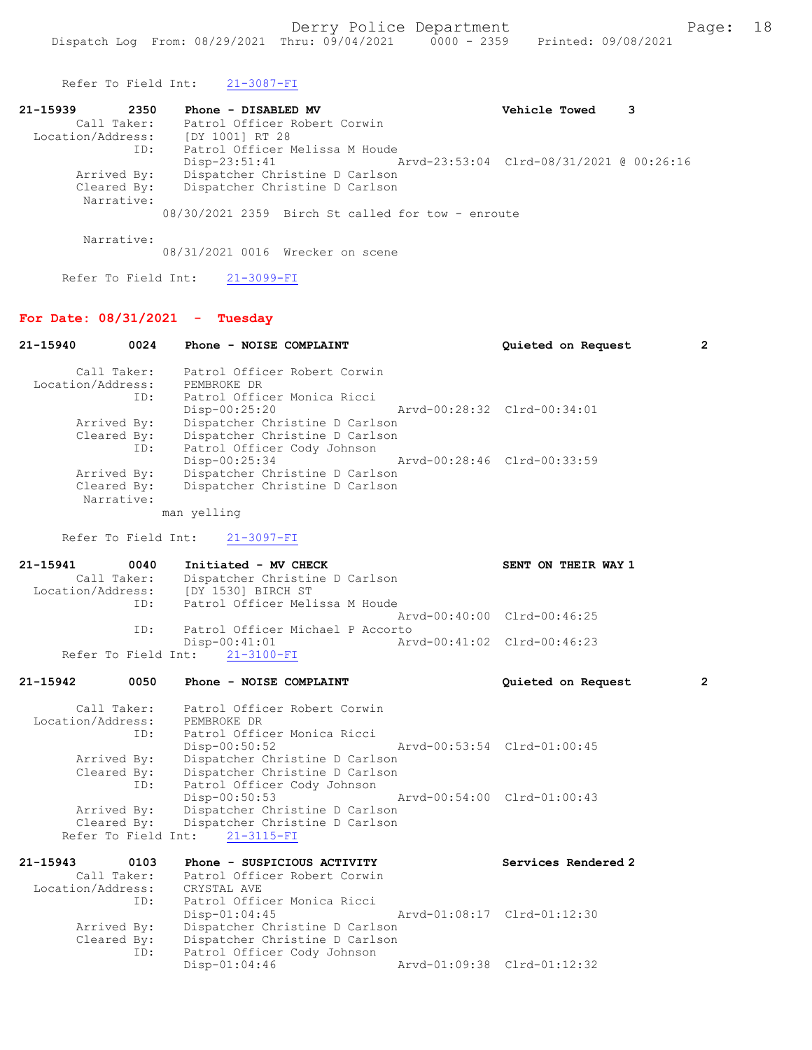Refer To Field Int: 21-3087-FI

| 21-15939<br>2350  | Phone - DISABLED MV                               | Vehicle Towed<br>3 |
|-------------------|---------------------------------------------------|--------------------|
| Call Taker:       | Patrol Officer Robert Corwin                      |                    |
| Location/Address: | [DY 1001] RT 28                                   |                    |
| ID:               | Patrol Officer Melissa M Houde                    |                    |
|                   | Disp-23:51:41                                     |                    |
| Arrived By:       | Dispatcher Christine D Carlson                    |                    |
| Cleared By:       | Dispatcher Christine D Carlson                    |                    |
| Narrative:        |                                                   |                    |
|                   | 08/30/2021 2359 Birch St called for tow - enroute |                    |

Narrative:

08/31/2021 0016 Wrecker on scene

Refer To Field Int: 21-3099-FI

# For Date: 08/31/2021 - Tuesday

| 0024<br>21-15940                                         | Phone - NOISE COMPLAINT                                                                                                              | Quieted on Request          | $\overline{2}$ |
|----------------------------------------------------------|--------------------------------------------------------------------------------------------------------------------------------------|-----------------------------|----------------|
| Call Taker:<br>Location/Address:<br>ID:                  | Patrol Officer Robert Corwin<br>PEMBROKE DR<br>Patrol Officer Monica Ricci                                                           |                             |                |
| Arrived By:<br>Cleared By:                               | $Disp-00:25:20$<br>Dispatcher Christine D Carlson<br>Dispatcher Christine D Carlson                                                  | Arvd-00:28:32 Clrd-00:34:01 |                |
| ID:<br>Arrived By:                                       | Patrol Officer Cody Johnson<br>Disp-00:25:34<br>Dispatcher Christine D Carlson                                                       | Arvd-00:28:46 Clrd-00:33:59 |                |
| Cleared By:<br>Narrative:                                | Dispatcher Christine D Carlson                                                                                                       |                             |                |
|                                                          | man yelling                                                                                                                          |                             |                |
| Refer To Field Int:                                      | $21 - 3097 - FI$                                                                                                                     |                             |                |
| 21-15941<br>0040<br>Call Taker:                          | Initiated - MV CHECK<br>Dispatcher Christine D Carlson<br>Location/Address: [DY 1530] BIRCH ST                                       | SENT ON THEIR WAY 1         |                |
| ID:                                                      | Patrol Officer Melissa M Houde                                                                                                       | Arvd-00:40:00 Clrd-00:46:25 |                |
| ID:<br>Refer To Field Int:                               | Patrol Officer Michael P Accorto<br>$Disp-00:41:01$<br>21-3100-FI                                                                    | Arvd-00:41:02 Clrd-00:46:23 |                |
| 21-15942<br>0050                                         | Phone - NOISE COMPLAINT                                                                                                              | Quieted on Request          | $\overline{2}$ |
| Call Taker:<br>Location/Address:<br>ID:                  | Patrol Officer Robert Corwin<br>PEMBROKE DR<br>Patrol Officer Monica Ricci                                                           |                             |                |
| Arrived By:<br>Cleared By:                               | $Disp-00:50:52$<br>Dispatcher Christine D Carlson<br>Dispatcher Christine D Carlson                                                  | Arvd-00:53:54 Clrd-01:00:45 |                |
| ID:<br>Arrived By:<br>Cleared By:<br>Refer To Field Int: | Patrol Officer Cody Johnson<br>Disp-00:50:53<br>Dispatcher Christine D Carlson<br>Dispatcher Christine D Carlson<br>$21 - 3115 - FI$ | Arvd-00:54:00 Clrd-01:00:43 |                |
| 21-15943<br>0103                                         | Phone - SUSPICIOUS ACTIVITY                                                                                                          | Services Rendered 2         |                |
| Call Taker:<br>Location/Address:                         | Patrol Officer Robert Corwin<br>CRYSTAL AVE                                                                                          |                             |                |
| ID:                                                      | Patrol Officer Monica Ricci<br>$Disp-01:04:45$                                                                                       | Arvd-01:08:17 Clrd-01:12:30 |                |
| Arrived By:<br>Cleared By:<br>ID:                        | Dispatcher Christine D Carlson<br>Dispatcher Christine D Carlson<br>Patrol Officer Cody Johnson                                      |                             |                |
|                                                          | Disp-01:04:46                                                                                                                        | Arvd-01:09:38 Clrd-01:12:32 |                |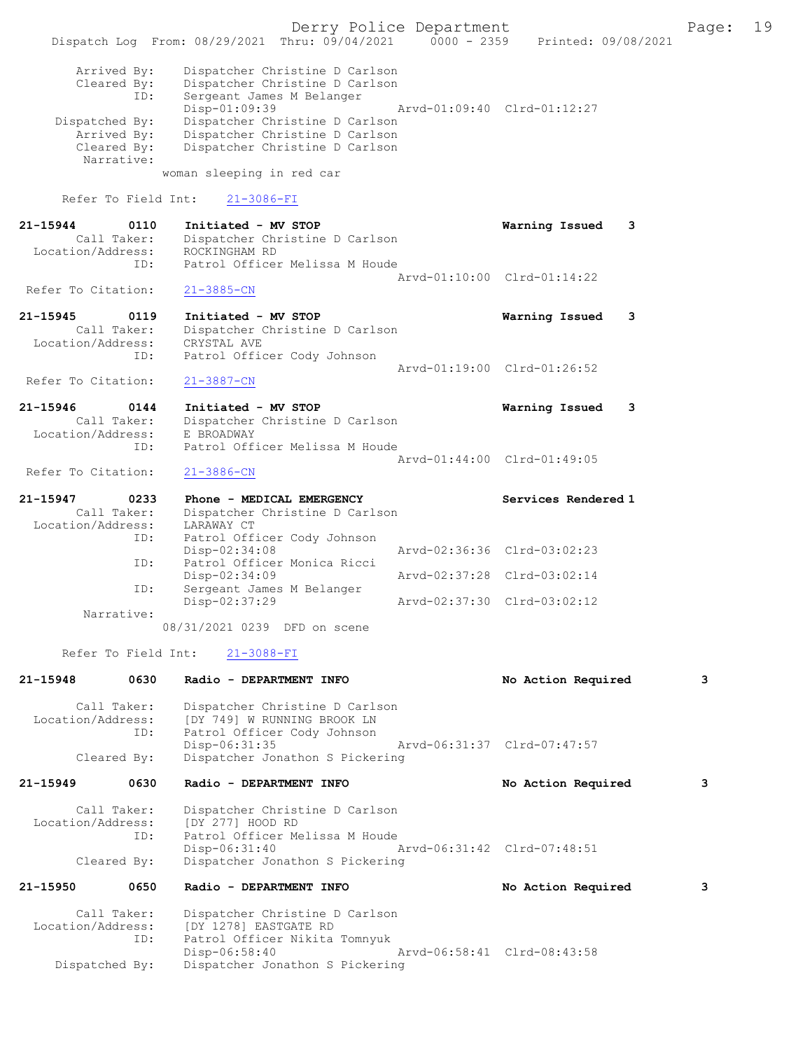Derry Police Department The Page: 19 Dispatch Log From:  $08/29/2021$  Thru:  $09/04/2021$  0000 - 2359 Printed: 09/08/2021 Arrived By: Dispatcher Christine D Carlson Cleared By: Dispatcher Christine D Carlson ID: Sergeant James M Belanger Disp-01:09:39 Arvd-01:09:40 Clrd-01:12:27 Dispatched By: Dispatcher Christine D Carlson<br>Arrived By: Dispatcher Christine D Carlson Dispatcher Christine D Carlson Cleared By: Dispatcher Christine D Carlson Narrative: woman sleeping in red car Refer To Field Int: 21-3086-FI 21-15944 0110 Initiated - MV STOP Warning Issued 3<br>Call Taker: Dispatcher Christine D Carlson Dispatcher Christine D Carlson<br>ROCKINGHAM RD Location/Address: ID: Patrol Officer Melissa M Houde Arvd-01:10:00 Clrd-01:14:22<br>21-3885-CN Refer To Citation: 21-15945 0119 Initiated - MV STOP Warning Issued 3 Call Taker: Dispatcher Christine D Carlson<br>ion/Address: CRYSTAL AVE Location/Address:<br>Th: Patrol Officer Cody Johnson Arvd-01:19:00 Clrd-01:26:52<br>21-3887-CN Refer To Citation: 21-15946 0144 Initiated - MV STOP Warning Issued 3 Call Taker: Dispatcher Christine D Carlson<br>ion/Address: E BROADWAY Location/Address: ID: Patrol Officer Melissa M Houde Arvd-01:44:00 Clrd-01:49:05<br>21-3886-CN Refer To Citation: 21-15947 0233 Phone - MEDICAL EMERGENCY Services Rendered 1 Call Taker: Dispatcher Christine D Carlson<br>ion/Address: LARAWAY CT Location/Address: ID: Patrol Officer Cody Johnson Disp-02:34:08 Arvd-02:36:36 Clrd-03:02:23<br>ID: Patrol Officer Monica Ricci Patrol Officer Monica Ricci<br>Disp-02:34:09 Disp-02:34:09 Arvd-02:37:28 Clrd-03:02:14<br>ID: Sergeant James M Belanger Sergeant James M Belanger Disp-02:37:29 Arvd-02:37:30 Clrd-03:02:12 Narrative: 08/31/2021 0239 DFD on scene Refer To Field Int: 21-3088-FI 21-15948 0630 Radio - DEPARTMENT INFO No Action Required 3 Call Taker: Dispatcher Christine D Carlson<br>Location/Address: [DY 749] W RUNNING BROOK LN ess: [DY 749] W RUNNING BROOK LN<br>ID: Patrol Officer Cody Johnson Patrol Officer Cody Johnson<br>Disp-06:31:35 Disp-06:31:35 Arvd-06:31:37 Clrd-07:47:57<br>Cleared By: Dispatcher Jonathon S Pickering Dispatcher Jonathon S Pickering 21-15949 0630 Radio - DEPARTMENT INFO No Action Required 3 Call Taker: Dispatcher Christine D Carlson<br>ion/Address: [DY 277] HOOD RD Location/Address: ID: Patrol Officer Melissa M Houde<br>Disp-06:31:40 Disp-06:31:40 Arvd-06:31:42 Clrd-07:48:51<br>Cleared By: Dispatcher Jonathon S Pickering Dispatcher Jonathon S Pickering 21-15950 0650 Radio - DEPARTMENT INFO No Action Required 3 Call Taker: Dispatcher Christine D Carlson Location/Address: [DY 1278] EASTGATE RD<br>ID: Patrol Officer Nikita Patrol Officer Nikita Tomnyuk<br>Disp-06:58:40 Disp-06:58:40 Arvd-06:58:41 Clrd-08:43:58 Dispatched By: Dispatcher Jonathon S Pickering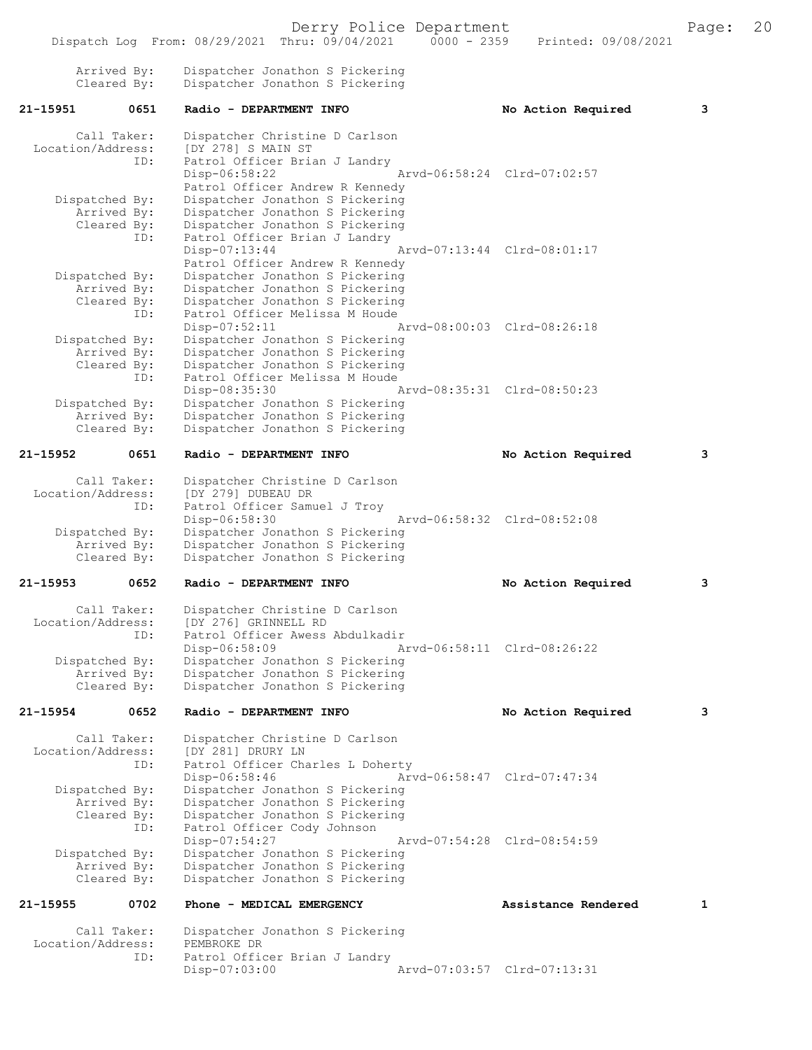|                                     |                                   | Dispatch Log From: 08/29/2021 Thru: 09/04/2021<br>$0000 - 2359$                                                                                                                              | Printed: 09/08/2021         |   |
|-------------------------------------|-----------------------------------|----------------------------------------------------------------------------------------------------------------------------------------------------------------------------------------------|-----------------------------|---|
|                                     | Arrived By:<br>Cleared By:        | Dispatcher Jonathon S Pickering<br>Dispatcher Jonathon S Pickering                                                                                                                           |                             |   |
| 21–15951                            | 0651                              | Radio - DEPARTMENT INFO                                                                                                                                                                      | No Action Required          | з |
| Location/Address:                   | Call Taker:<br>ID:                | Dispatcher Christine D Carlson<br>[DY 278] S MAIN ST<br>Patrol Officer Brian J Landry<br>Disp-06:58:22<br>Patrol Officer Andrew R Kennedy                                                    | Arvd-06:58:24 Clrd-07:02:57 |   |
| Dispatched By:                      | Arrived By:<br>Cleared By:<br>ID: | Dispatcher Jonathon S Pickering<br>Dispatcher Jonathon S Pickering<br>Dispatcher Jonathon S Pickering<br>Patrol Officer Brian J Landry<br>$Disp-07:13:44$<br>Patrol Officer Andrew R Kennedy | Arvd-07:13:44 Clrd-08:01:17 |   |
| Dispatched By:                      | Arrived By:<br>Cleared By:<br>ID: | Dispatcher Jonathon S Pickering<br>Dispatcher Jonathon S Pickering<br>Dispatcher Jonathon S Pickering<br>Patrol Officer Melissa M Houde<br>Disp-07:52:11                                     | Arvd-08:00:03 Clrd-08:26:18 |   |
| Dispatched By:                      | Arrived By:<br>Cleared By:<br>ID: | Dispatcher Jonathon S Pickering<br>Dispatcher Jonathon S Pickering<br>Dispatcher Jonathon S Pickering<br>Patrol Officer Melissa M Houde<br>Disp-08:35:30                                     | Arvd-08:35:31 Clrd-08:50:23 |   |
| Dispatched By:                      | Arrived By:<br>Cleared By:        | Dispatcher Jonathon S Pickering<br>Dispatcher Jonathon S Pickering<br>Dispatcher Jonathon S Pickering                                                                                        |                             |   |
| 21-15952                            | 0651                              | Radio - DEPARTMENT INFO                                                                                                                                                                      | No Action Required          | з |
| Location/Address:<br>Dispatched By: | Call Taker:<br>ID:                | Dispatcher Christine D Carlson<br>[DY 279] DUBEAU DR<br>Patrol Officer Samuel J Troy<br>Disp-06:58:30<br>Dispatcher Jonathon S Pickering                                                     | Arvd-06:58:32 Clrd-08:52:08 |   |
|                                     | Arrived By:<br>Cleared By:        | Dispatcher Jonathon S Pickering<br>Dispatcher Jonathon S Pickering                                                                                                                           |                             |   |
| 21-15953                            | 0652                              | Radio - DEPARTMENT INFO                                                                                                                                                                      | No Action Required          | з |
| Location/Address:                   | Call Taker:<br>ID:                | Dispatcher Christine D Carlson<br>[DY 276] GRINNELL RD<br>Patrol Officer Awess Abdulkadir<br>Disp-06:58:09                                                                                   | Arvd-06:58:11 Clrd-08:26:22 |   |
| Dispatched By:                      | Arrived By:<br>Cleared By:        | Dispatcher Jonathon S Pickering<br>Dispatcher Jonathon S Pickering<br>Dispatcher Jonathon S Pickering                                                                                        |                             |   |
| 21-15954                            | 0652                              | Radio - DEPARTMENT INFO                                                                                                                                                                      | No Action Required          | з |
| Location/Address:                   | Call Taker:<br>ID:                | Dispatcher Christine D Carlson<br>[DY 281] DRURY LN<br>Patrol Officer Charles L Doherty<br>$Disp-06:58:46$                                                                                   | Arvd-06:58:47 Clrd-07:47:34 |   |
| Dispatched By:                      | Arrived By:<br>Cleared By:<br>ID: | Dispatcher Jonathon S Pickering<br>Dispatcher Jonathon S Pickering<br>Dispatcher Jonathon S Pickering<br>Patrol Officer Cody Johnson<br>Disp-07:54:27                                        | Arvd-07:54:28 Clrd-08:54:59 |   |
| Dispatched By:                      | Arrived By:<br>Cleared By:        | Dispatcher Jonathon S Pickering<br>Dispatcher Jonathon S Pickering<br>Dispatcher Jonathon S Pickering                                                                                        |                             |   |
| 21-15955                            | 0702                              | Phone - MEDICAL EMERGENCY                                                                                                                                                                    | Assistance Rendered         | 1 |
| Location/Address:                   | Call Taker:<br>ID:                | Dispatcher Jonathon S Pickering<br>PEMBROKE DR<br>Patrol Officer Brian J Landry                                                                                                              |                             |   |
|                                     |                                   | Disp-07:03:00                                                                                                                                                                                | Arvd-07:03:57 Clrd-07:13:31 |   |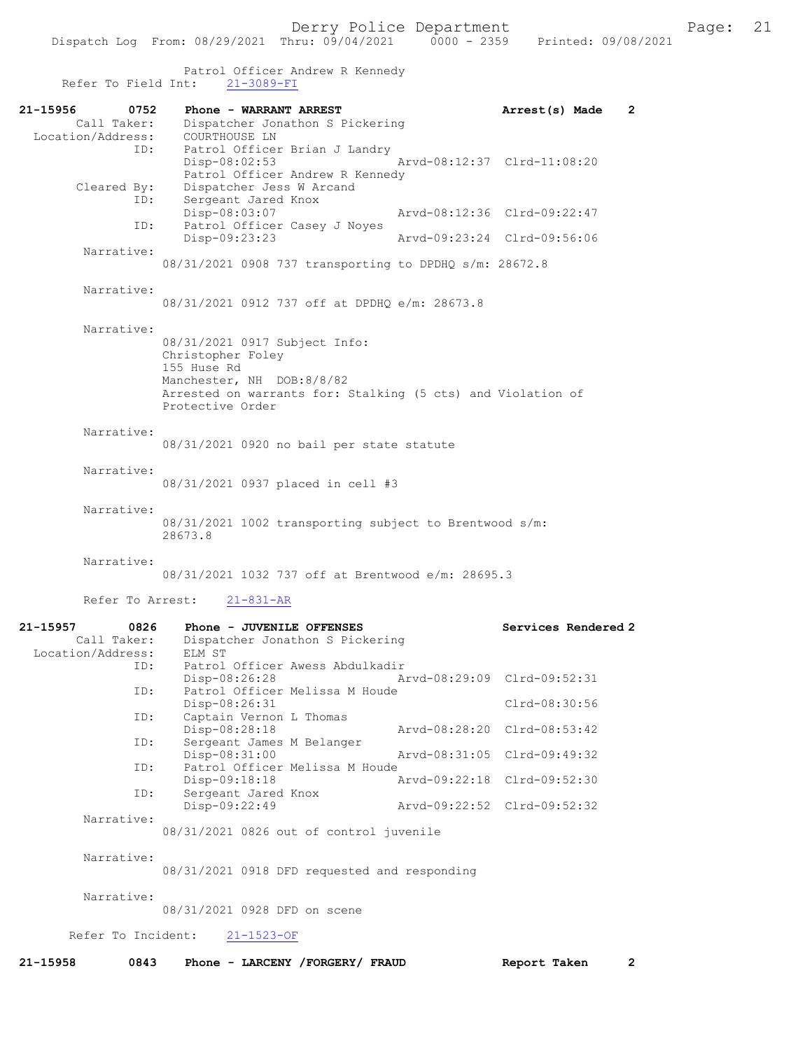|                                                      | Derry Police Department<br>Dispatch Log From: 08/29/2021 Thru: 09/04/2021 0000 - 2359 Printed: 09/08/2021                                                                         |                                                            | Page: | 21 |
|------------------------------------------------------|-----------------------------------------------------------------------------------------------------------------------------------------------------------------------------------|------------------------------------------------------------|-------|----|
| Refer To Field Int:                                  | Patrol Officer Andrew R Kennedy<br>$21 - 3089 - FI$                                                                                                                               |                                                            |       |    |
| 21-15956<br>0752                                     | Phone - WARRANT ARREST                                                                                                                                                            | Arrest(s) Made<br>$\overline{2}$                           |       |    |
| Location/Address:<br>ID:                             | Call Taker: Dispatcher Jonathon S Pickering<br>COURTHOUSE LN<br>Patrol Officer Brian J Landry<br>$Disp-08:02:53$<br>Patrol Officer Andrew R Kennedy                               | Arvd-08:12:37 Clrd-11:08:20                                |       |    |
| Cleared By:<br>ID:                                   | Dispatcher Jess W Arcand<br>Sergeant Jared Knox                                                                                                                                   |                                                            |       |    |
| ID:                                                  | Disp-08:03:07<br>Patrol Officer Casey J Noyes<br>Disp-09:23:23                                                                                                                    | Arvd-08:12:36 Clrd-09:22:47<br>Arvd-09:23:24 Clrd-09:56:06 |       |    |
| Narrative:                                           | 08/31/2021 0908 737 transporting to DPDHQ s/m: 28672.8                                                                                                                            |                                                            |       |    |
| Narrative:                                           |                                                                                                                                                                                   |                                                            |       |    |
|                                                      | 08/31/2021 0912 737 off at DPDHO e/m: 28673.8                                                                                                                                     |                                                            |       |    |
| Narrative:                                           | 08/31/2021 0917 Subject Info:<br>Christopher Foley<br>155 Huse Rd<br>Manchester, NH DOB:8/8/82<br>Arrested on warrants for: Stalking (5 cts) and Violation of<br>Protective Order |                                                            |       |    |
| Narrative:                                           | 08/31/2021 0920 no bail per state statute                                                                                                                                         |                                                            |       |    |
| Narrative:                                           | 08/31/2021 0937 placed in cell #3                                                                                                                                                 |                                                            |       |    |
| Narrative:                                           | 08/31/2021 1002 transporting subject to Brentwood s/m:<br>28673.8                                                                                                                 |                                                            |       |    |
| Narrative:                                           | 08/31/2021 1032 737 off at Brentwood e/m: 28695.3                                                                                                                                 |                                                            |       |    |
| Refer To Arrest:                                     | $21 - 831 - AR$                                                                                                                                                                   |                                                            |       |    |
| 0826<br>21-15957<br>Call Taker:<br>Location/Address: | Phone - JUVENILE OFFENSES<br>Dispatcher Jonathon S Pickering<br>ELM ST                                                                                                            | Services Rendered 2                                        |       |    |
| ID:                                                  | Patrol Officer Awess Abdulkadir<br>Disp-08:26:28                                                                                                                                  | Arvd-08:29:09 Clrd-09:52:31                                |       |    |
| ID:                                                  | Patrol Officer Melissa M Houde<br>Disp-08:26:31                                                                                                                                   | Clrd-08:30:56                                              |       |    |
| ID:                                                  | Captain Vernon L Thomas<br>Disp-08:28:18                                                                                                                                          | Arvd-08:28:20 Clrd-08:53:42                                |       |    |
| ID:                                                  | Sergeant James M Belanger<br>Disp-08:31:00                                                                                                                                        | Aryd-08:31:05 Clrd-09:49:32                                |       |    |
| ID:                                                  | Patrol Officer Melissa M Houde<br>Disp-09:18:18                                                                                                                                   | Arvd-09:22:18 Clrd-09:52:30                                |       |    |
| ID:                                                  | Sergeant Jared Knox<br>Disp-09:22:49                                                                                                                                              | Arvd-09:22:52 Clrd-09:52:32                                |       |    |
| Narrative:                                           | 08/31/2021 0826 out of control juvenile                                                                                                                                           |                                                            |       |    |
| Narrative:                                           | 08/31/2021 0918 DFD requested and responding                                                                                                                                      |                                                            |       |    |
| Narrative:                                           | 08/31/2021 0928 DFD on scene                                                                                                                                                      |                                                            |       |    |
| Refer To Incident:                                   | $21 - 1523 - OF$                                                                                                                                                                  |                                                            |       |    |
| 21-15958<br>0843                                     | Phone - LARCENY /FORGERY/ FRAUD                                                                                                                                                   | $\overline{2}$<br>Report Taken                             |       |    |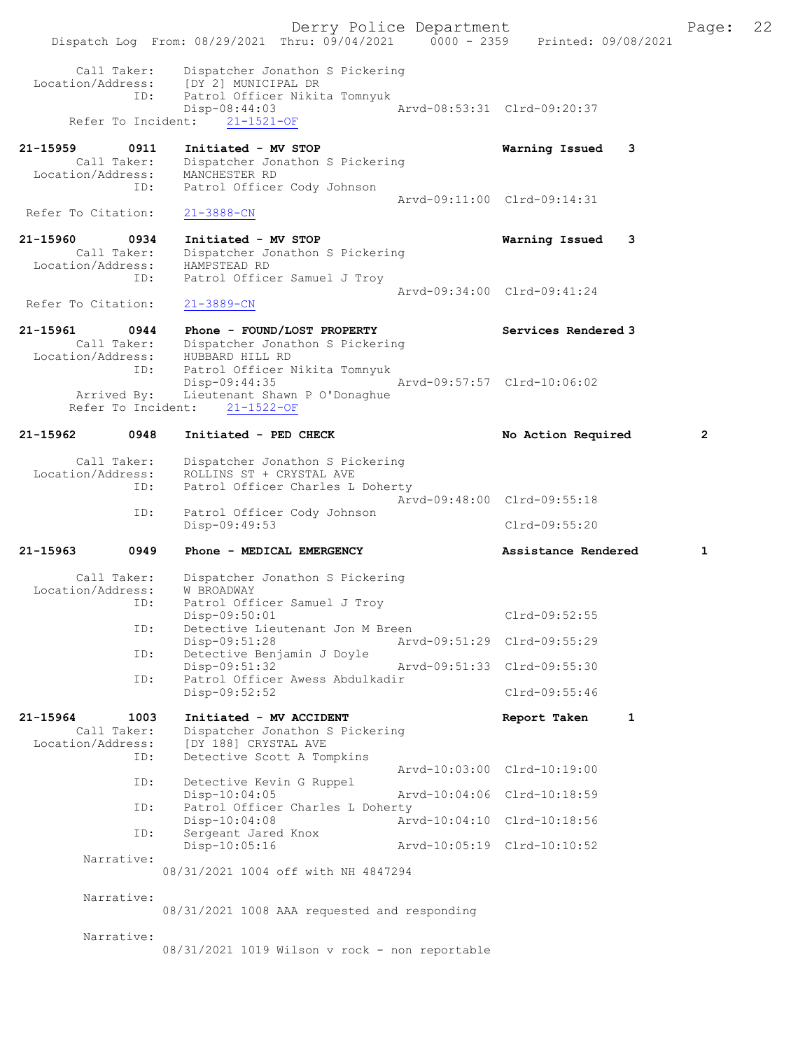Derry Police Department Fage: 22 Dispatch Log From: 08/29/2021 Thru: 09/04/2021 0000 - 2359 Printed: 09/08/2021 Call Taker: Dispatcher Jonathon S Pickering Location/Address: [DY 2] MUNICIPAL DR ID: Patrol Officer Nikita Tomnyuk Disp-08:44:03 Arvd-08:53:31 Clrd-09:20:37 Refer To Incident: 21-1521-OF 21-15959 0911 Initiated - MV STOP Warning Issued 3 Call Taker: Dispatcher Jonathon S Pickering Location/Address: MANCHESTER RD ID: Patrol Officer Cody Johnson Arvd-09:11:00 Clrd-09:14:31 Refer To Citation: 21-3888-CN 21-15960 0934 Initiated - MV STOP Warning Issued 3 Call Taker: Dispatcher Jonathon S Pickering Location/Address: HAMPSTEAD RD ID: Patrol Officer Samuel J Troy Arvd-09:34:00 Clrd-09:41:24 Refer To Citation: 21-3889-CN 21-15961 0944 Phone - FOUND/LOST PROPERTY Services Rendered 3 Call Taker: Dispatcher Jonathon S Pickering Location/Address: HUBBARD HILL RD ID: Patrol Officer Nikita Tomnyuk Disp-09:44:35 Arvd-09:57:57 Clrd-10:06:02 Arrived By: Lieutenant Shawn P O'Donaghue Refer To Incident: 21-1522-OF 21-15962 0948 Initiated - PED CHECK No Action Required 2 Call Taker: Dispatcher Jonathon S Pickering Location/Address: ROLLINS ST + CRYSTAL AVE ID: Patrol Officer Charles L Doherty Arvd-09:48:00 Clrd-09:55:18 ID: Patrol Officer Cody Johnson Clrd-09:55:20 21-15963 0949 Phone - MEDICAL EMERGENCY Assistance Rendered 1 Call Taker: Dispatcher Jonathon S Pickering Location/Address: W BROADWAY ID: Patrol Officer Samuel J Troy<br>Disp-09:50:01 Disp-09:50:01 Clrd-09:52:55 ID: Detective Lieutenant Jon M Breen Disp-09:51:28 Arvd-09:51:29 Clrd-09:55:29 ID: Detective Benjamin J Doyle Disp-09:51:32 Arvd-09:51:33 Clrd-09:55:30 ID: Patrol Officer Awess Abdulkadir Disp-09:52:52 Clrd-09:55:46 21-15964 1003 Initiated - MV ACCIDENT 1 Report Taken 1 Call Taker: Dispatcher Jonathon S Pickering Location/Address: [DY 188] CRYSTAL AVE ID: Detective Scott A Tompkins Arvd-10:03:00 Clrd-10:19:00<br>ID: Detective Kevin G Ruppel Detective Kevin G Ruppel<br>Disp-10:04:05 Disp-10:04:05 Arvd-10:04:06 Clrd-10:18:59 ID: Patrol Officer Charles L Doherty Disp-10:04:08 <br>
Disp-10:04:08 <br>
Displays <br>
Displays <br>
Displays <br>
Displays <br>
Displays <br>
Displays <br>
Displays <br>
Displays <br>
Displays <br>
Displays <br>
Displays <br>
Displays <br>
Displays <br>
Displays <br>
Displays <br>
Displays <br>
Displays <br>
Dis ISP-10:04:08<br>Sergeant Jared Knox<br>DispelD:05.35 Disp-10:05:16 Arvd-10:05:19 Clrd-10:10:52 Narrative: 08/31/2021 1004 off with NH 4847294 Narrative: 08/31/2021 1008 AAA requested and responding Narrative: 08/31/2021 1019 Wilson v rock - non reportable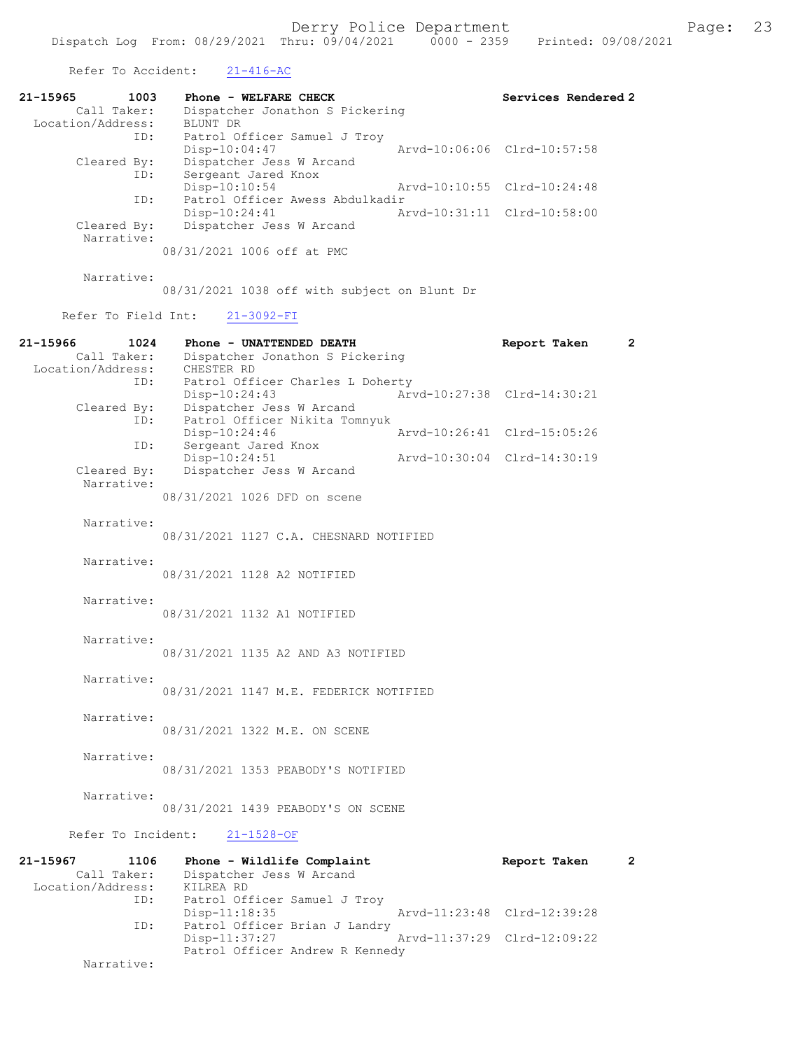Refer To Accident: 21-416-AC

| 21-15965          | 1003        | Phone - WELFARE CHECK           |                             | Services Rendered 2         |
|-------------------|-------------|---------------------------------|-----------------------------|-----------------------------|
|                   | Call Taker: | Dispatcher Jonathon S Pickering |                             |                             |
| Location/Address: |             | BLUNT DR                        |                             |                             |
|                   | ID:         | Patrol Officer Samuel J Troy    |                             |                             |
|                   |             | $Disp-10:04:47$                 |                             | Arvd-10:06:06 Clrd-10:57:58 |
|                   | Cleared By: | Dispatcher Jess W Arcand        |                             |                             |
|                   | ID:         | Sergeant Jared Knox             |                             |                             |
|                   |             | Disp-10:10:54                   | Arvd-10:10:55 Clrd-10:24:48 |                             |
|                   | ID:         | Patrol Officer Awess Abdulkadir |                             |                             |
|                   |             | $Disp-10:24:41$                 | Arvd-10:31:11 Clrd-10:58:00 |                             |
|                   | Cleared By: | Dispatcher Jess W Arcand        |                             |                             |
|                   | Narrative:  |                                 |                             |                             |
|                   |             | 08/31/2021 1006 off at PMC      |                             |                             |

Narrative:

08/31/2021 1038 off with subject on Blunt Dr

Refer To Field Int: 21-3092-FI

Patrol Officer Andrew R Kennedy

Narrative:

| 21-15966<br>1024<br>Call Taker:<br>Location/Address:            | Phone - UNATTENDED DEATH<br>Dispatcher Jonathon S Pickering<br>CHESTER RD                                        | Report Taken                | $\overline{2}$ |
|-----------------------------------------------------------------|------------------------------------------------------------------------------------------------------------------|-----------------------------|----------------|
| ID:<br>Cleared By:<br>ID:                                       | Patrol Officer Charles L Doherty<br>$Disp-10:24:43$<br>Dispatcher Jess W Arcand<br>Patrol Officer Nikita Tomnyuk | Arvd-10:27:38 Clrd-14:30:21 |                |
| ID:                                                             | $Disp-10:24:46$<br>Sergeant Jared Knox                                                                           | Arvd-10:26:41 Clrd-15:05:26 |                |
| Cleared By:<br>Narrative:                                       | Disp-10:24:51<br>Dispatcher Jess W Arcand                                                                        | Arvd-10:30:04 Clrd-14:30:19 |                |
|                                                                 | 08/31/2021 1026 DFD on scene                                                                                     |                             |                |
| Narrative:                                                      | 08/31/2021 1127 C.A. CHESNARD NOTIFIED                                                                           |                             |                |
| Narrative:                                                      | 08/31/2021 1128 A2 NOTIFIED                                                                                      |                             |                |
| Narrative:                                                      | 08/31/2021 1132 A1 NOTIFIED                                                                                      |                             |                |
| Narrative:                                                      | 08/31/2021 1135 A2 AND A3 NOTIFIED                                                                               |                             |                |
| Narrative:                                                      | 08/31/2021 1147 M.E. FEDERICK NOTIFIED                                                                           |                             |                |
| Narrative:                                                      | 08/31/2021 1322 M.E. ON SCENE                                                                                    |                             |                |
| Narrative:                                                      | 08/31/2021 1353 PEABODY'S NOTIFIED                                                                               |                             |                |
| Narrative:                                                      | 08/31/2021 1439 PEABODY'S ON SCENE                                                                               |                             |                |
| Refer To Incident:                                              | $21 - 1528 - OF$                                                                                                 |                             |                |
| $21 - 15967$<br>1106<br>Call Taker:<br>Location/Address:<br>ID: | Phone - Wildlife Complaint<br>Dispatcher Jess W Arcand<br>KILREA RD<br>Patrol Officer Samuel J Troy              | Report Taken                | $\overline{2}$ |
|                                                                 | Disp-11:18:35                                                                                                    | Arvd-11:23:48 Clrd-12:39:28 |                |
| ID:                                                             | Patrol Officer Brian J Landry<br>Disp-11:37:27                                                                   | Arvd-11:37:29 Clrd-12:09:22 |                |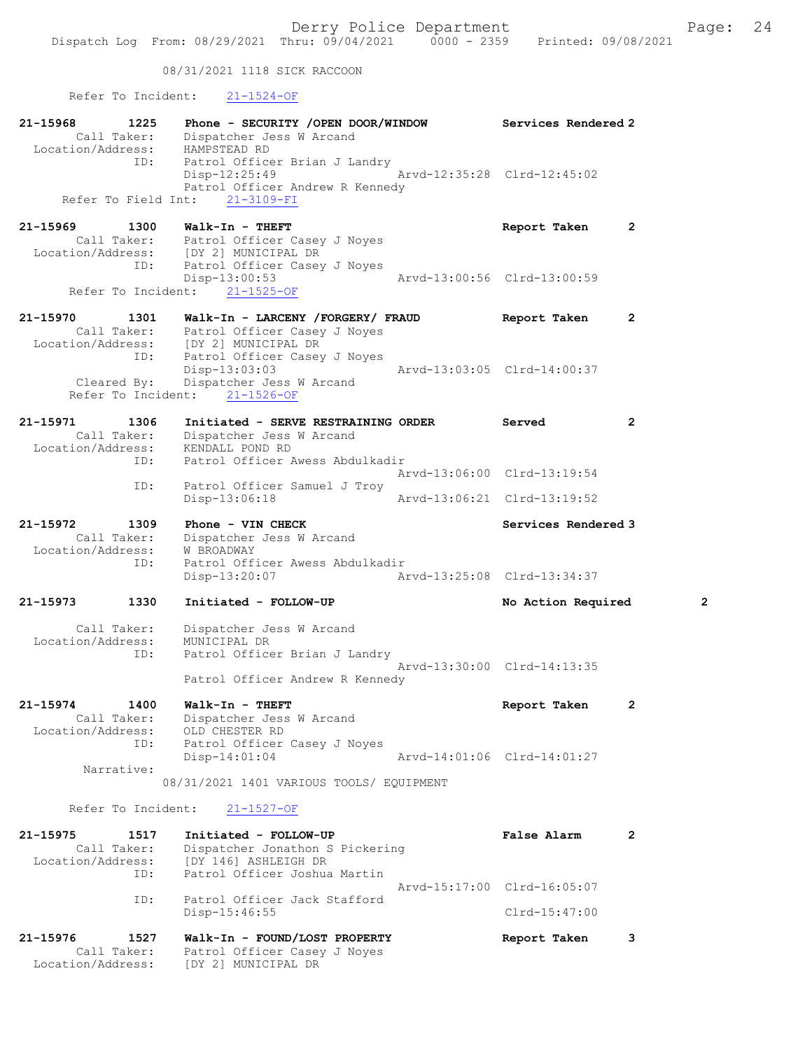08/31/2021 1118 SICK RACCOON

Refer To Incident: 21-1524-OF

| 21-15968<br>1225<br>Call Taker:<br>Location/Address: HAMPSTEAD RD<br>ID: | Phone - SECURITY /OPEN DOOR/WINDOW<br>Dispatcher Jess W Arcand<br>Patrol Officer Brian J Landry                                      | Services Rendered 2                            |                       |
|--------------------------------------------------------------------------|--------------------------------------------------------------------------------------------------------------------------------------|------------------------------------------------|-----------------------|
|                                                                          | Disp-12:25:49<br>Patrol Officer Andrew R Kennedy<br>Refer To Field Int: 21-3109-FI                                                   | Arvd-12:35:28 Clrd-12:45:02                    |                       |
| 21-15969<br>1300<br>ID:                                                  | Walk-In - THEFT<br>Call Taker: Patrol Officer Casey J Noyes<br>Location/Address: [DY 2] MUNICIPAL DR<br>Patrol Officer Casey J Noyes | Report Taken                                   | $\mathbf{2}$          |
|                                                                          | Disp-13:00:53<br>Refer To Incident: 21-1525-OF                                                                                       | Arvd-13:00:56 Clrd-13:00:59                    |                       |
| 21-15970<br>1301                                                         | Walk-In - LARCENY /FORGERY/ FRAUD<br>Call Taker: Patrol Officer Casey J Noyes                                                        | Report Taken                                   | $\mathbf{2}$          |
| ID:                                                                      | Location/Address: [DY 2] MUNICIPAL DR<br>Patrol Officer Casey J Noyes<br>Disp-13:03:03                                               | Arvd-13:03:05 Clrd-14:00:37                    |                       |
|                                                                          | Cleared By: Dispatcher Jess W Arcand<br>Refer To Incident: 21-1526-OF                                                                |                                                |                       |
| 21-15971<br>1306<br>Call Taker:                                          | Initiated - SERVE RESTRAINING ORDER<br>Dispatcher Jess W Arcand                                                                      | Served                                         | $\mathbf{2}^{\prime}$ |
| Location/Address: KENDALL POND RD<br>ID:                                 | Patrol Officer Awess Abdulkadir                                                                                                      | Arvd-13:06:00 Clrd-13:19:54                    |                       |
| ID:                                                                      | Patrol Officer Samuel J Troy<br>Disp-13:06:18                                                                                        | Arvd-13:06:21 Clrd-13:19:52                    |                       |
| 21-15972<br>1309<br>Call Taker:<br>Location/Address:<br>ID:              | Phone - VIN CHECK<br>Dispatcher Jess W Arcand<br>W BROADWAY<br>Patrol Officer Awess Abdulkadir                                       | Services Rendered 3                            |                       |
|                                                                          | Disp-13:20:07                                                                                                                        |                                                |                       |
| 21-15973<br>1330                                                         | Initiated - FOLLOW-UP                                                                                                                | No Action Required                             | 2                     |
| Call Taker:<br>Location/Address:<br>ID:                                  | Dispatcher Jess W Arcand<br>MUNICIPAL DR<br>Patrol Officer Brian J Landry                                                            |                                                |                       |
|                                                                          | Patrol Officer Andrew R Kennedy                                                                                                      | Arvd-13:30:00 Clrd-14:13:35                    |                       |
| 21-15974<br>1400<br>Call Taker:<br>Location/Address:                     | Walk-In - THEFT<br>Dispatcher Jess W Arcand<br>OLD CHESTER RD                                                                        | Report Taken                                   | $\mathbf{2}$          |
| ID:<br>Narrative:                                                        | Patrol Officer Casey J Noyes<br>$Disp-14:01:04$                                                                                      | Arvd-14:01:06 Clrd-14:01:27                    |                       |
|                                                                          | 08/31/2021 1401 VARIOUS TOOLS/ EQUIPMENT                                                                                             |                                                |                       |
| Refer To Incident:                                                       | 21-1527-OF                                                                                                                           |                                                |                       |
| 21-15975<br>1517<br>Call Taker:<br>Location/Address:<br>ID:              | Initiated - FOLLOW-UP<br>Dispatcher Jonathon S Pickering<br>[DY 146] ASHLEIGH DR<br>Patrol Officer Joshua Martin                     | <b>False Alarm</b>                             | 2                     |
| ID:                                                                      | Patrol Officer Jack Stafford<br>$Disp-15:46:55$                                                                                      | Arvd-15:17:00 Clrd-16:05:07<br>$Clrd-15:47:00$ |                       |
|                                                                          |                                                                                                                                      |                                                |                       |
| 21-15976<br>1527                                                         | Walk-In - FOUND/LOST PROPERTY                                                                                                        | Report Taken                                   | 3                     |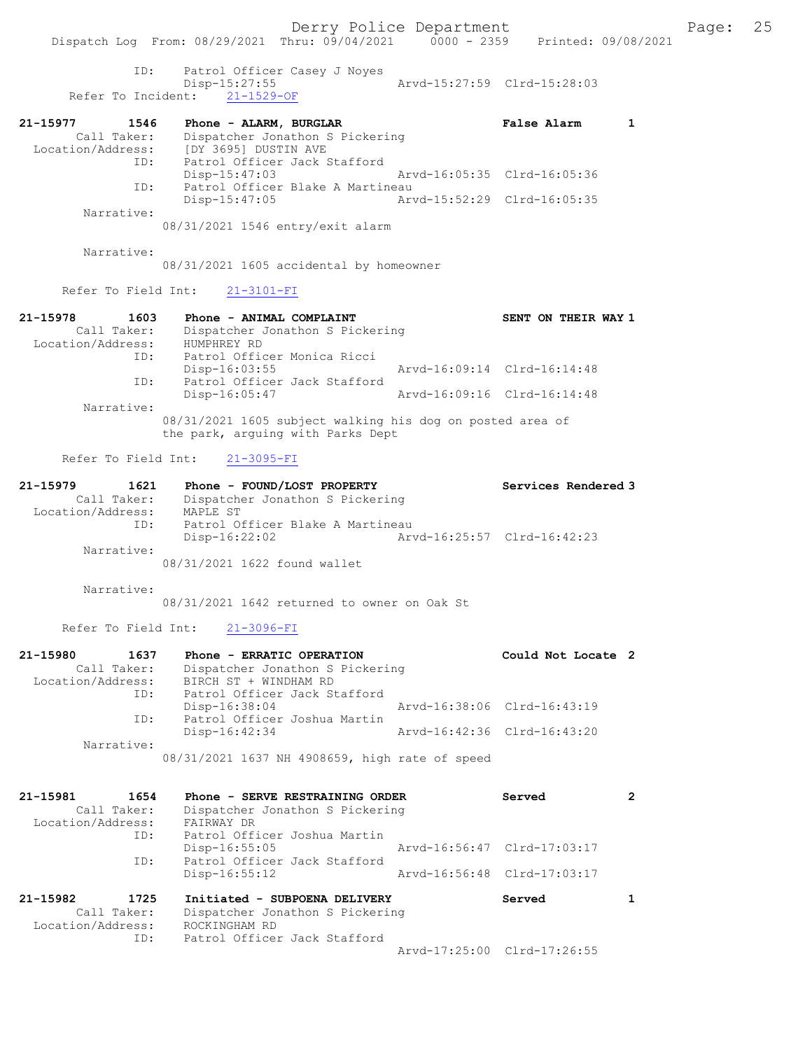ID: Patrol Officer Casey J Noyes Disp-15:27:55 Arvd-15:27:59 Clrd-15:28:03 Refer To Incident: 21-1529-OF

| 21-15977          | 1546        | Phone - ALARM, BURGLAR           | <b>False Alarm</b>          |  |
|-------------------|-------------|----------------------------------|-----------------------------|--|
|                   | Call Taker: | Dispatcher Jonathon S Pickering  |                             |  |
| Location/Address: |             | [DY 3695] DUSTIN AVE             |                             |  |
|                   | ID:         | Patrol Officer Jack Stafford     |                             |  |
|                   |             | $Disp-15:47:03$                  | Arvd-16:05:35 Clrd-16:05:36 |  |
|                   | ID:         | Patrol Officer Blake A Martineau |                             |  |
|                   |             | $Disp-15:47:05$                  | Arvd-15:52:29 Clrd-16:05:35 |  |
|                   | Narrative:  |                                  |                             |  |
|                   |             | 08/31/2021 1546 entry/exit alarm |                             |  |

Narrative:

08/31/2021 1605 accidental by homeowner

Refer To Field Int: 21-3101-FI

| 21-15978          | 1603        | Phone - ANIMAL COMPLAINT                                                                       |                             | SENT ON THEIR WAY 1 |  |
|-------------------|-------------|------------------------------------------------------------------------------------------------|-----------------------------|---------------------|--|
|                   | Call Taker: | Dispatcher Jonathon S Pickering                                                                |                             |                     |  |
| Location/Address: |             | HUMPHREY RD                                                                                    |                             |                     |  |
|                   | ID:         | Patrol Officer Monica Ricci                                                                    |                             |                     |  |
|                   |             | $Disp-16:03:55$                                                                                | Arvd-16:09:14 Clrd-16:14:48 |                     |  |
|                   | ID:         | Patrol Officer Jack Stafford                                                                   |                             |                     |  |
|                   |             | $Disp-16:05:47$                                                                                | Arvd-16:09:16 Clrd-16:14:48 |                     |  |
|                   | Narrative:  |                                                                                                |                             |                     |  |
|                   |             | 08/31/2021 1605 subject walking his dog on posted area of<br>the park, arquing with Parks Dept |                             |                     |  |

Refer To Field Int: 21-3095-FI

| 21-15979          | 1621        | Phone - FOUND/LOST PROPERTY      | Services Rendered 3         |
|-------------------|-------------|----------------------------------|-----------------------------|
|                   | Call Taker: | Dispatcher Jonathon S Pickering  |                             |
| Location/Address: |             | MAPLE ST                         |                             |
|                   | ID:         | Patrol Officer Blake A Martineau |                             |
|                   |             | Disp-16:22:02                    | Arvd-16:25:57 Clrd-16:42:23 |
|                   | Narrative:  |                                  |                             |
|                   |             | 08/31/2021 1622 found wallet     |                             |

Narrative:

08/31/2021 1642 returned to owner on Oak St

Refer To Field Int: 21-3096-FI

| 21-15980          | 1637        | Phone - ERRATIC OPERATION                      | Could Not Locate 2          |  |
|-------------------|-------------|------------------------------------------------|-----------------------------|--|
|                   | Call Taker: | Dispatcher Jonathon S Pickering                |                             |  |
| Location/Address: |             | BIRCH ST + WINDHAM RD                          |                             |  |
|                   | ID:         | Patrol Officer Jack Stafford                   |                             |  |
|                   |             | Disp-16:38:04                                  | Arvd-16:38:06 Clrd-16:43:19 |  |
|                   | ID:         | Patrol Officer Joshua Martin                   |                             |  |
|                   |             | Disp-16:42:34                                  | Arvd-16:42:36 Clrd-16:43:20 |  |
|                   | Narrative:  |                                                |                             |  |
|                   |             | 08/31/2021 1637 NH 4908659, high rate of speed |                             |  |

| 21-15981<br>Location/Address: | 1654<br>Call Taker:<br>ID: | Phone - SERVE RESTRAINING ORDER<br>Dispatcher Jonathon S Pickering<br>FAIRWAY DR<br>Patrol Officer Joshua Martin | Served                      | 2 |
|-------------------------------|----------------------------|------------------------------------------------------------------------------------------------------------------|-----------------------------|---|
|                               |                            | $Disp-16:55:05$                                                                                                  | Arvd-16:56:47 Clrd-17:03:17 |   |
|                               | ID:                        | Patrol Officer Jack Stafford<br>$Disp-16:55:12$                                                                  | Aryd-16:56:48 Clrd-17:03:17 |   |
| 21-15982<br>Location/Address: | 1725<br>Call Taker:        | Initiated - SUBPOENA DELIVERY<br>Dispatcher Jonathon S Pickering<br>ROCKINGHAM RD                                | Served                      |   |
|                               | ID:                        | Patrol Officer Jack Stafford                                                                                     | Arvd-17:25:00 Clrd-17:26:55 |   |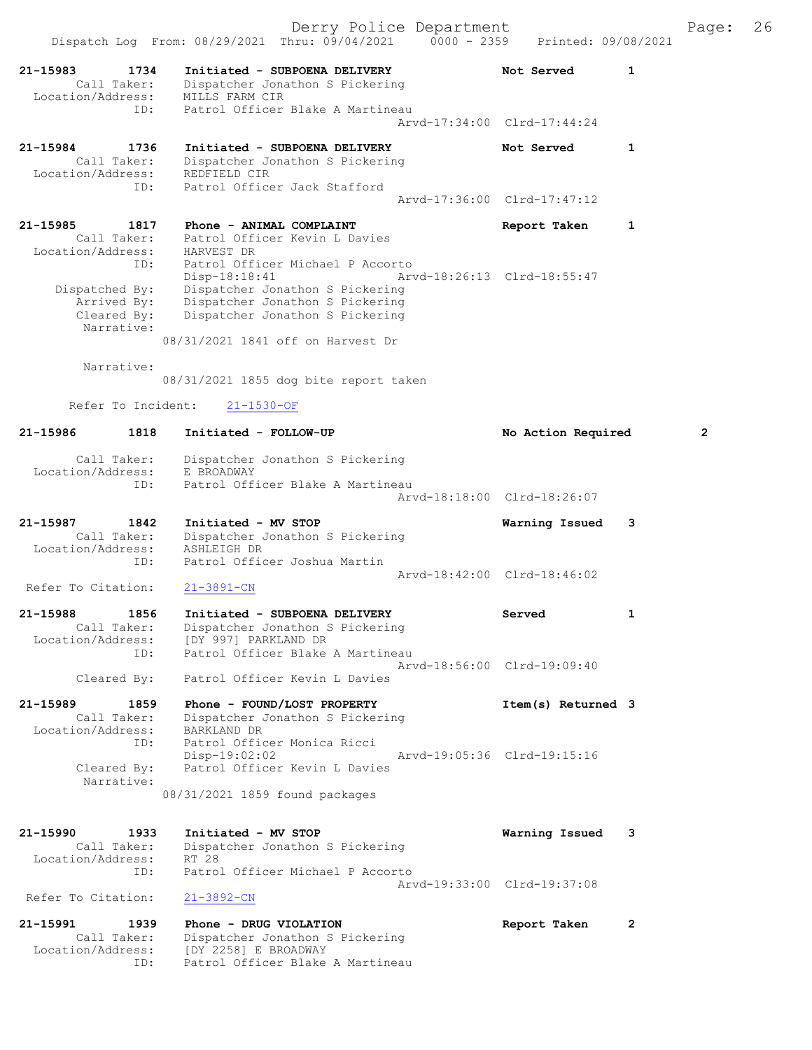|                                                             | Derry Police Department<br>Dispatch Log From: 08/29/2021 Thru: 09/04/2021 0000 - 2359 Printed: 09/08/2021                                                   |                                           |              | Page:          | 26 |
|-------------------------------------------------------------|-------------------------------------------------------------------------------------------------------------------------------------------------------------|-------------------------------------------|--------------|----------------|----|
| 21-15983<br>1734<br>Call Taker:<br>Location/Address:<br>ID: | Initiated - SUBPOENA DELIVERY<br>Dispatcher Jonathon S Pickering<br>MILLS FARM CIR<br>Patrol Officer Blake A Martineau                                      | Not Served<br>Arvd-17:34:00 Clrd-17:44:24 | 1            |                |    |
| 21-15984<br>1736<br>Call Taker:<br>Location/Address:<br>ID: | Initiated - SUBPOENA DELIVERY<br>Dispatcher Jonathon S Pickering<br>REDFIELD CIR<br>Patrol Officer Jack Stafford                                            | Not Served                                | 1            |                |    |
|                                                             |                                                                                                                                                             | Arvd-17:36:00 Clrd-17:47:12               |              |                |    |
| 21-15985<br>1817<br>Call Taker:<br>Location/Address:<br>ID: | Phone - ANIMAL COMPLAINT<br>Patrol Officer Kevin L Davies<br>HARVEST DR<br>Patrol Officer Michael P Accorto                                                 | Report Taken                              | 1            |                |    |
| Dispatched By:<br>Arrived By:<br>Cleared By:<br>Narrative:  | Disp-18:18:41<br>Dispatcher Jonathon S Pickering<br>Dispatcher Jonathon S Pickering<br>Dispatcher Jonathon S Pickering<br>08/31/2021 1841 off on Harvest Dr | Arvd-18:26:13 Clrd-18:55:47               |              |                |    |
| Narrative:                                                  | 08/31/2021 1855 dog bite report taken                                                                                                                       |                                           |              |                |    |
| Refer To Incident:                                          | $21 - 1530 - OF$                                                                                                                                            |                                           |              |                |    |
| 1818<br>21-15986                                            | Initiated - FOLLOW-UP                                                                                                                                       | No Action Required                        |              | $\overline{2}$ |    |
| Call Taker:<br>Location/Address:<br>ID:                     | Dispatcher Jonathon S Pickering<br>E BROADWAY<br>Patrol Officer Blake A Martineau                                                                           | Arvd-18:18:00 Clrd-18:26:07               |              |                |    |
| 21-15987<br>1842<br>Call Taker:<br>Location/Address:<br>ID: | Initiated - MV STOP<br>Dispatcher Jonathon S Pickering<br>ASHLEIGH DR<br>Patrol Officer Joshua Martin                                                       | Warning Issued                            | 3            |                |    |
| Refer To Citation:                                          | $21 - 3891 - CN$                                                                                                                                            | Aryd-18:42:00 Clrd-18:46:02               |              |                |    |
| 21-15988<br>1856<br>Call Taker:<br>Location/Address:<br>ID: | Initiated - SUBPOENA DELIVERY<br>Dispatcher Jonathon S Pickering<br>[DY 997] PARKLAND DR<br>Patrol Officer Blake A Martineau                                | Served                                    | 1            |                |    |
| Cleared By:                                                 | Patrol Officer Kevin L Davies                                                                                                                               | Arvd-18:56:00 Clrd-19:09:40               |              |                |    |
| 21-15989<br>1859<br>Call Taker:<br>Location/Address:<br>ID: | Phone - FOUND/LOST PROPERTY<br>Dispatcher Jonathon S Pickering<br>BARKLAND DR<br>Patrol Officer Monica Ricci                                                | Item(s) Returned 3                        |              |                |    |
| Cleared By:<br>Narrative:                                   | $Disp-19:02:02$<br>Patrol Officer Kevin L Davies<br>08/31/2021 1859 found packages                                                                          | Arvd-19:05:36 Clrd-19:15:16               |              |                |    |
|                                                             |                                                                                                                                                             |                                           |              |                |    |
| 21-15990 1933<br>Call Taker:<br>Location/Address:<br>ID:    | Initiated - MV STOP<br>Dispatcher Jonathon S Pickering<br>RT 28<br>Patrol Officer Michael P Accorto                                                         | Warning Issued 3                          |              |                |    |
| Refer To Citation:                                          | $21 - 3892 - CN$                                                                                                                                            | Arvd-19:33:00 Clrd-19:37:08               |              |                |    |
| 21-15991<br>1939<br>Call Taker:<br>Location/Address:<br>ID: | Phone - DRUG VIOLATION<br>Dispatcher Jonathon S Pickering<br>[DY 2258] E BROADWAY<br>Patrol Officer Blake A Martineau                                       | Report Taken                              | $\mathbf{2}$ |                |    |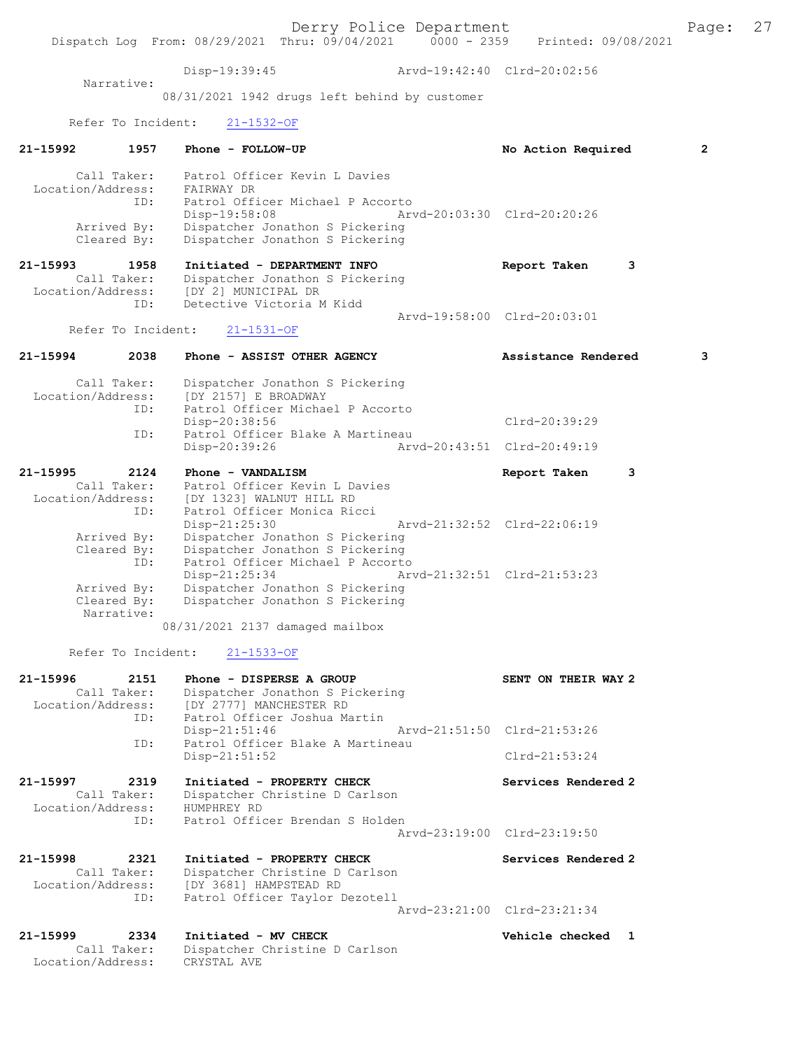Derry Police Department Fage: 27 Dispatch Log From: 08/29/2021 Thru: 09/04/2021 0000 - 2359 Printed: 09/08/2021 Disp-19:39:45 Arvd-19:42:40 Clrd-20:02:56 Narrative: 08/31/2021 1942 drugs left behind by customer Refer To Incident: 21-1532-OF 21-15992 1957 Phone - FOLLOW-UP 10 No Action Required 2 Call Taker: Patrol Officer Kevin L Davies Location/Address: FAIRWAY DR ID: Patrol Officer Michael P Accorto Disp-19:58:08 Arvd-20:03:30 Clrd-20:20:26 Arrived By: Dispatcher Jonathon S Pickering Cleared By: Dispatcher Jonathon S Pickering 21-15993 1958 Initiated - DEPARTMENT INFO Report Taken 3 Call Taker: Dispatcher Jonathon S Pickering Location/Address: [DY 2] MUNICIPAL DR ID: Detective Victoria M Kidd Arvd-19:58:00 Clrd-20:03:01<br>21-1531-OF Refer To Incident: 21-15994 2038 Phone - ASSIST OTHER AGENCY Assistance Rendered 3 Call Taker: Dispatcher Jonathon S Pickering Location/Address: [DY 2157] E BROADWAY ID: Patrol Officer Michael P Accorto Disp-20:38:56 Clrd-20:39:29<br>ID: Patrol Officer Blake A Martineau Patrol Officer Blake A Martineau Disp-20:39:26 Arvd-20:43:51 Clrd-20:49:19 21-15995 2124 Phone - VANDALISM Report Taken 3 Call Taker: Patrol Officer Kevin L Davies Location/Address: [DY 1323] WALNUT HILL RD ID: Patrol Officer Monica Ricci Disp-21:25:30 Arvd-21:32:52 Clrd-22:06:19 Arrived By: Dispatcher Jonathon S Pickering Cleared By: Dispatcher Jonathon S Pickering ID: Patrol Officer Michael P Accorto Disp-21:25:34 Arvd-21:32:51 Clrd-21:53:23 Arrived By: Dispatcher Jonathon S Pickering Cleared By: Dispatcher Jonathon S Pickering Narrative: 08/31/2021 2137 damaged mailbox Refer To Incident: 21-1533-OF 21-15996 2151 Phone - DISPERSE A GROUP SENT ON THEIR WAY 2 Call Taker: Dispatcher Jonathon S Pickering Location/Address: [DY 2777] MANCHESTER RD ID: Patrol Officer Joshua Martin Disp-21:51:46 Arvd-21:51:50 Clrd-21:53:26 ID: Patrol Officer Blake A Martineau Disp-21:51:52 Clrd-21:53:24 21-15997 2319 Initiated - PROPERTY CHECK Services Rendered 2 Call Taker: Dispatcher Christine D Carlson Location/Address: HUMPHREY RD ID: Patrol Officer Brendan S Holden Arvd-23:19:00 Clrd-23:19:50 21-15998 2321 Initiated - PROPERTY CHECK Services Rendered 2 Call Taker: Dispatcher Christine D Carlson Location/Address: [DY 3681] HAMPSTEAD RD ID: Patrol Officer Taylor Dezotell Arvd-23:21:00 Clrd-23:21:34 21-15999 2334 Initiated - MV CHECK Vehicle checked 1 Call Taker: Dispatcher Christine D Carlson Location/Address: CRYSTAL AVE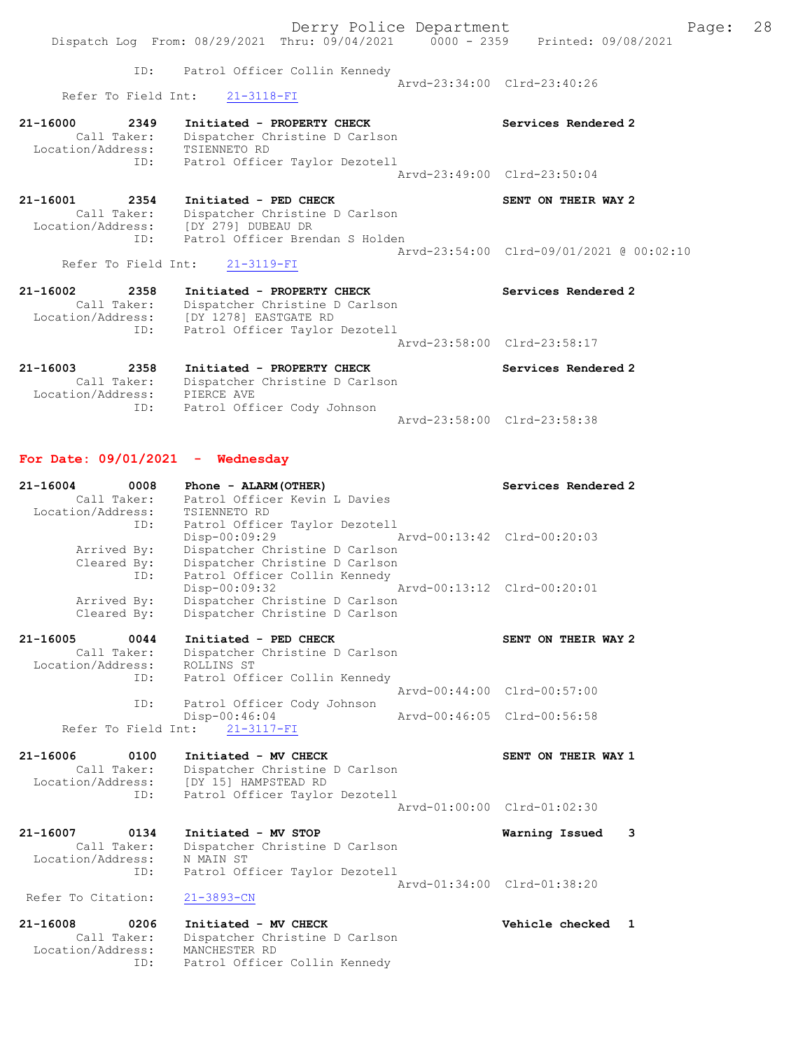|                                                                                | Dispatch Log From: 08/29/2021 Thru: 09/04/2021 0000 - 2359 Printed: 09/08/2021                                                            | Derry Police Department     |                                          | Page: | 28 |
|--------------------------------------------------------------------------------|-------------------------------------------------------------------------------------------------------------------------------------------|-----------------------------|------------------------------------------|-------|----|
|                                                                                | ID: Patrol Officer Collin Kennedy<br>Refer To Field Int: 21-3118-FI                                                                       | Arvd-23:34:00 Clrd-23:40:26 |                                          |       |    |
| 21-16000<br>2349<br>Call Taker:<br>Location/Address: TSIENNETO RD<br>ID:       | Initiated - PROPERTY CHECK<br>Dispatcher Christine D Carlson<br>Patrol Officer Taylor Dezotell                                            | Arvd-23:49:00 Clrd-23:50:04 | Services Rendered 2                      |       |    |
| 21-16001<br>2354<br>Call Taker:<br>Location/Address: [DY 279] DUBEAU DR<br>ID: | Initiated - PED CHECK<br>Dispatcher Christine D Carlson<br>Patrol Officer Brendan S Holden                                                |                             | SENT ON THEIR WAY 2                      |       |    |
|                                                                                | Refer To Field Int: 21-3119-FI                                                                                                            |                             | Arvd-23:54:00 Clrd-09/01/2021 @ 00:02:10 |       |    |
| 21-16002<br>2358<br>Call Taker:<br>ID:                                         | Initiated - PROPERTY CHECK<br>Dispatcher Christine D Carlson<br>Location/Address: [DY 1278] EASTGATE RD<br>Patrol Officer Taylor Dezotell |                             | Services Rendered 2                      |       |    |
|                                                                                |                                                                                                                                           |                             | Arvd-23:58:00 Clrd-23:58:17              |       |    |
| 21-16003<br>2358<br>Call Taker:<br>Location/Address:<br>ID:                    | Initiated - PROPERTY CHECK<br>Dispatcher Christine D Carlson<br>PIERCE AVE<br>Patrol Officer Cody Johnson                                 |                             | Services Rendered 2                      |       |    |
|                                                                                |                                                                                                                                           | Arvd-23:58:00 Clrd-23:58:38 |                                          |       |    |

# For Date: 09/01/2021 - Wednesday

| $21 - 16004$       | 0008                | Phone - ALARM (OTHER)          | Services Rendered 2             |  |
|--------------------|---------------------|--------------------------------|---------------------------------|--|
|                    | Call Taker:         | Patrol Officer Kevin L Davies  |                                 |  |
| Location/Address:  |                     | TSIENNETO RD                   |                                 |  |
|                    | ID:                 | Patrol Officer Taylor Dezotell |                                 |  |
|                    |                     | $Disp-00:09:29$                | Arvd-00:13:42 Clrd-00:20:03     |  |
|                    | Arrived By:         | Dispatcher Christine D Carlson |                                 |  |
|                    | Cleared By:         | Dispatcher Christine D Carlson |                                 |  |
|                    | ID:                 | Patrol Officer Collin Kennedy  |                                 |  |
|                    |                     | Disp-00:09:32                  | Arvd-00:13:12 Clrd-00:20:01     |  |
|                    | Arrived By:         | Dispatcher Christine D Carlson |                                 |  |
|                    | Cleared By:         | Dispatcher Christine D Carlson |                                 |  |
| $21 - 16005$       | 0044                | Initiated - PED CHECK          | SENT ON THEIR WAY 2             |  |
|                    | Call Taker:         | Dispatcher Christine D Carlson |                                 |  |
| Location/Address:  |                     | ROLLINS ST                     |                                 |  |
|                    | ID:                 | Patrol Officer Collin Kennedy  |                                 |  |
|                    |                     |                                | Arvd-00:44:00 Clrd-00:57:00     |  |
|                    | ID:                 | Patrol Officer Cody Johnson    |                                 |  |
|                    |                     | Disp-00:46:04                  | Arvd-00:46:05 Clrd-00:56:58     |  |
|                    |                     |                                |                                 |  |
|                    | Refer To Field Int: | $21 - 3117 - FI$               |                                 |  |
| $21 - 16006$       | 0100                | Initiated - MV CHECK           | SENT ON THEIR WAY 1             |  |
|                    | Call Taker:         | Dispatcher Christine D Carlson |                                 |  |
| Location/Address:  |                     | [DY 15] HAMPSTEAD RD           |                                 |  |
|                    | ID:                 | Patrol Officer Taylor Dezotell |                                 |  |
|                    |                     |                                | Aryd-01:00:00 Clrd-01:02:30     |  |
| $21 - 16007$       | 0134                | Initiated - MV STOP            | 3<br>Warning Issued             |  |
|                    | Call Taker:         | Dispatcher Christine D Carlson |                                 |  |
| Location/Address:  |                     | N MAIN ST                      |                                 |  |
|                    | ID:                 | Patrol Officer Taylor Dezotell |                                 |  |
|                    |                     |                                | Arvd-01:34:00 Clrd-01:38:20     |  |
| Refer To Citation: |                     | $21 - 3893 - CN$               |                                 |  |
| 21-16008           | 0206                | Initiated - MV CHECK           | Vehicle checked<br>$\mathbf{1}$ |  |
|                    | Call Taker:         | Dispatcher Christine D Carlson |                                 |  |
| Location/Address:  |                     | MANCHESTER RD                  |                                 |  |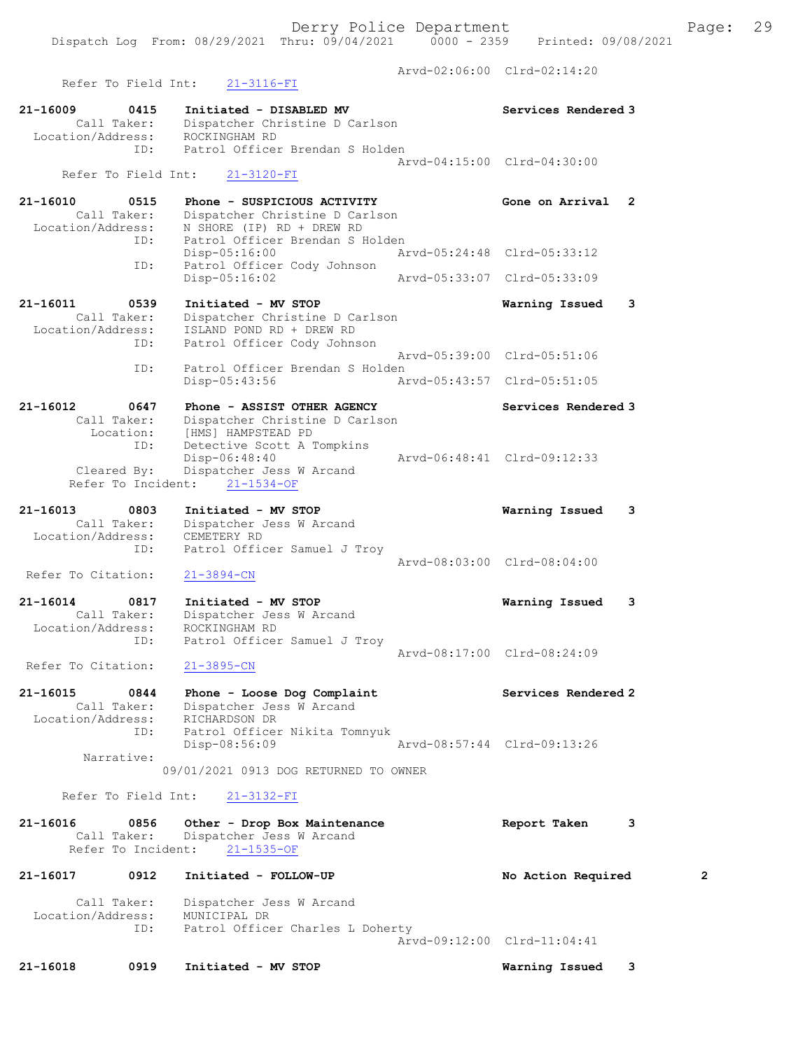Derry Police Department Fage: 29 Dispatch Log From: 08/29/2021 Thru: 09/04/2021 0000 - 2359 Printed: 09/08/2021 Arvd-02:06:00 Clrd-02:14:20 Refer To Field Int: 21-3116-FI 21-16009 0415 Initiated - DISABLED MV Services Rendered 3 Call Taker: Dispatcher Christine D Carlson Location/Address: ROCKINGHAM RD ID: Patrol Officer Brendan S Holden Arvd-04:15:00 Clrd-04:30:00 Refer To Field Int: 21-3120-FI 21-16010 0515 Phone - SUSPICIOUS ACTIVITY Gone on Arrival 2 Call Taker: Dispatcher Christine D Carlson Location/Address: N SHORE (IP) RD + DREW RD ID: Patrol Officer Brendan S Holden<br>Disp-05:16:00 Arvd-05:24:48 Clrd-05:33:12 Disp-05:16:00 Arvd-05:24:48 Clrd-05:33:12 ID: Patrol Officer Cody Johnson Disp-05:16:02 Arvd-05:33:07 Clrd-05:33:09 21-16011 0539 Initiated - MV STOP Warning Issued 3 Call Taker: Dispatcher Christine D Carlson Location/Address: ISLAND POND RD + DREW RD ID: Patrol Officer Cody Johnson Arvd-05:39:00 Clrd-05:51:06 ID: Patrol Officer Brendan S Holden<br>Disp-05:43:56 Ar Disp-05:43:56 Arvd-05:43:57 Clrd-05:51:05 21-16012 0647 Phone - ASSIST OTHER AGENCY Services Rendered 3 Call Taker: Dispatcher Christine D Carlson Location: [HMS] HAMPSTEAD PD ID: Detective Scott A Tompkins Disp-06:48:40 Arvd-06:48:41 Clrd-09:12:33 Cleared By: Dispatcher Jess W Arcand Refer To Incident: 21-1534-OF 21-16013 0803 Initiated - MV STOP Warning Issued 3 Call Taker: Dispatcher Jess W Arcand Location/Address: CEMETERY RD ID: Patrol Officer Samuel J Troy Arvd-08:03:00 Clrd-08:04:00 Refer To Citation: 21-3894-CN 21-16014 0817 Initiated - MV STOP Warning Issued 3 Call Taker: Dispatcher Jess W Arcand Location/Address: ROCKINGHAM RD ID: Patrol Officer Samuel J Troy Arvd-08:17:00 Clrd-08:24:09 Refer To Citation: 21-3895-CN 21-16015 0844 Phone - Loose Dog Complaint Services Rendered 2 Call Taker: Dispatcher Jess W Arcand Location/Address: RICHARDSON DR ID: Patrol Officer Nikita Tomnyuk Disp-08:56:09 Arvd-08:57:44 Clrd-09:13:26 Narrative: 09/01/2021 0913 DOG RETURNED TO OWNER Refer To Field Int: 21-3132-FI 21-16016 0856 Other - Drop Box Maintenance Report Taken 3 Call Taker: Dispatcher Jess W Arcand Refer To Incident: 21-1535-OF 21-16017 0912 Initiated - FOLLOW-UP No Action Required 2 Call Taker: Dispatcher Jess W Arcand Location/Address: MUNICIPAL DR ID: Patrol Officer Charles L Doherty

Arvd-09:12:00 Clrd-11:04:41

21-16018 0919 Initiated - MV STOP Warning Issued 3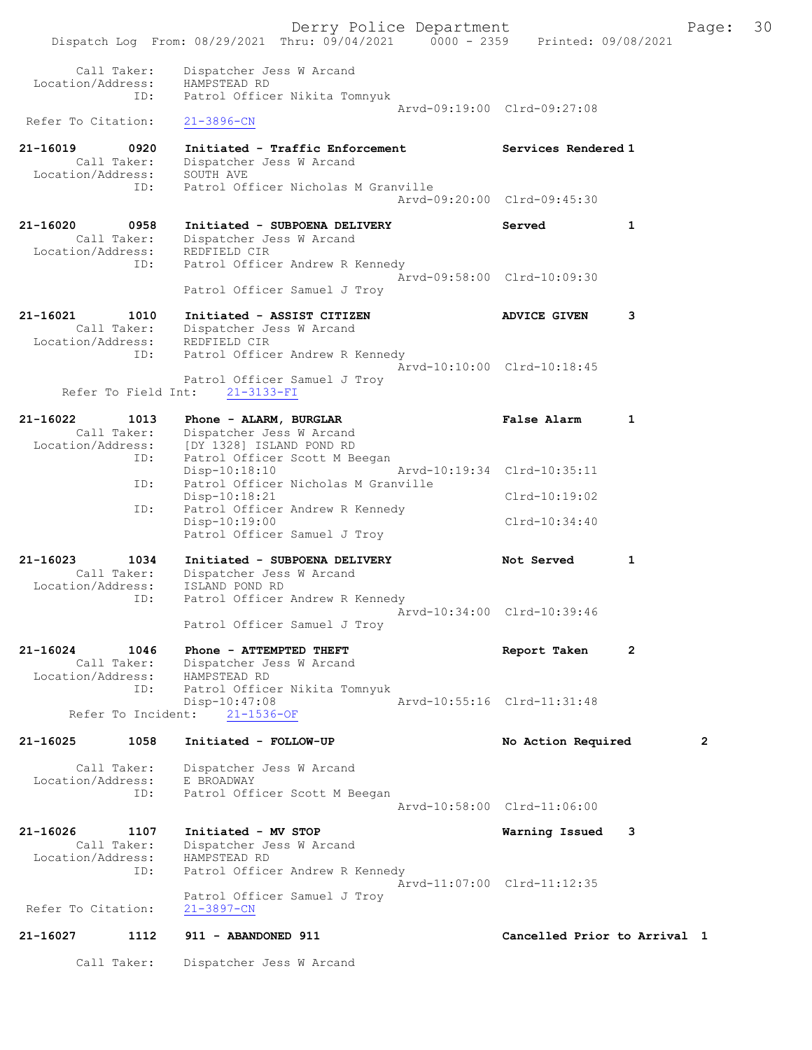|                                                  |      | Dispatch Log From: 08/29/2021 Thru: 09/04/2021 0000 - 2359                                           | Derry Police Department     | Printed: 09/08/2021          |   | Page:        | 30 |
|--------------------------------------------------|------|------------------------------------------------------------------------------------------------------|-----------------------------|------------------------------|---|--------------|----|
|                                                  |      |                                                                                                      |                             |                              |   |              |    |
| Call Taker:<br>Location/Address:                 |      | Dispatcher Jess W Arcand<br>HAMPSTEAD RD                                                             |                             |                              |   |              |    |
|                                                  | ID:  | Patrol Officer Nikita Tomnyuk                                                                        | Arvd-09:19:00 Clrd-09:27:08 |                              |   |              |    |
| Refer To Citation:                               |      | $21 - 3896 - CN$                                                                                     |                             |                              |   |              |    |
| $21 - 16019$<br>Call Taker:<br>Location/Address: | 0920 | Initiated - Traffic Enforcement<br>Dispatcher Jess W Arcand<br>SOUTH AVE                             |                             | Services Rendered 1          |   |              |    |
|                                                  | ID:  | Patrol Officer Nicholas M Granville                                                                  | Arvd-09:20:00 Clrd-09:45:30 |                              |   |              |    |
| 21-16020<br>Call Taker:<br>Location/Address:     | 0958 | Initiated - SUBPOENA DELIVERY<br>Dispatcher Jess W Arcand<br>REDFIELD CIR                            |                             | Served                       | 1 |              |    |
|                                                  | ID:  | Patrol Officer Andrew R Kennedy                                                                      | Arvd-09:58:00 Clrd-10:09:30 |                              |   |              |    |
|                                                  |      | Patrol Officer Samuel J Troy                                                                         |                             |                              |   |              |    |
| 21-16021                                         | 1010 | Initiated - ASSIST CITIZEN<br>Call Taker: Dispatcher Jess W Arcand<br>Location/Address: REDFIELD CIR |                             | <b>ADVICE GIVEN</b>          | 3 |              |    |
|                                                  | ID:  | Patrol Officer Andrew R Kennedy<br>Patrol Officer Samuel J Troy                                      | Arvd-10:10:00 Clrd-10:18:45 |                              |   |              |    |
| Refer To Field Int:                              |      | $21 - 3133 - FI$                                                                                     |                             |                              |   |              |    |
| 21-16022<br>Call Taker:                          | 1013 | Phone - ALARM, BURGLAR<br>Dispatcher Jess W Arcand                                                   |                             | False Alarm                  | 1 |              |    |
| Location/Address:                                | ID:  | [DY 1328] ISLAND POND RD<br>Patrol Officer Scott M Beegan<br>$Disp-10:18:10$                         | Arvd-10:19:34 Clrd-10:35:11 |                              |   |              |    |
|                                                  | ID:  | Patrol Officer Nicholas M Granville<br>Disp-10:18:21                                                 |                             | $Clrd-10:19:02$              |   |              |    |
|                                                  | ID:  | Patrol Officer Andrew R Kennedy<br>Disp-10:19:00<br>Patrol Officer Samuel J Troy                     |                             | $Clrd-10:34:40$              |   |              |    |
| 21-16023                                         | 1034 | Initiated - SUBPOENA DELIVERY                                                                        |                             | Not Served                   | 1 |              |    |
| Call Taker:                                      |      | Dispatcher Jess W Arcand                                                                             |                             |                              |   |              |    |
| Location/Address:                                | ID:  | ISLAND POND RD<br>Patrol Officer Andrew R Kennedy                                                    |                             |                              |   |              |    |
|                                                  |      | Patrol Officer Samuel J Troy                                                                         |                             | Arvd-10:34:00 Clrd-10:39:46  |   |              |    |
| 21-16024<br>Location/Address:                    | 1046 | Phone - ATTEMPTED THEFT<br>Call Taker: Dispatcher Jess W Arcand<br>HAMPSTEAD RD                      |                             | Report Taken                 | 2 |              |    |
| Refer To Incident:                               | ID:  | Patrol Officer Nikita Tomnyuk<br>Disp-10:47:08<br>$21 - 1536 - OF$                                   | Arvd-10:55:16 Clrd-11:31:48 |                              |   |              |    |
|                                                  |      |                                                                                                      |                             |                              |   |              |    |
| 21-16025                                         | 1058 | Initiated - FOLLOW-UP                                                                                |                             | No Action Required           |   | $\mathbf{2}$ |    |
| Call Taker:<br>Location/Address:                 |      | Dispatcher Jess W Arcand<br>E BROADWAY                                                               |                             |                              |   |              |    |
|                                                  | ID:  | Patrol Officer Scott M Beegan                                                                        |                             | Arvd-10:58:00 Clrd-11:06:00  |   |              |    |
| 21-16026                                         | 1107 | Initiated - MV STOP                                                                                  |                             | Warning Issued               | 3 |              |    |
| Call Taker:<br>Location/Address:                 |      | Dispatcher Jess W Arcand<br>HAMPSTEAD RD                                                             |                             |                              |   |              |    |
|                                                  | ID:  | Patrol Officer Andrew R Kennedy                                                                      |                             | Arvd-11:07:00 Clrd-11:12:35  |   |              |    |
| Refer To Citation:                               |      | Patrol Officer Samuel J Troy<br>$21 - 3897 - CN$                                                     |                             |                              |   |              |    |
| 21-16027                                         | 1112 | 911 - ABANDONED 911                                                                                  |                             | Cancelled Prior to Arrival 1 |   |              |    |
| Call Taker:                                      |      | Dispatcher Jess W Arcand                                                                             |                             |                              |   |              |    |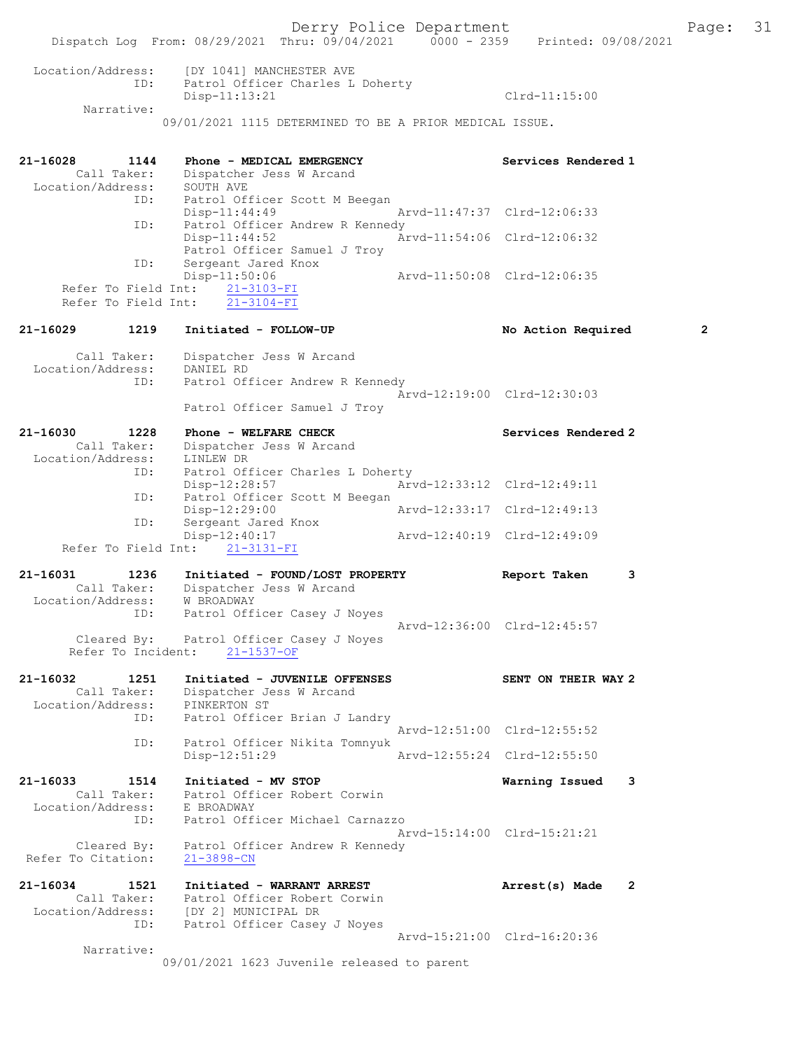Derry Police Department Fage: 31 Dispatch Log From: 08/29/2021 Thru: 09/04/2021 0000 - 2359 Printed: 09/08/2021 Location/Address: [DY 1041] MANCHESTER AVE ID: Patrol Officer Charles L Doherty Patrol Officer Charles L Doherty<br>Disp-11:13:21 Clrd-11:15:00 Narrative: 09/01/2021 1115 DETERMINED TO BE A PRIOR MEDICAL ISSUE. 21-16028 1144 Phone - MEDICAL EMERGENCY Services Rendered 1 Call Taker: Dispatcher Jess W Arcand Location/Address: SOUTH AVE ID: Patrol Officer Scott M Beegan Disp-11:44:49 Arvd-11:47:37 Clrd-12:06:33 ID: Patrol Officer Andrew R Kennedy Disp-11:44:52 Arvd-11:54:06 Clrd-12:06:32 Patrol Officer Samuel J Troy ID: Sergeant Jared Knox<br>Disp-11:50:06 Arvd-11:50:08 Clrd-12:06:35 Refer To Field Int:  $\frac{21-3103-FI}{21-3104-FI}$ Refer To Field Int: 21-16029 1219 Initiated - FOLLOW-UP No Action Required 2 Call Taker: Dispatcher Jess W Arcand Location/Address: DANIEL RD ID: Patrol Officer Andrew R Kennedy Arvd-12:19:00 Clrd-12:30:03 Patrol Officer Samuel J Troy 21-16030 1228 Phone - WELFARE CHECK Services Rendered 2 Call Taker: Dispatcher Jess W Arcand Location/Address: LINLEW DR ID: Patrol Officer Charles L Doherty Disp-12:28:57 Arvd-12:33:12 Clrd-12:49:11 ID: Patrol Officer Scott M Beegan Disp-12:29:00 Arvd-12:33:17 Clrd-12:49:13 ID: Sergeant Jared Knox Disp-12:40:17 Arvd-12:40:19 Clrd-12:49:09 Refer To Field Int: 21-3131-FI 21-16031 1236 Initiated - FOUND/LOST PROPERTY Report Taken 3 Call Taker: Dispatcher Jess W Arcand Location/Address: W BROADWAY ID: Patrol Officer Casey J Noyes Arvd-12:36:00 Clrd-12:45:57 Cleared By: Patrol Officer Casey J Noyes Refer To Incident: 21-1537-OF 21-16032 1251 Initiated - JUVENILE OFFENSES SENT ON THEIR WAY 2 Call Taker: Dispatcher Jess W Arcand Location/Address: PINKERTON ST ID: Patrol Officer Brian J Landry Arvd-12:51:00 Clrd-12:55:52 ID: Patrol Officer Nikita Tomnyuk Disp-12:51:29 Arvd-12:55:24 Clrd-12:55:50 21-16033 1514 Initiated - MV STOP Warning Issued 3 Call Taker: Patrol Officer Robert Corwin Location/Address: E BROADWAY ID: Patrol Officer Michael Carnazzo Arvd-15:14:00 Clrd-15:21:21 Cleared By: Patrol Officer Andrew R Kennedy Refer To Citation: 21-3898-CN 21-16034 1521 Initiated - WARRANT ARREST Arrest(s) Made 2 Call Taker: Patrol Officer Robert Corwin Location/Address: [DY 2] MUNICIPAL DR ID: Patrol Officer Casey J Noyes Arvd-15:21:00 Clrd-16:20:36 Narrative:

09/01/2021 1623 Juvenile released to parent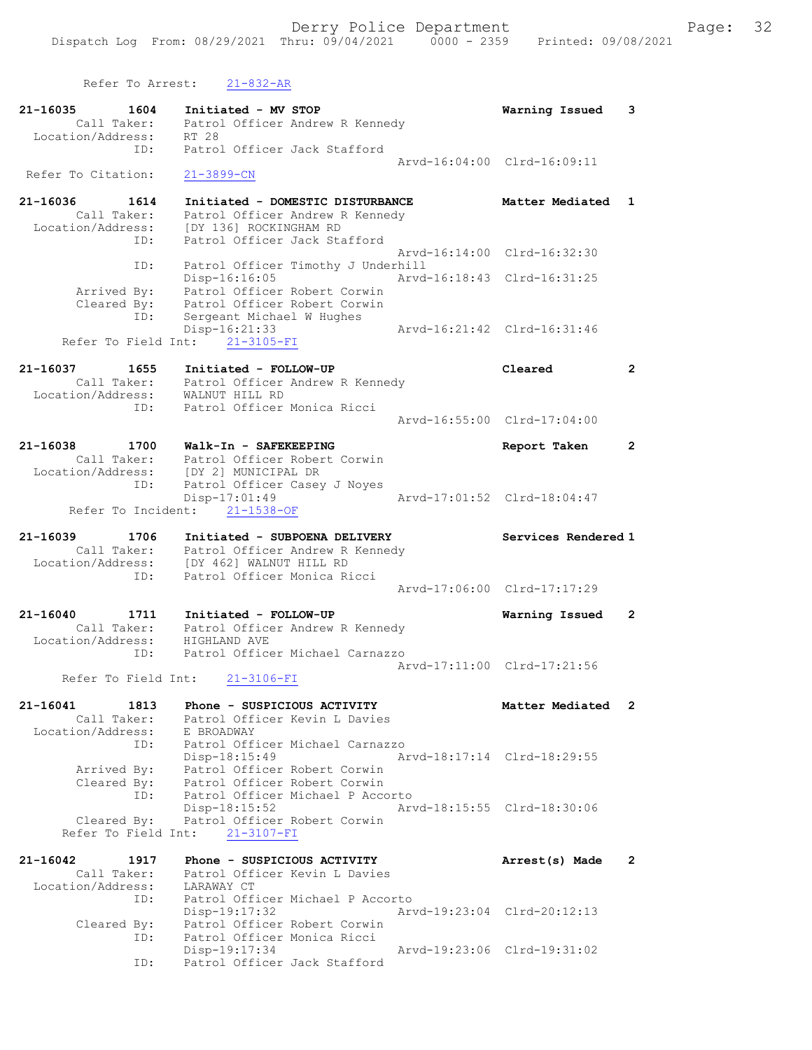Refer To Arrest: 21-832-AR

21-16035 1604 Initiated - MV STOP Warning Issued 3 Call Taker: Patrol Officer Andrew R Kennedy Location/Address: RT 28 ID: Patrol Officer Jack Stafford Arvd-16:04:00 Clrd-16:09:11 Refer To Citation: 21-3899-CN 21-16036 1614 Initiated - DOMESTIC DISTURBANCE Matter Mediated 1 Call Taker: Patrol Officer Andrew R Kennedy Location/Address: [DY 136] ROCKINGHAM RD ID: Patrol Officer Jack Stafford Arvd-16:14:00 Clrd-16:32:30 ID: Patrol Officer Timothy J Underhill Arvd-16:18:43 Clrd-16:31:25 Arrived By: Patrol Officer Robert Corwin Cleared By: Patrol Officer Robert Corwin ID: Sergeant Michael W Hughes Disp-16:21:33 Arvd-16:21:42 Clrd-16:31:46 Refer To Field Int: 21-3105-FI 21-16037 1655 Initiated - FOLLOW-UP Cleared 2 Call Taker: Patrol Officer Andrew R Kennedy Location/Address: WALNUT HILL RD ID: Patrol Officer Monica Ricci Arvd-16:55:00 Clrd-17:04:00 21-16038 1700 Walk-In - SAFEKEEPING Report Taken 2 Call Taker: Patrol Officer Robert Corwin Location/Address: [DY 2] MUNICIPAL DR ID: Patrol Officer Casey J Noyes Disp-17:01:49 Arvd-17:01:52 Clrd-18:04:47 Refer To Incident: 21-1538-OF 21-16039 1706 Initiated - SUBPOENA DELIVERY Services Rendered 1 Call Taker: Patrol Officer Andrew R Kennedy Location/Address: [DY 462] WALNUT HILL RD ID: Patrol Officer Monica Ricci Arvd-17:06:00 Clrd-17:17:29 21-16040 1711 Initiated - FOLLOW-UP Warning Issued 2 Call Taker: Patrol Officer Andrew R Kennedy Location/Address: HIGHLAND AVE ID: Patrol Officer Michael Carnazzo Arvd-17:11:00 Clrd-17:21:56 Refer To Field Int: 21-3106-FI 21-16041 1813 Phone - SUSPICIOUS ACTIVITY Matter Mediated 2 Call Taker: Patrol Officer Kevin L Davies Location/Address: E BROADWAY ID: Patrol Officer Michael Carnazzo Disp-18:15:49 Arvd-18:17:14 Clrd-18:29:55 Arrived By: Patrol Officer Robert Corwin Cleared By: Patrol Officer Robert Corwin ID: Patrol Officer Michael P Accorto Disp-18:15:52 Arvd-18:15:55 Clrd-18:30:06 Cleared By: Patrol Officer Robert Corwin Refer To Field Int: 21-3107-FI 21-16042 1917 Phone - SUSPICIOUS ACTIVITY Arrest(s) Made 2 Call Taker: Patrol Officer Kevin L Davies Location/Address: LARAWAY CT ID: Patrol Officer Michael P Accorto Disp-19:17:32 Arvd-19:23:04 Clrd-20:12:13 Cleared By: Patrol Officer Robert Corwin ID: Patrol Officer Monica Ricci Disp-19:17:34 Arvd-19:23:06 Clrd-19:31:02 ID: Patrol Officer Jack Stafford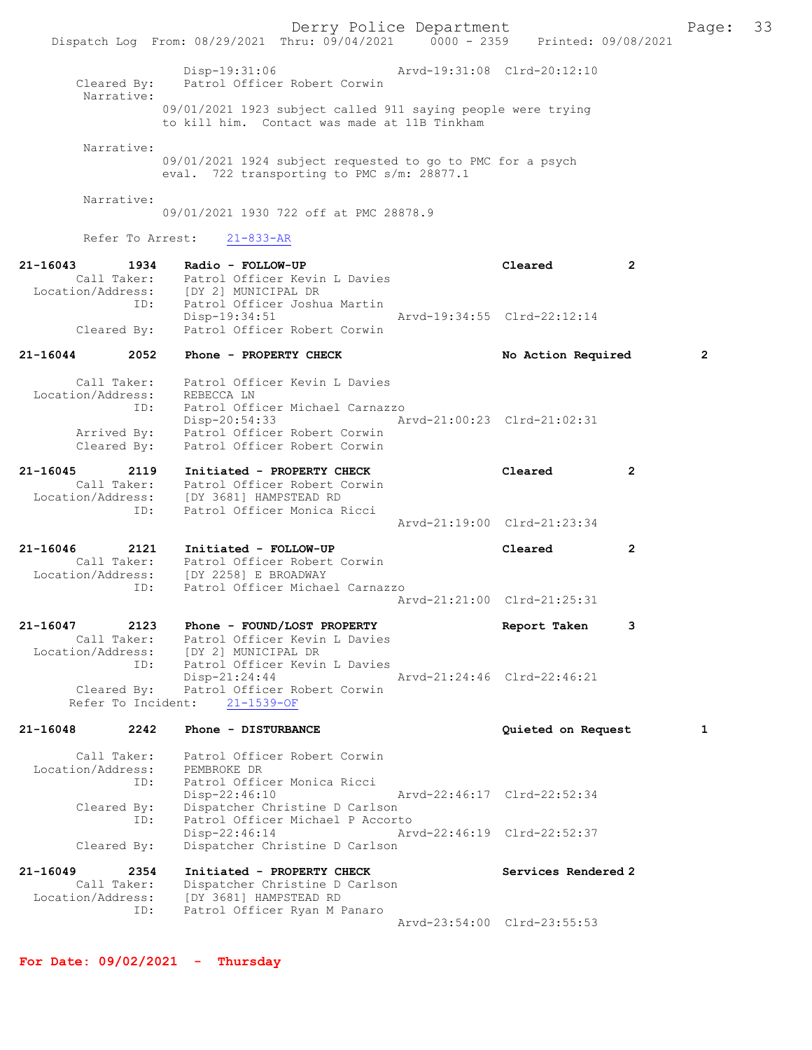Derry Police Department Page: 33 Dispatch Log From: 08/29/2021 Thru: 09/04/2021 0000 - 2359 Printed: 09/08/2021 Disp-19:31:06 Arvd-19:31:08 Clrd-20:12:10 Cleared By: Patrol Officer Robert Corwin Narrative: 09/01/2021 1923 subject called 911 saying people were trying to kill him. Contact was made at 11B Tinkham Narrative: 09/01/2021 1924 subject requested to go to PMC for a psych eval. 722 transporting to PMC s/m: 28877.1 Narrative: 09/01/2021 1930 722 off at PMC 28878.9 Refer To Arrest: 21-833-AR 21-16043 1934 Radio - FOLLOW-UP Cleared 2 Call Taker: Patrol Officer Kevin L Davies Location/Address: [DY 2] MUNICIPAL DR ID: Patrol Officer Joshua Martin<br>Disp-19:34:51 Arvd-19:34:55 Clrd-22:12:14 Disp-19:34:51<br>Cleared By: Patrol Officer Robert Corwin Patrol Officer Robert Corwin 21-16044 2052 Phone - PROPERTY CHECK No Action Required 2 Call Taker: Patrol Officer Kevin L Davies Location/Address: REBECCA LN ID: Patrol Officer Michael Carnazzo Disp-20:54:33 Arvd-21:00:23 Clrd-21:02:31 Arrived By: Patrol Officer Robert Corwin Cleared By: Patrol Officer Robert Corwin 21-16045 2119 Initiated - PROPERTY CHECK Cleared 2 Call Taker: Patrol Officer Robert Corwin Location/Address: [DY 3681] HAMPSTEAD RD ID: Patrol Officer Monica Ricci Arvd-21:19:00 Clrd-21:23:34 21-16046 2121 Initiated - FOLLOW-UP Cleared 2 Call Taker: Patrol Officer Robert Corwin Location/Address: [DY 2258] E BROADWAY ID: Patrol Officer Michael Carnazzo Arvd-21:21:00 Clrd-21:25:31 21-16047 2123 Phone - FOUND/LOST PROPERTY Report Taken 3 Call Taker: Patrol Officer Kevin L Davies Location/Address: [DY 2] MUNICIPAL DR ID: Patrol Officer Kevin L Davies Disp-21:24:44 Arvd-21:24:46 Clrd-22:46:21 Cleared By: Patrol Officer Robert Corwin Refer To Incident: 21-1539-OF 21-16048 2242 Phone - DISTURBANCE Quieted on Request 1 Call Taker: Patrol Officer Robert Corwin Location/Address: PEMBROKE DR ID: Patrol Officer Monica Ricci Disp-22:46:10 Arvd-22:46:17 Clrd-22:52:34 Cleared By: Dispatcher Christine D Carlson ID: Patrol Officer Michael P Accorto Disp-22:46:14 Arvd-22:46:19 Clrd-22:52:37 Cleared By: Dispatcher Christine D Carlson 21-16049 2354 Initiated - PROPERTY CHECK Services Rendered 2 Call Taker: Dispatcher Christine D Carlson Location/Address: [DY 3681] HAMPSTEAD RD ID: Patrol Officer Ryan M Panaro Arvd-23:54:00 Clrd-23:55:53

For Date: 09/02/2021 - Thursday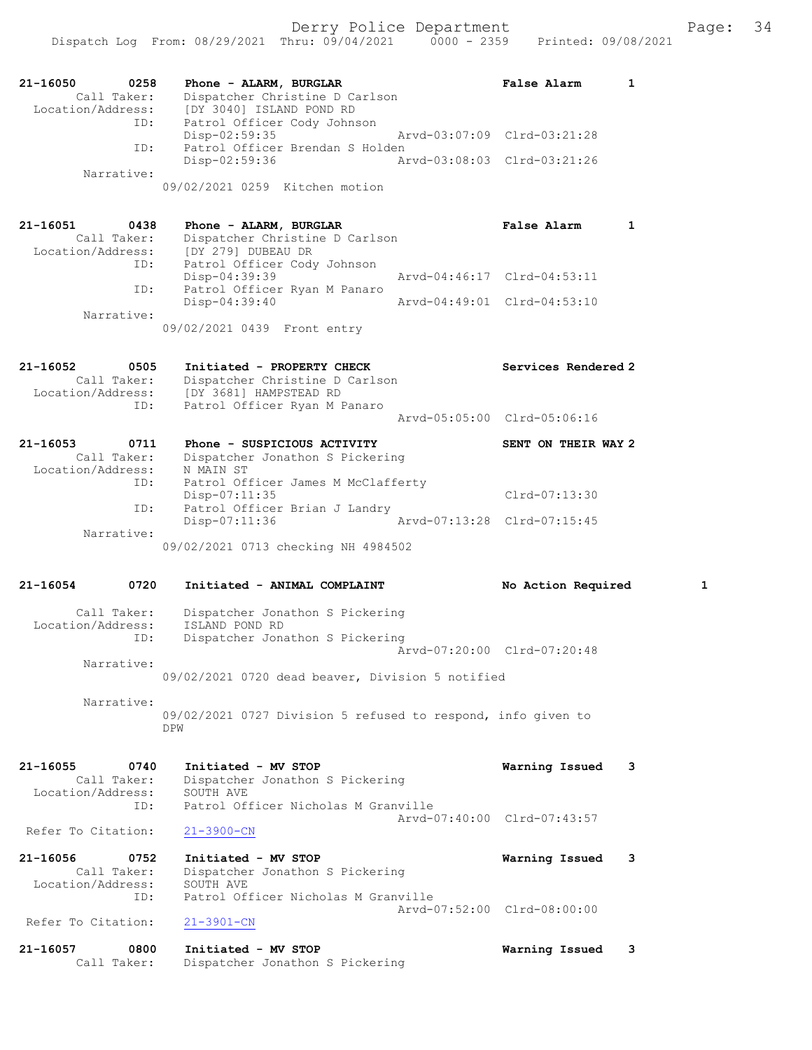Derry Police Department Fage: 34

| 21-16050<br>0258<br>Call Taker:<br>Location/Address:        | Phone - ALARM, BURGLAR<br>Dispatcher Christine D Carlson<br>[DY 3040] ISLAND POND RD                                   | <b>False Alarm</b><br>1     |
|-------------------------------------------------------------|------------------------------------------------------------------------------------------------------------------------|-----------------------------|
| ID:                                                         | Patrol Officer Cody Johnson<br>$Disp-02:59:35$                                                                         | Arvd-03:07:09 Clrd-03:21:28 |
| ID:                                                         | Patrol Officer Brendan S Holden<br>Disp-02:59:36                                                                       | Arvd-03:08:03 Clrd-03:21:26 |
| Narrative:                                                  | 09/02/2021 0259 Kitchen motion                                                                                         |                             |
| 21-16051<br>0438                                            | Phone - ALARM, BURGLAR                                                                                                 | <b>False Alarm</b><br>1     |
| Call Taker:<br>Location/Address:<br>ID:                     | Dispatcher Christine D Carlson<br>[DY 279] DUBEAU DR<br>Patrol Officer Cody Johnson                                    |                             |
| ID:                                                         | Disp-04:39:39<br>Patrol Officer Ryan M Panaro                                                                          | Arvd-04:46:17 Clrd-04:53:11 |
| Narrative:                                                  | $Disp-04:39:40$                                                                                                        | Arvd-04:49:01 Clrd-04:53:10 |
|                                                             | 09/02/2021 0439 Front entry                                                                                            |                             |
| 21-16052<br>0505<br>Call Taker:<br>Location/Address:<br>ID: | Initiated - PROPERTY CHECK<br>Dispatcher Christine D Carlson<br>[DY 3681] HAMPSTEAD RD<br>Patrol Officer Ryan M Panaro | Services Rendered 2         |
|                                                             |                                                                                                                        | Arvd-05:05:00 Clrd-05:06:16 |
| 21-16053<br>0711<br>Call Taker:<br>Location/Address:        | Phone - SUSPICIOUS ACTIVITY<br>Dispatcher Jonathon S Pickering<br>N MAIN ST                                            | SENT ON THEIR WAY 2         |
| ID:                                                         | Patrol Officer James M McClafferty<br>Disp-07:11:35                                                                    | $Clrd-07:13:30$             |
| ID:                                                         | Patrol Officer Brian J Landry<br>Disp-07:11:36                                                                         | Arvd-07:13:28 Clrd-07:15:45 |
| Narrative:                                                  | 09/02/2021 0713 checking NH 4984502                                                                                    |                             |
| 21-16054<br>0720                                            | Initiated - ANIMAL COMPLAINT                                                                                           | 1<br>No Action Required     |
| Call Taker:<br>Location/Address:<br>ID:                     | Dispatcher Jonathon S Pickering<br>ISLAND POND RD<br>Dispatcher Jonathon S Pickering                                   |                             |
| Narrative:                                                  |                                                                                                                        | Arvd-07:20:00 Clrd-07:20:48 |
| Narrative:                                                  | 09/02/2021 0720 dead beaver, Division 5 notified                                                                       |                             |
|                                                             | 09/02/2021 0727 Division 5 refused to respond, info given to<br>DPW                                                    |                             |
| 21-16055<br>0740<br>Call Taker:<br>Location/Address:<br>ID: | Initiated - MV STOP<br>Dispatcher Jonathon S Pickering<br>SOUTH AVE<br>Patrol Officer Nicholas M Granville             | Warning Issued<br>3         |
| Refer To Citation:                                          | $21 - 3900 - CN$                                                                                                       | Aryd-07:40:00 Clrd-07:43:57 |
| 21-16056<br>0752                                            | Initiated - MV STOP                                                                                                    | Warning Issued<br>3         |
| Call Taker:<br>Location/Address:<br>ID:                     | Dispatcher Jonathon S Pickering<br>SOUTH AVE<br>Patrol Officer Nicholas M Granville                                    |                             |
| Refer To Citation:                                          | $21 - 3901 - CN$                                                                                                       | Arvd-07:52:00 Clrd-08:00:00 |
| 21-16057<br>0800<br>Call Taker:                             | Initiated - MV STOP<br>Dispatcher Jonathon S Pickering                                                                 | Warning Issued<br>3         |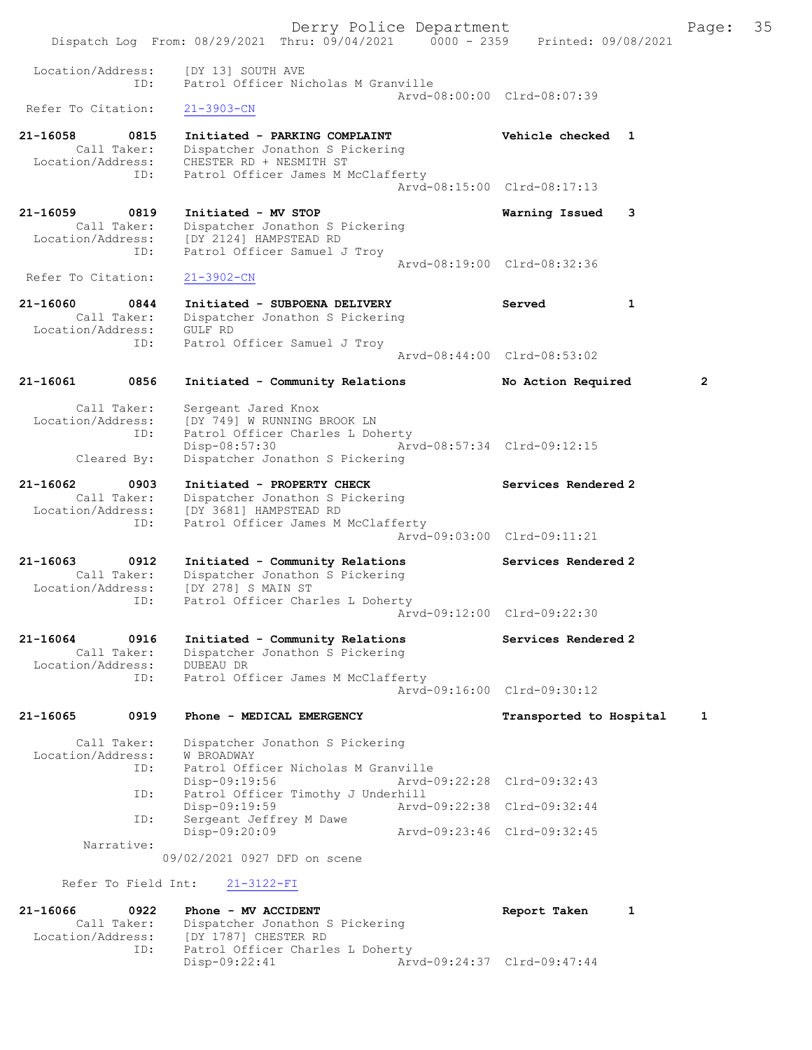Derry Police Department Fage: 35 Dispatch Log From: 08/29/2021 Thru: 09/04/2021 0000 - 2359 Printed: 09/08/2021 Location/Address: [DY 13] SOUTH AVE<br>TD: Patrol Officer Nic ID: Patrol Officer Nicholas M Granville Arvd-08:00:00 Clrd-08:07:39<br>
21-3903-CN Refer To Citation: 21-16058 0815 Initiated - PARKING COMPLAINT Vehicle checked 1 Call Taker: Dispatcher Jonathon S Pickering Location/Address: CHESTER RD + NESMITH ST ID: Patrol Officer James M McClafferty Arvd-08:15:00 Clrd-08:17:13 21-16059 0819 Initiated - MV STOP Warning Issued 3 Call Taker: Dispatcher Jonathon S Pickering Location/Address: [DY 2124] HAMPSTEAD RD ID: Patrol Officer Samuel J Troy Arvd-08:19:00 Clrd-08:32:36 Refer To Citation: 21-3902-CN 21-16060 0844 Initiated - SUBPOENA DELIVERY Served 1 Call Taker: Dispatcher Jonathon S Pickering Location/Address: GULF RD ID: Patrol Officer Samuel J Troy Arvd-08:44:00 Clrd-08:53:02 21-16061 0856 Initiated - Community Relations No Action Required 2 Call Taker: Sergeant Jared Knox Location/Address: [DY 749] W RUNNING BROOK LN ID: Patrol Officer Charles L Doherty Disp-08:57:30 Arvd-08:57:34 Clrd-09:12:15 Cleared By: Dispatcher Jonathon S Pickering 21-16062 0903 Initiated - PROPERTY CHECK Services Rendered 2 Call Taker: Dispatcher Jonathon S Pickering Location/Address: [DY 3681] HAMPSTEAD RD ID: Patrol Officer James M McClafferty Arvd-09:03:00 Clrd-09:11:21 21-16063 0912 Initiated - Community Relations Services Rendered 2 Call Taker: Dispatcher Jonathon S Pickering Location/Address: [DY 278] S MAIN ST ID: Patrol Officer Charles L Doherty Arvd-09:12:00 Clrd-09:22:30 21-16064 0916 Initiated - Community Relations Services Rendered 2 Call Taker: Dispatcher Jonathon S Pickering Location/Address: DUBEAU DR ID: Patrol Officer James M McClafferty Arvd-09:16:00 Clrd-09:30:12 21-16065 0919 Phone - MEDICAL EMERGENCY Transported to Hospital 1 Call Taker: Dispatcher Jonathon S Pickering Location/Address: W BROADWAY ID: Patrol Officer Nicholas M Granville Disp-09:19:56 Arvd-09:22:28 Clrd-09:32:43 ID: Patrol Officer Timothy J Underhill Disp-09:19:59 Arvd-09:22:38 Clrd-09:32:44 ID: Sergeant Jeffrey M Dawe<br>Disp-09:20:09 Disp-09:20:09 Arvd-09:23:46 Clrd-09:32:45 Narrative: 09/02/2021 0927 DFD on scene Refer To Field Int: 21-3122-FI 21-16066 0922 Phone - MV ACCIDENT Report Taken 1 Call Taker: Dispatcher Jonathon S Pickering Location/Address: [DY 1787] CHESTER RD ID: Patrol Officer Charles L Doherty Disp-09:22:41 Arvd-09:24:37 Clrd-09:47:44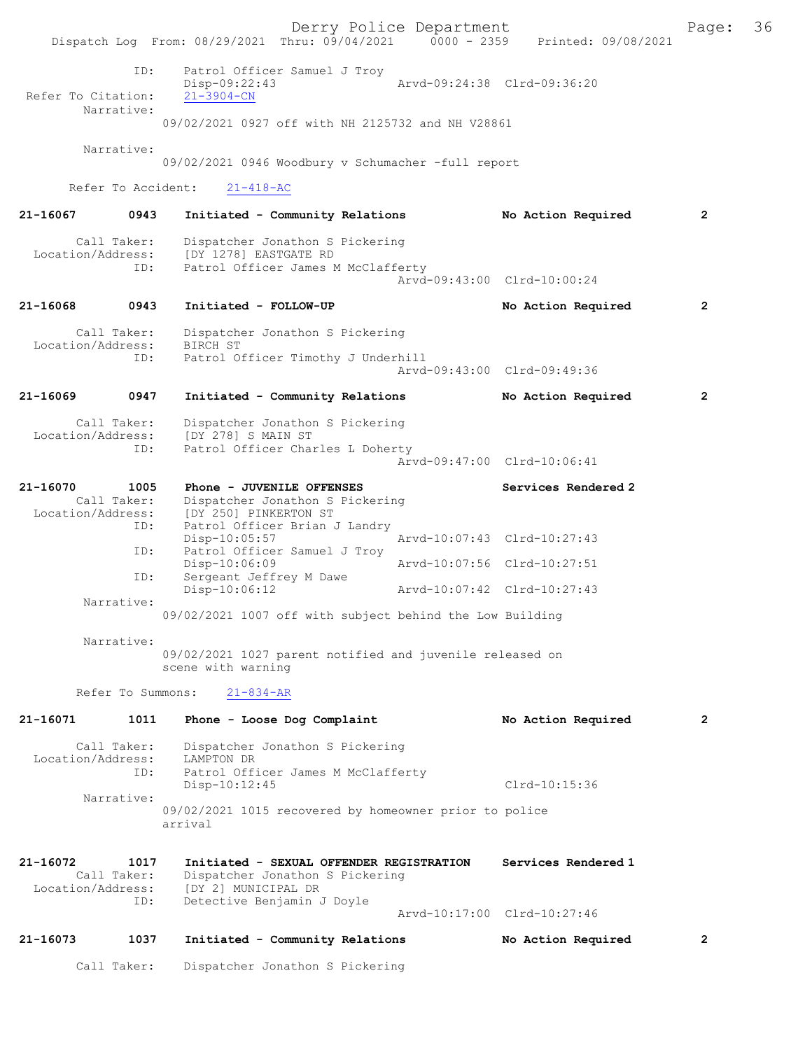Derry Police Department The Page: 36 Dispatch Log From: 08/29/2021 Thru: 09/04/2021 0000 - 2359 Printed: 09/08/2021 ID: Patrol Officer Samuel J Troy Disp-09:22:43 Arvd-09:24:38 Clrd-09:36:20 Refer To Citation: Narrative: 09/02/2021 0927 off with NH 2125732 and NH V28861 Narrative: 09/02/2021 0946 Woodbury v Schumacher -full report Refer To Accident: 21-418-AC 21-16067 0943 Initiated - Community Relations No Action Required 2 Call Taker: Dispatcher Jonathon S Pickering<br>Location/Address: [DY 1278] EASTGATE RD ess: [DY 1278] EASTGATE RD<br>ID: Patrol Officer James M Patrol Officer James M McClafferty Arvd-09:43:00 Clrd-10:00:24 21-16068 0943 Initiated - FOLLOW-UP No Action Required 2 Call Taker: Dispatcher Jonathon S Pickering<br>ion/Address: BIRCH ST Location/Address:<br>ID: Patrol Officer Timothy J Underhill Arvd-09:43:00 Clrd-09:49:36 21-16069 0947 Initiated - Community Relations No Action Required 2 Call Taker: Dispatcher Jonathon S Pickering<br>Location/Address: [DY 278] S MAIN ST ess: [DY 278] S MAIN ST<br>ID: Patrol Officer Char Patrol Officer Charles L Doherty Arvd-09:47:00 Clrd-10:06:41 21-16070 1005 Phone - JUVENILE OFFENSES Services Rendered 2 Call Taker: Dispatcher Jonathon S Pickering<br>Location/Address: [DY 250] PINKERTON ST ess: [DY 250] PINKERTON ST<br>ID: Patrol Officer Brian & Patrol Officer Brian J Landry<br>Disp-10:05:57 Disp-10:05:57 Arvd-10:07:43 Clrd-10:27:43<br>TD: Patrol Officer Samuel J Trov Patrol Officer Samuel J Troy<br>Disp-10:06:09 Disp-10:06:09 Arvd-10:07:56 Clrd-10:27:51<br>ID: Sergeant Jeffrey M Dawe Sergeant Jeffrey M Dawe<br>Disp-10:06:12 Disp-10:06:12 Arvd-10:07:42 Clrd-10:27:43 Narrative: 09/02/2021 1007 off with subject behind the Low Building Narrative: 09/02/2021 1027 parent notified and juvenile released on scene with warning Refer To Summons: 21-834-AR 21-16071 1011 Phone - Loose Dog Complaint No Action Required 2 Call Taker: Dispatcher Jonathon S Pickering Location/Address: LAMPTON DR ID: Patrol Officer James M McClafferty Disp-10:12:45 Clrd-10:15:36 Narrative: 09/02/2021 1015 recovered by homeowner prior to police arrival 21-16072 1017 Initiated - SEXUAL OFFENDER REGISTRATION Services Rendered 1<br>Call Taker: Dispatcher Jonathon S Pickering Call Taker: Dispatcher Jonathon S Pickering<br>Location/Address: [DY 2] MUNICIPAL DR ess: [DY 2] MUNICIPAL DR<br>ID: Detective Beniamin J Detective Benjamin J Doyle Arvd-10:17:00 Clrd-10:27:46 21-16073 1037 Initiated - Community Relations No Action Required 2 Call Taker: Dispatcher Jonathon S Pickering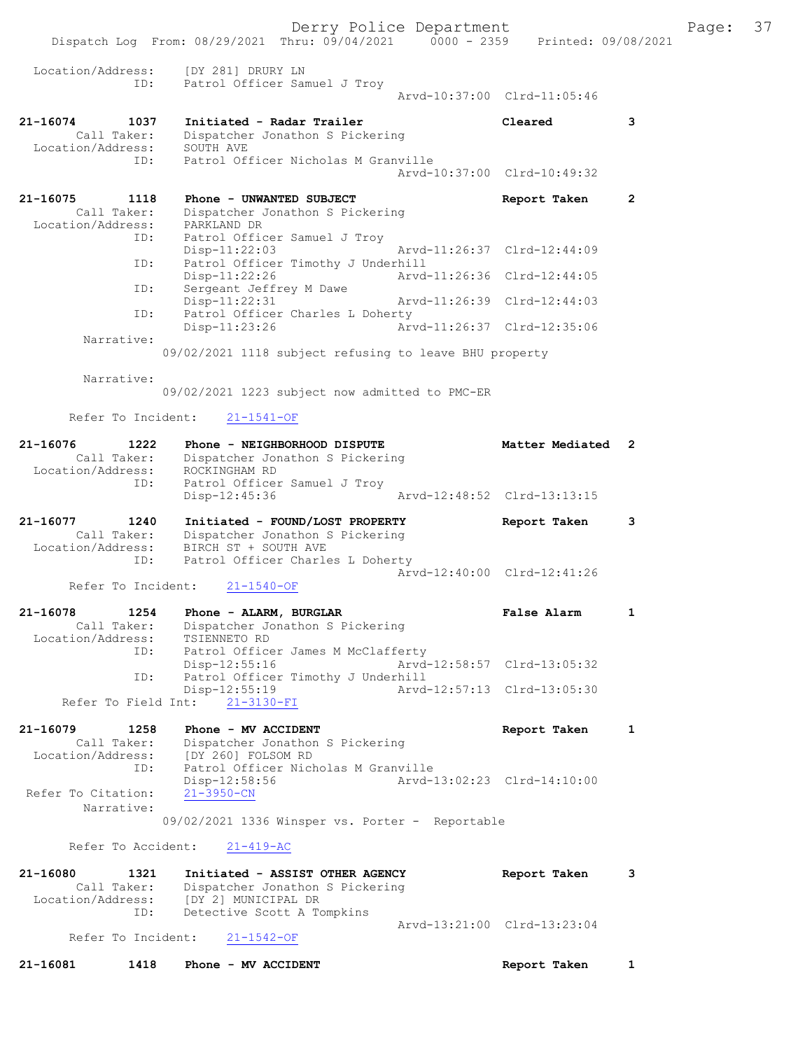Derry Police Department Fage: 37 Dispatch Log From: 08/29/2021 Thru: 09/04/2021 0000 - 2359 Printed: 09/08/2021 Location/Address: [DY 281] DRURY LN ID: Patrol Officer Samuel J Troy Fatrol Officer Samuel J Troy<br>Patrol Officer Samuel J Troy<br>Arvd-10:37:00 Clrd-11:05:46 21-16074 1037 Initiated - Radar Trailer Cleared 3 Call Taker: Dispatcher Jonathon S Pickering Location/Address: SOUTH AVE ID: Patrol Officer Nicholas M Granville Arvd-10:37:00 Clrd-10:49:32 21-16075 1118 Phone - UNWANTED SUBJECT Report Taken 2 Call Taker: Dispatcher Jonathon S Pickering Location/Address: PARKLAND DR ID: Patrol Officer Samuel J Troy Disp-11:22:03 Arvd-11:26:37 Clrd-12:44:09 ID: Patrol Officer Timothy J Underhill<br>Disp-11:22:26 Arvd-11:26:36 Clrd-12:44:05 Disp-11:22:26 Arvd-11:26:36 Clrd-12:44:05 ID: Sergeant Jeffrey M Dawe Disp-11:22:31 Arvd-11:26:39 Clrd-12:44:03 ID: Patrol Officer Charles L Doherty<br>Disp-11:23:26 Arv Arvd-11:26:37 Clrd-12:35:06 Narrative: 09/02/2021 1118 subject refusing to leave BHU property Narrative: 09/02/2021 1223 subject now admitted to PMC-ER Refer To Incident: 21-1541-OF 21-16076 1222 Phone - NEIGHBORHOOD DISPUTE Matter Mediated 2 Call Taker: Dispatcher Jonathon S Pickering Location/Address: ROCKINGHAM RD ID: Patrol Officer Samuel J Troy Disp-12:45:36 Arvd-12:48:52 Clrd-13:13:15 21-16077 1240 Initiated - FOUND/LOST PROPERTY Report Taken 3 Call Taker: Dispatcher Jonathon S Pickering Location/Address: BIRCH ST + SOUTH AVE ID: Patrol Officer Charles L Doherty Arvd-12:40:00 Clrd-12:41:26<br>21-1540-OF Arvd-12:40:00 Clrd-12:41:26 Refer To Incident: 21-16078 1254 Phone - ALARM, BURGLAR False Alarm 1 Call Taker: Dispatcher Jonathon S Pickering Location/Address: TSIENNETO RD ID: Patrol Officer James M McClafferty Disp-12:55:16 Arvd-12:58:57 Clrd-13:05:32 ID: Patrol Officer Timothy J Underhill<br>Disp-12:55:19 Arvd- Disp-12:55:19 Arvd-12:57:13 Clrd-13:05:30 Refer To Field Int: 21-3130-FI 21-16079 1258 Phone - MV ACCIDENT 1 21 Report Taken 1 Call Taker: Dispatcher Jonathon S Pickering Location/Address: [DY 260] FOLSOM RD ID: Patrol Officer Nicholas M Granville Disp-12:58:56 Arvd-13:02:23 Clrd-14:10:00<br>21-3950-CN Refer To Citation: Narrative: 09/02/2021 1336 Winsper vs. Porter - Reportable Refer To Accident: 21-419-AC 21-16080 1321 Initiated - ASSIST OTHER AGENCY Report Taken 3 Call Taker: Dispatcher Jonathon S Pickering Location/Address: [DY 2] MUNICIPAL DR ID: Detective Scott A Tompkins Arvd-13:21:00 Clrd-13:23:04<br>21-1542-OF Refer To Incident: 21-16081 1418 Phone - MV ACCIDENT Report Taken 1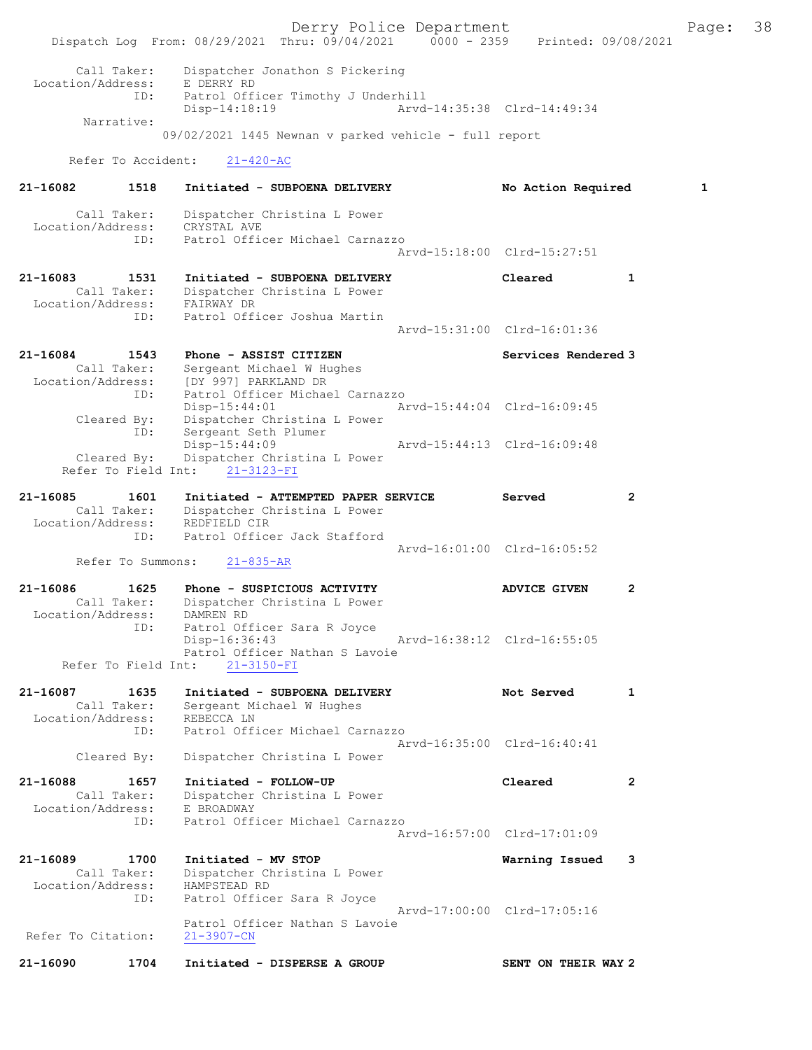Derry Police Department Fage: 38 Dispatch Log From: 08/29/2021 Thru: 09/04/2021 0000 - 2359 Printed: 09/08/2021 Call Taker: Dispatcher Jonathon S Pickering Location/Address: E DERRY RD ID: Patrol Officer Timothy J Underhill Disp-14:18:19 Arvd-14:35:38 Clrd-14:49:34 Narrative: 09/02/2021 1445 Newnan v parked vehicle - full report Refer To Accident: 21-420-AC 21-16082 1518 Initiated - SUBPOENA DELIVERY No Action Required 1 Call Taker: Dispatcher Christina L Power Location/Address: CRYSTAL AVE ID: Patrol Officer Michael Carnazzo Arvd-15:18:00 Clrd-15:27:51 21-16083 1531 Initiated - SUBPOENA DELIVERY Cleared 1 Call Taker: Dispatcher Christina L Power Location/Address: FAIRWAY DR ID: Patrol Officer Joshua Martin Arvd-15:31:00 Clrd-16:01:36 21-16084 1543 Phone - ASSIST CITIZEN 1988 Services Rendered 3 Call Taker: Sergeant Michael W Hughes Location/Address: [DY 997] PARKLAND DR ID: Patrol Officer Michael Carnazzo Disp-15:44:01 Arvd-15:44:04 Clrd-16:09:45 Cleared By: Dispatcher Christina L Power ID: Sergeant Seth Plumer Disp-15:44:09 Arvd-15:44:13 Clrd-16:09:48 Cleared By: Disp-15:44:09<br>Cleared By: Dispatcher Christina L Power Refer To Field Int: 21-3123-FI 21-16085 1601 Initiated - ATTEMPTED PAPER SERVICE Served 2 Call Taker: Dispatcher Christina L Power Location/Address: REDFIELD CIR ID: Patrol Officer Jack Stafford Arvd-16:01:00 Clrd-16:05:52 Refer To Summons: 21-835-AR 21-16086 1625 Phone - SUSPICIOUS ACTIVITY ADVICE GIVEN 2 Call Taker: Dispatcher Christina L Power Location/Address: DAMREN RD ID: Patrol Officer Sara R Joyce<br>Disp-16:36:43 Disp-16:36:43 Arvd-16:38:12 Clrd-16:55:05 Patrol Officer Nathan S Lavoie Refer To Field Int: 21-3150-FI 21-16087 1635 Initiated - SUBPOENA DELIVERY Not Served 1 Call Taker: Sergeant Michael W Hughes Location/Address: REBECCA LN ID: Patrol Officer Michael Carnazzo Arvd-16:35:00 Clrd-16:40:41 Cleared By: Dispatcher Christina L Power 21-16088 1657 Initiated - FOLLOW-UP Cleared 2 Call Taker: Dispatcher Christina L Power Location/Address: E BROADWAY ID: Patrol Officer Michael Carnazzo Arvd-16:57:00 Clrd-17:01:09 21-16089 1700 Initiated - MV STOP Warning Issued 3 Call Taker: Dispatcher Christina L Power Location/Address: HAMPSTEAD RD ID: Patrol Officer Sara R Joyce Arvd-17:00:00 Clrd-17:05:16 Patrol Officer Nathan S Lavoie Refer To Citation: 21-3907-CN 21-16090 1704 Initiated - DISPERSE A GROUP SENT ON THEIR WAY 2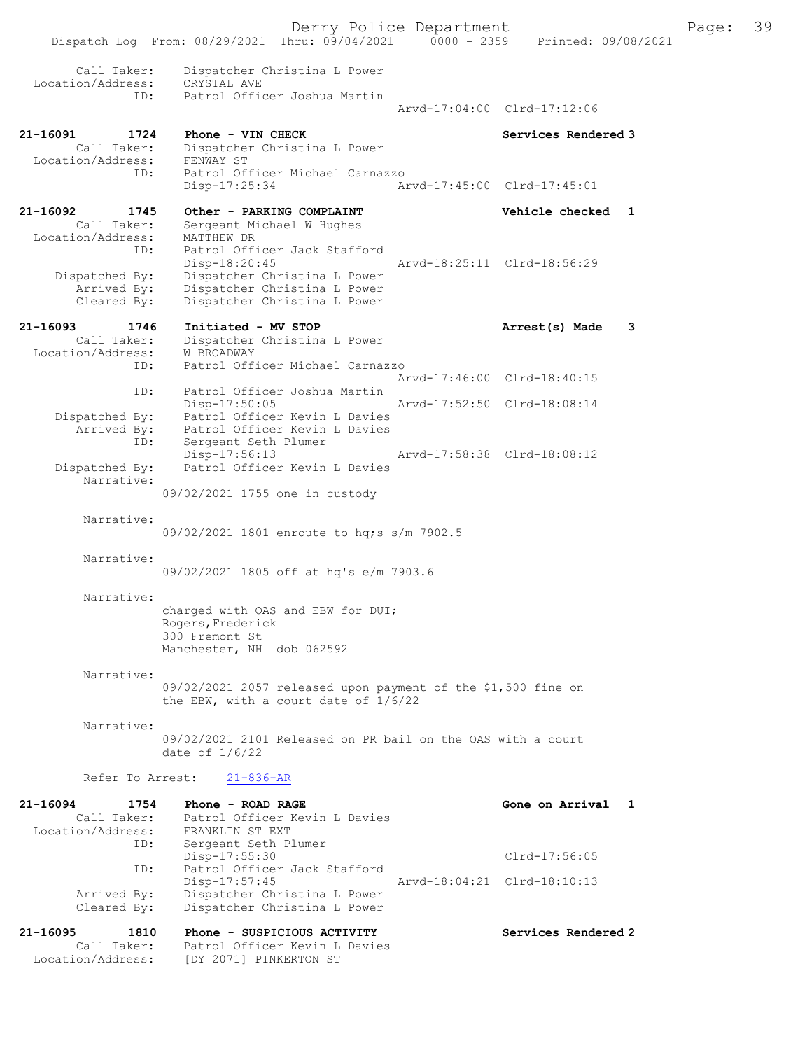Dispatch Log From: 08/29/2021 Thru: 09/04/2021 0000 - 2359 Printed: 09/08/2021 Call Taker: Dispatcher Christina L Power Location/Address: CRYSTAL AVE ID: Patrol Officer Joshua Martin Arvd-17:04:00 Clrd-17:12:06 21-16091 1724 Phone - VIN CHECK Services Rendered 3 Call Taker: Dispatcher Christina L Power Location/Address: FENWAY ST ID: Patrol Officer Michael Carnazzo Disp-17:25:34 Arvd-17:45:00 Clrd-17:45:01 21-16092 1745 Other - PARKING COMPLAINT Vehicle checked 1 Call Taker: Sergeant Michael W Hughes Location/Address: MATTHEW DR ID: Patrol Officer Jack Stafford Disp-18:20:45 Arvd-18:25:11 Clrd-18:56:29 Dispatched By: Dispatcher Christina L Power Arrived By: Dispatcher Christina L Power Cleared By: Dispatcher Christina L Power 21-16093 1746 Initiated - MV STOP 121-16093 Arrest(s) Made 3 Call Taker: Dispatcher Christina L Power Location/Address: W BROADWAY ID: Patrol Officer Michael Carnazzo Arvd-17:46:00 Clrd-18:40:15 ID: Patrol Officer Joshua Martin Disp-17:50:05 Arvd-17:52:50 Clrd-18:08:14 Dispatched By: Patrol Officer Kevin L Davies Arrived By: Patrol Officer Kevin L Davies ID: Sergeant Seth Plumer Disp-17:56:13 Arvd-17:58:38 Clrd-18:08:12 Dispatched By: Patrol Officer Kevin L Davies Narrative: 09/02/2021 1755 one in custody Narrative: 09/02/2021 1801 enroute to hq;s s/m 7902.5 Narrative: 09/02/2021 1805 off at hq's e/m 7903.6 Narrative: charged with OAS and EBW for DUI; Rogers,Frederick 300 Fremont St Manchester, NH dob 062592 Narrative: 09/02/2021 2057 released upon payment of the \$1,500 fine on the EBW, with a court date of 1/6/22 Narrative: 09/02/2021 2101 Released on PR bail on the OAS with a court date of 1/6/22 Refer To Arrest: 21-836-AR 21-16094 1754 Phone - ROAD RAGE North States and Arrival 1 Call Taker: Patrol Officer Kevin L Davies Location/Address: FRANKLIN ST EXT ID: Sergeant Seth Plumer Disp-17:55:30 Clrd-17:56:05 ID: Patrol Officer Jack Stafford Disp-17:57:45 Arvd-18:04:21 Clrd-18:10:13 Arrived By: Dispatcher Christina L Power Cleared By: Dispatcher Christina L Power 21-16095 1810 Phone - SUSPICIOUS ACTIVITY Services Rendered 2 Call Taker: Patrol Officer Kevin L Davies Location/Address: [DY 2071] PINKERTON ST

Derry Police Department The Page: 39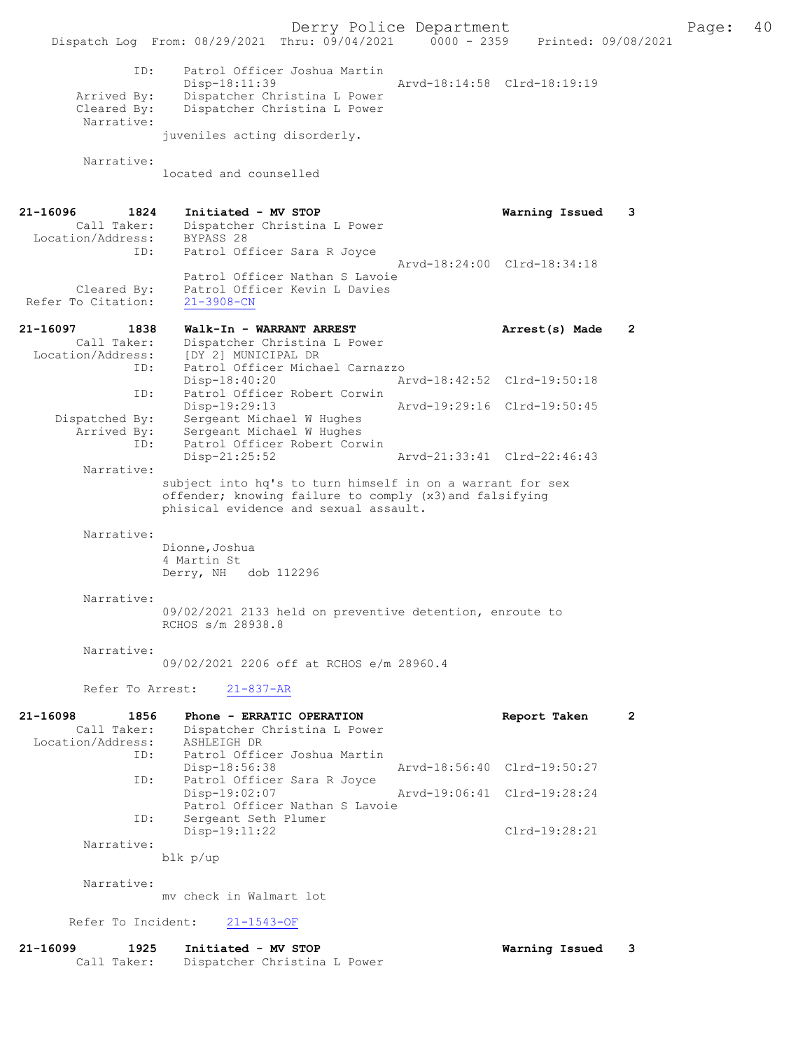Derry Police Department The Page: 40 Dispatch Log From: 08/29/2021 Thru: 09/04/2021 0000 - 2359 Printed: 09/08/2021 ID: Patrol Officer Joshua Martin Disp-18:11:39 Arvd-18:14:58 Clrd-18:19:19<br>Arrived By: Dispatcher Christina L Power Arrived By: Dispatcher Christina L Power<br>Cleared By: Dispatcher Christina L Power Dispatcher Christina L Power Narrative: juveniles acting disorderly. Narrative: located and counselled 21-16096 1824 Initiated - MV STOP Warning Issued 3 Call Taker: Dispatcher Christina L Power Location/Address: ess: BYPASS 28<br>ID: Patrol Officer Sara R Joyce Arvd-18:24:00 Clrd-18:34:18 Patrol Officer Nathan S Lavoie Cleared By: Patrol Officer Kevin L Davies Refer To Citation: 21-3908-CN 21-16097 1838 Walk-In - WARRANT ARREST Arrest(s) Made 2 Call Taker: Dispatcher Christina L Power Location/Address: [DY 2] MUNICIPAL DR ID: Patrol Officer Michael Carnazzo Disp-18:40:20 Arvd-18:42:52 Clrd-19:50:18 ID: Patrol Officer Robert Corwin<br>Disp-19:29:13 Disp-19:29:13 Arvd-19:29:16 Clrd-19:50:45<br>Dispatched By: Sergeant Michael W Hughes ---.<br>Sergeant Michael W Hughes Arrived By: Sergeant Michael W Hughes<br>ID: Patrol Officer Robert Corw Patrol Officer Robert Corwin<br>Disp-21:25:52 Disp-21:25:52 Arvd-21:33:41 Clrd-22:46:43 Narrative: subject into hq's to turn himself in on a warrant for sex offender; knowing failure to comply (x3)and falsifying phisical evidence and sexual assault. Narrative: Dionne, Joshua 4 Martin St Derry, NH dob 112296 Narrative: 09/02/2021 2133 held on preventive detention, enroute to RCHOS s/m 28938.8 Narrative: 09/02/2021 2206 off at RCHOS e/m 28960.4 Refer To Arrest: 21-837-AR 21-16098 1856 Phone - ERRATIC OPERATION Report Taken 2 Call Taker: Dispatcher Christina L Power Location/Address: ----<br>
ID: ASHLEIGH DR<br>
ID: Patrol Officer Joshua Martin<br>
Disp-18:56:38 Disp-18:56:38 Arvd-18:56:40 Clrd-19:50:27<br>TD: Patrol Officer Sara R Joyce Patrol Officer Sara R Joyce<br>Disp-19:02:07 Disp-19:02:07 Arvd-19:06:41 Clrd-19:28:24 Patrol Officer Nathan S Lavoie ID: Sergeant Seth Plumer<br>Disp-19:11:22 Clrd-19:28:21 Narrative: blk p/up Narrative: mv check in Walmart lot Refer To Incident: 21-1543-OF 21-16099 1925 Initiated - MV STOP Warning Issued 3

Call Taker: Dispatcher Christina L Power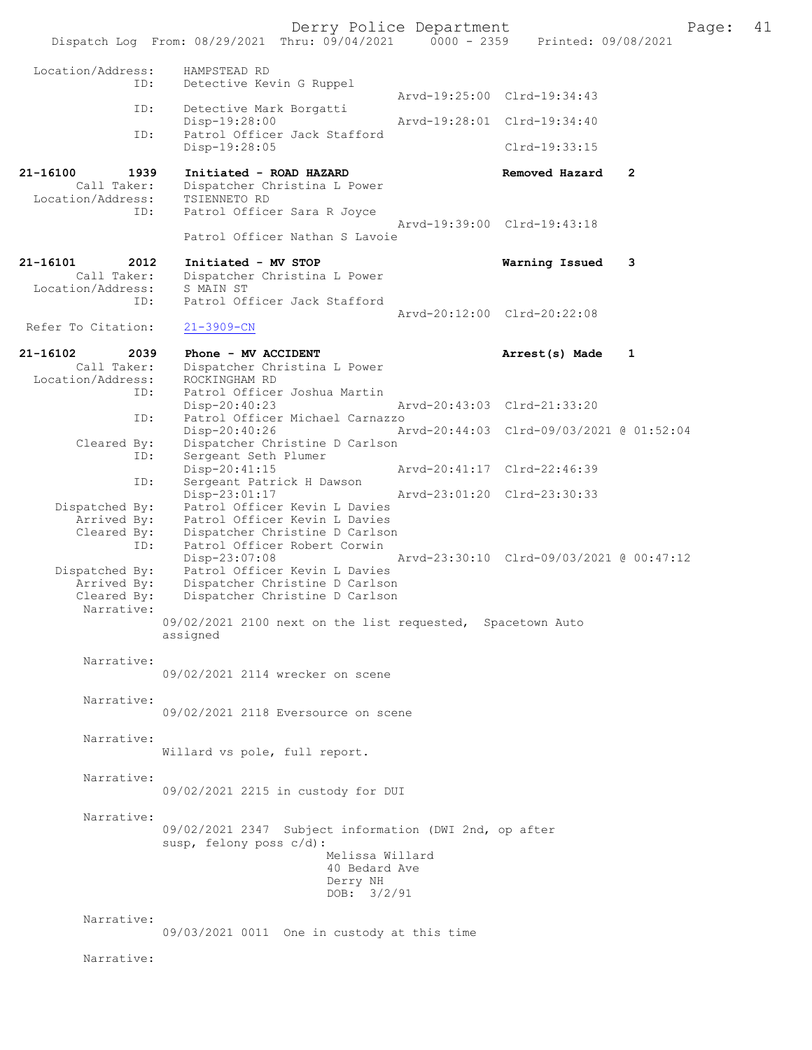Derry Police Department<br>Page: 41 (19/04/2021 0000 - 2359 Printed: 09/08/2021 Dispatch Log From: 08/29/2021 Thru: 09/04/2021 Location/Address: HAMPSTEAD RD ID: Detective Kevin G Ruppel Arvd-19:25:00 Clrd-19:34:43<br>TD: Detective Mark Borgatti Detective Mark Borgatti<br>Disp-19:28:00 Disp-19:28:00 Arvd-19:28:01 Clrd-19:34:40<br>TD: Patrol Officer Jack Stafford Patrol Officer Jack Stafford Disp-19:28:05 Clrd-19:33:15 21-16100 1939 Initiated - ROAD HAZARD Removed Hazard 2 Call Taker: Dispatcher Christina L Power Location/Address: TSIENNETO RD Patrol Officer Sara R Joyce Arvd-19:39:00 Clrd-19:43:18 Patrol Officer Nathan S Lavoie 21-16101 2012 Initiated - MV STOP **Warning Issued 3**<br>Call Taker: Dispatcher Christina L Power Dispatcher Christina L Power<br>S MAIN ST Location/Address:<br>ID: Patrol Officer Jack Stafford Arvd-20:12:00 Clrd-20:22:08<br>21-3909-CN Refer To Citation: 21-16102 2039 Phone - MV ACCIDENT 2010 2021 - 16102 Arrest(s) Made 1 Call Taker: Dispatcher Christina L Power<br>ion/Address: ROCKINGHAM RD Location/Address:<br>TD: Patrol Officer Joshua Martin Disp-20:40:23 Arvd-20:43:03 Clrd-21:33:20<br>TD: Patrol Officer Michael Carnazzo Patrol Officer Michael Carnazzo<br>Disp-20:40:26 A Disp-20:40:26 Arvd-20:44:03 Clrd-09/03/2021 @ 01:52:04 Cleared By: Dispatcher Christine D Carlson ID: Sergeant Seth Plumer<br>Disp-20:41:15 Disp-20:41:15 Arvd-20:41:17 Clrd-22:46:39<br>TD: Sergeant Patrick H Dawson Sergeant Patrick H Dawson<br>Disp-23:01:17 Disp-23:01:17 Arvd-23:01:20 Clrd-23:30:33 Dispatched By: Patrol Officer Kevin L Davies Arrived By: Patrol Officer Kevin L Davies<br>Cleared By: Dispatcher Christine D Carlson Exteed Accept Christine D Carlson<br>
ID: Dispatcher Christine D Carlson<br>
ID: Patrol Officer Robert Corwin Patrol Officer Robert Corwin<br>Disp-23:07:08 Disp-23:07:08 Arvd-23:30:10 Clrd-09/03/2021 @ 00:47:12 Dispatched By: Patrol Officer Kevin L Davies Arrived By: Dispatcher Christine D Carlson<br>Cleared By: Dispatcher Christine D Carlson Dispatcher Christine D Carlson Narrative: 09/02/2021 2100 next on the list requested, Spacetown Auto assigned Narrative: 09/02/2021 2114 wrecker on scene Narrative: 09/02/2021 2118 Eversource on scene Narrative: Willard vs pole, full report. Narrative: 09/02/2021 2215 in custody for DUI Narrative: 09/02/2021 2347 Subject information (DWI 2nd, op after susp, felony poss c/d): Melissa Willard 40 Bedard Ave Derry NH DOB: 3/2/91 Narrative: 09/03/2021 0011 One in custody at this time Narrative: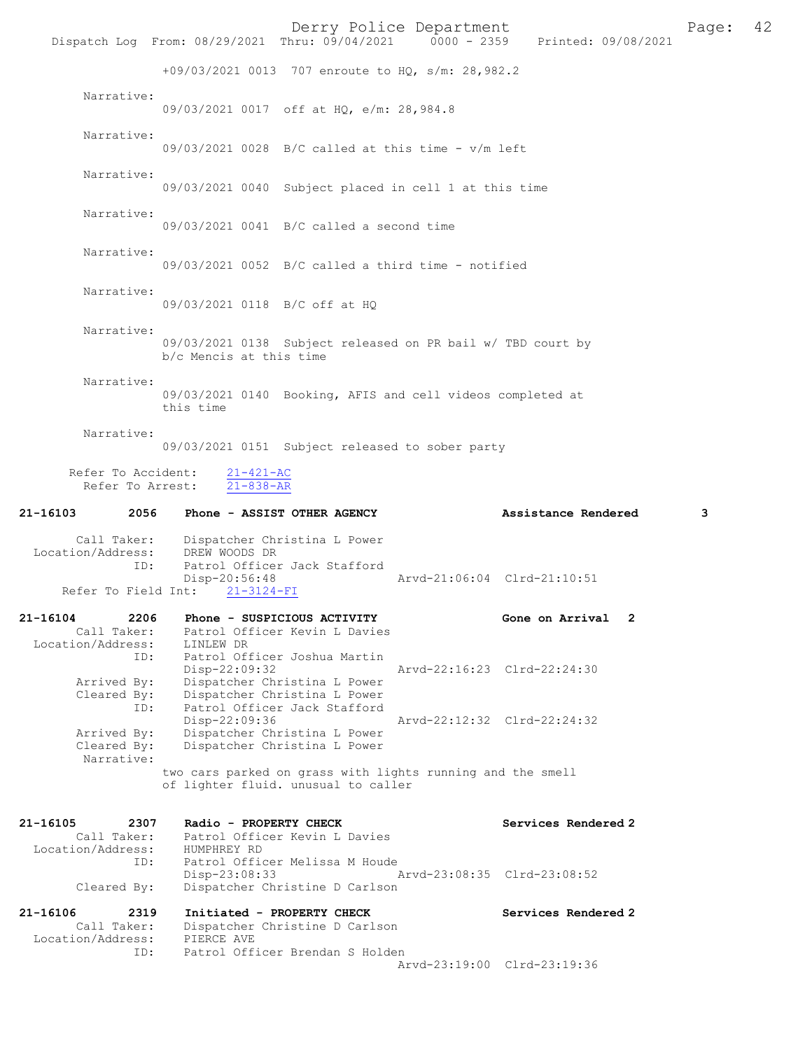|                                                             |                                                           | Derry Police Department                                                                           |                             | Dispatch Log From: 08/29/2021 Thru: 09/04/2021 0000 - 2359 Printed: 09/08/2021 | Page: | 42 |
|-------------------------------------------------------------|-----------------------------------------------------------|---------------------------------------------------------------------------------------------------|-----------------------------|--------------------------------------------------------------------------------|-------|----|
|                                                             |                                                           | +09/03/2021 0013 707 enroute to HQ, s/m: 28,982.2                                                 |                             |                                                                                |       |    |
| Narrative:                                                  |                                                           | 09/03/2021 0017 off at HQ, e/m: 28,984.8                                                          |                             |                                                                                |       |    |
| Narrative:                                                  |                                                           | $09/03/2021$ 0028 B/C called at this time - v/m left                                              |                             |                                                                                |       |    |
| Narrative:                                                  |                                                           | 09/03/2021 0040 Subject placed in cell 1 at this time                                             |                             |                                                                                |       |    |
| Narrative:                                                  |                                                           | $09/03/2021$ 0041 B/C called a second time                                                        |                             |                                                                                |       |    |
| Narrative:                                                  |                                                           | $09/03/2021$ 0052 B/C called a third time - notified                                              |                             |                                                                                |       |    |
| Narrative:                                                  | 09/03/2021 0118 B/C off at HQ                             |                                                                                                   |                             |                                                                                |       |    |
| Narrative:                                                  | b/c Mencis at this time                                   | 09/03/2021 0138 Subject released on PR bail w/ TBD court by                                       |                             |                                                                                |       |    |
| Narrative:                                                  | this time                                                 | 09/03/2021 0140 Booking, AFIS and cell videos completed at                                        |                             |                                                                                |       |    |
| Narrative:                                                  |                                                           | 09/03/2021 0151 Subject released to sober party                                                   |                             |                                                                                |       |    |
| Refer To Arrest:                                            | Refer To Accident: 21-421-AC<br>$21 - 838 - AR$           |                                                                                                   |                             |                                                                                |       |    |
| 21-16103                                                    | 2056 Phone - ASSIST OTHER AGENCY                          |                                                                                                   |                             | Assistance Rendered                                                            | 3     |    |
| Location/Address:<br>ID:                                    | Call Taker: Dispatcher Christina L Power<br>DREW WOODS DR | Patrol Officer Jack Stafford                                                                      |                             |                                                                                |       |    |
| Refer To Field Int:                                         | Disp-20:56:48<br>$21 - 3124 - FI$                         |                                                                                                   | Arvd-21:06:04 Clrd-21:10:51 |                                                                                |       |    |
|                                                             |                                                           |                                                                                                   |                             |                                                                                |       |    |
| 21-16104<br>2206<br>Call Taker:                             | Phone - SUSPICIOUS ACTIVITY                               | Patrol Officer Kevin L Davies                                                                     |                             | Gone on Arrival 2                                                              |       |    |
| Location/Address:<br>ID:<br>Arrived By:<br>Cleared By:      | LINLEW DR<br>$Disp-22:09:32$                              | Patrol Officer Joshua Martin<br>Dispatcher Christina L Power<br>Dispatcher Christina L Power      | Arvd-22:16:23 Clrd-22:24:30 |                                                                                |       |    |
| ID:<br>Arrived By:<br>Cleared By:                           | Disp-22:09:36                                             | Patrol Officer Jack Stafford<br>Dispatcher Christina L Power<br>Dispatcher Christina L Power      | Arvd-22:12:32 Clrd-22:24:32 |                                                                                |       |    |
| Narrative:                                                  |                                                           | two cars parked on grass with lights running and the smell<br>of lighter fluid. unusual to caller |                             |                                                                                |       |    |
| 21-16105<br>2307<br>Call Taker:<br>Location/Address:<br>ID: | Radio - PROPERTY CHECK<br>HUMPHREY RD                     | Patrol Officer Kevin L Davies<br>Patrol Officer Melissa M Houde                                   |                             | Services Rendered 2                                                            |       |    |
| Cleared By:                                                 | Disp-23:08:33                                             | Dispatcher Christine D Carlson                                                                    | Arvd-23:08:35 Clrd-23:08:52 |                                                                                |       |    |
| 21-16106<br>2319<br>Call Taker:<br>Location/Address:<br>ID: | Initiated - PROPERTY CHECK<br>PIERCE AVE                  | Dispatcher Christine D Carlson<br>Patrol Officer Brendan S Holden                                 |                             | Services Rendered 2                                                            |       |    |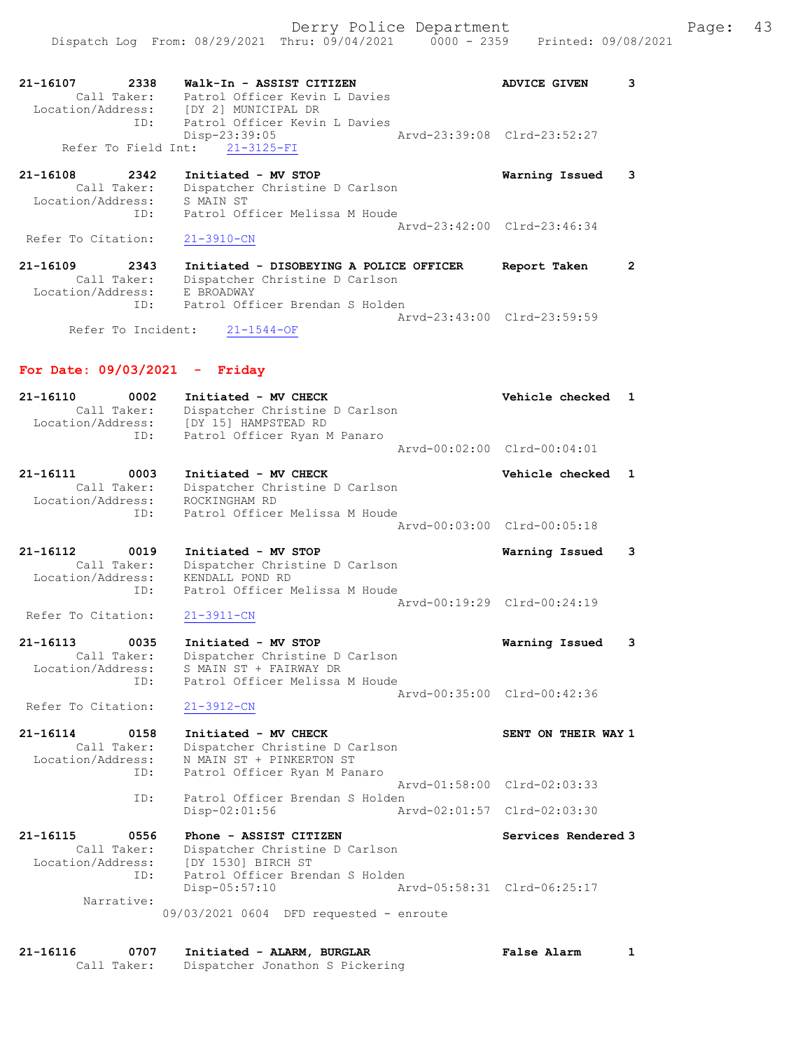| 21-16107<br>2338<br>Call Taker:                      | Walk-In - ASSIST CITIZEN<br>Patrol Officer Kevin L Davies                                                 | <b>ADVICE GIVEN</b>         |  |
|------------------------------------------------------|-----------------------------------------------------------------------------------------------------------|-----------------------------|--|
| Location/Address:<br>TD:                             | [DY 2] MUNICIPAL DR<br>Patrol Officer Kevin L Davies<br>$Disp-23:39:05$<br>Refer To Field Int: 21-3125-FI | Aryd-23:39:08 Clrd-23:52:27 |  |
| 21-16108<br>2342<br>Call Taker:<br>Location/Address: | Initiated - MV STOP<br>Dispatcher Christine D Carlson<br>S MAIN ST                                        | Warning Issued              |  |
| ID:<br>Refer To Citation:                            | Patrol Officer Melissa M Houde<br>$21 - 3910 - CN$                                                        | Aryd-23:42:00 Clrd-23:46:34 |  |

21-16109 2343 Initiated - DISOBEYING A POLICE OFFICER Report Taken 2 Call Taker: Dispatcher Christine D Carlson Location/Address: E BROADWAY ID: Patrol Officer Brendan S Holden Arvd-23:43:00 Clrd-23:59:59<br>
21-1544-OF **Arve** 

Refer To Incident:

### For Date: 09/03/2021 - Friday

| 21-16110          | 0002        | Initiated - MV CHECK           | Vehicle checked 1           |  |
|-------------------|-------------|--------------------------------|-----------------------------|--|
|                   | Call Taker: | Dispatcher Christine D Carlson |                             |  |
| Location/Address: |             | [DY 15] HAMPSTEAD RD           |                             |  |
|                   | ID:         | Patrol Officer Ryan M Panaro   |                             |  |
|                   |             |                                | Arvd-00:02:00 Clrd-00:04:01 |  |
| 21-16111          | 0003        | Initiated - MV CHECK           | Vehicle checked 1           |  |
|                   | Call Taker: | Dispatcher Christine D Carlson |                             |  |
| Location/Address: |             | ROCKINGHAM RD                  |                             |  |

 ID: Patrol Officer Melissa M Houde Arvd-00:03:00 Clrd-00:05:18

21-16112 0019 Initiated - MV STOP Warning Issued 3 Call Taker: Dispatcher Christine D Carlson Location/Address: KENDALL POND RD ID: Patrol Officer Melissa M Houde Arvd-00:19:29 Clrd-00:24:19<br>21-3911-CN Refer To Citation:

#### 21-16113 0035 Initiated - MV STOP Warning Issued 3 Call Taker: Dispatcher Christine D Carlson Location/Address: S MAIN ST + FAIRWAY DR ID: Patrol Officer Melissa M Houde Arvd-00:35:00 Clrd-00:42:36

Refer To Citation: 21-3912-CN

# 21-16114 0158 Initiated - MV CHECK SENT ON THEIR WAY 1

 Call Taker: Dispatcher Christine D Carlson Location/Address: N MAIN ST + PINKERTON ST ID: Patrol Officer Ryan M Panaro Arvd-01:58:00 Clrd-02:03:33 ID: Patrol Officer Brendan S Holden Disp-02:01:56 Arvd-02:01:57 Clrd-02:03:30

21-16115 0556 Phone - ASSIST CITIZEN Services Rendered 3 Call Taker: Dispatcher Christine D Carlson Location/Address: [DY 1530] BIRCH ST ID: Patrol Officer Brendan S Holden Disp-05:57:10 Arvd-05:58:31 Clrd-06:25:17 Narrative: 09/03/2021 0604 DFD requested - enroute

| 21-16116 | 0707        | Initiated - ALARM, BURGLAR      | <b>False Alarm</b> |  |
|----------|-------------|---------------------------------|--------------------|--|
|          | Call Taker: | Dispatcher Jonathon S Pickering |                    |  |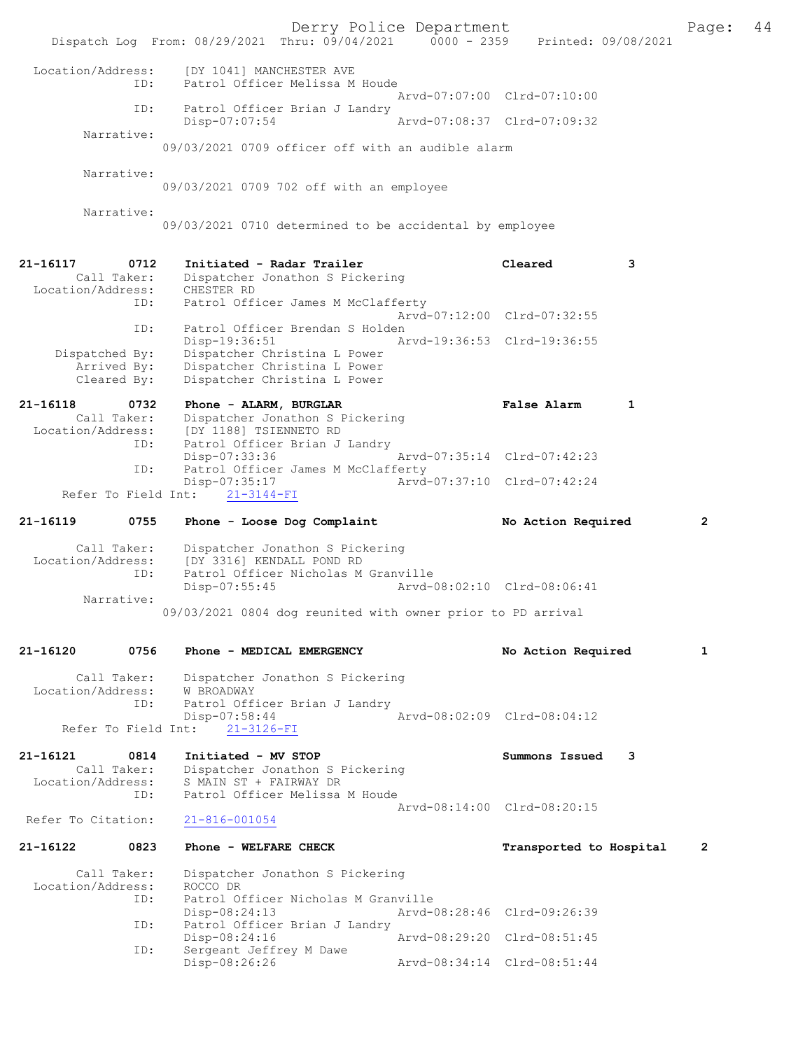Derry Police Department The Page: 44 Dispatch Log From: 08/29/2021 Thru: 09/04/2021 0000 - 2359 Printed: 09/08/2021 Location/Address: [DY 1041] MANCHESTER AVE ID: Patrol Officer Melissa M Houde Arvd-07:07:00 Clrd-07:10:00<br>TD: Patrol Officer Brian J Landry Patrol Officer Brian J Landry<br>Disp-07:07:54 Disp-07:07:54 Arvd-07:08:37 Clrd-07:09:32 Narrative: 09/03/2021 0709 officer off with an audible alarm Narrative: 09/03/2021 0709 702 off with an employee Narrative: 09/03/2021 0710 determined to be accidental by employee 21-16117 0712 Initiated - Radar Trailer Cleared 3<br>Call Taker: Dispatcher Jonathon S Pickering Dispatcher Jonathon S Pickering<br>CHESTER RD Location/Address: ID: Patrol Officer James M McClafferty Arvd-07:12:00 Clrd-07:32:55<br>ID: Patrol Officer Brendan S Holden ID: Patrol Officer Brendan S Holden Disp-19:36:51 Arvd-19:36:53 Clrd-19:36:55<br>Dispatched By: Dispatcher Christina L Power Dispatcher Christina L Power Arrived By: Dispatcher Christina L Power<br>Cleared By: Dispatcher Christina L Power Dispatcher Christina L Power 21-16118 0732 Phone - ALARM, BURGLAR **False Alarm** 1 Call Taker: Dispatcher Jonathon S Pickering Call Taker: Dispatcher Jonathon S Pickering<br>Location/Address: [DY 1188] TSIENNETO RD ess: [DY 1188] TSIENNETO RD<br>ID: Patrol Officer Brian J Patrol Officer Brian J Landry<br>Disp-07:33:36 Disp-07:33:36 Arvd-07:35:14 Clrd-07:42:23 ID: Patrol Officer James M McClafferty Disp-07:35:17 <br>http://arvd-07:37:10 Clrd-07:42:24<br>t: 21-3144-FI Refer To Field Int: 21-16119 0755 Phone - Loose Dog Complaint No Action Required 2 Call Taker: Dispatcher Jonathon S Pickering<br>Location/Address: [DY 3316] KENDALL POND RD ess: [DY 3316] KENDALL POND RD<br>ID: Patrol Officer Nicholas M Patrol Officer Nicholas M Granville Disp-07:55:45 Arvd-08:02:10 Clrd-08:06:41 Narrative: 09/03/2021 0804 dog reunited with owner prior to PD arrival 21-16120 0756 Phone - MEDICAL EMERGENCY No Action Required 1 Call Taker: Dispatcher Jonathon S Pickering<br>on/Address: W BROADWAY Location/Address: ID: Patrol Officer Brian J Landry Disp-07:58:44 Arvd-08:02:09 Clrd-08:04:12 Refer To Field Int: 21-3126-FI 21-16121 0814 Initiated - MV STOP Summons Issued 3<br>Call Taker: Dispatcher Jonathon S Pickering Call Taker: Dispatcher Jonathon S Pickering<br>Location/Address: S MAIN ST + FAIRWAY DR ess: S MAIN ST + FAIRWAY DR<br>ID: Patrol Officer Melissa Patrol Officer Melissa M Houde Arvd-08:14:00 Clrd-08:20:15<br>21-816-001054 Refer To Citation: 21-16122 0823 Phone - WELFARE CHECK Transported to Hospital 2 Call Taker: Dispatcher Jonathon S Pickering<br>on/Address: ROCCO DR Location/Address: ID: Patrol Officer Nicholas M Granville Disp-08:24:13 Arvd-08:28:46 Clrd-09:26:39<br>TD: Patrol Officer Brian J Landry Patrol Officer Brian J Landry Disp-08:24:16 Arvd-08:29:20 Clrd-08:51:45 ID: Sergeant Jeffrey M Dawe<br>Disp-08:26:26 Disp-08:26:26 Arvd-08:34:14 Clrd-08:51:44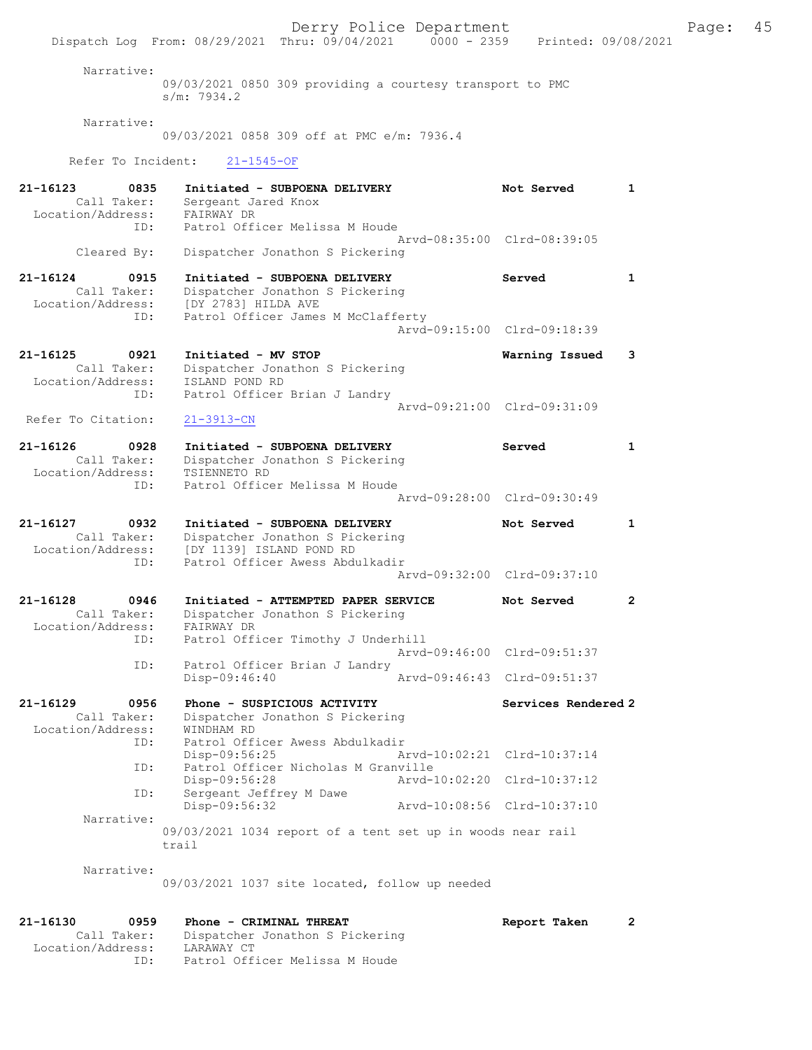Derry Police Department Fage: 45 Dispatch Log From: 08/29/2021 Thru: 09/04/2021 0000 - 2359 Printed: 09/08/2021 Narrative: 09/03/2021 0850 309 providing a courtesy transport to PMC s/m: 7934.2 Narrative: 09/03/2021 0858 309 off at PMC e/m: 7936.4 Refer To Incident: 21-1545-OF 21-16123 0835 Initiated - SUBPOENA DELIVERY Not Served 1 Call Taker: Sergeant Jared Knox Location/Address: FAIRWAY DR ID: Patrol Officer Melissa M Houde Arvd-08:35:00 Clrd-08:39:05 Cleared By: Dispatcher Jonathon S Pickering 21-16124 0915 Initiated - SUBPOENA DELIVERY Served 1 Call Taker: Dispatcher Jonathon S Pickering Location/Address: [DY 2783] HILDA AVE ID: Patrol Officer James M McClafferty Arvd-09:15:00 Clrd-09:18:39 21-16125 0921 Initiated - MV STOP Warning Issued 3 Call Taker: Dispatcher Jonathon S Pickering Location/Address: ISLAND POND RD ID: Patrol Officer Brian J Landry Arvd-09:21:00 Clrd-09:31:09 Refer To Citation: 21-3913-CN 21-16126 0928 Initiated - SUBPOENA DELIVERY Served 1 Call Taker: Dispatcher Jonathon S Pickering Location/Address: TSIENNETO RD ID: Patrol Officer Melissa M Houde Arvd-09:28:00 Clrd-09:30:49 21-16127 0932 Initiated - SUBPOENA DELIVERY Not Served 1 Call Taker: Dispatcher Jonathon S Pickering Location/Address: [DY 1139] ISLAND POND RD ID: Patrol Officer Awess Abdulkadir Arvd-09:32:00 Clrd-09:37:10 21-16128 0946 Initiated - ATTEMPTED PAPER SERVICE Not Served 2 Call Taker: Dispatcher Jonathon S Pickering Location/Address: FAIRWAY DR ID: Patrol Officer Timothy J Underhill Arvd-09:46:00 Clrd-09:51:37 ID: Patrol Officer Brian J Landry<br>Disp-09:46:40 Arvd-09:46:43 Clrd-09:51:37 Disp-09:46:40 21-16129 0956 Phone - SUSPICIOUS ACTIVITY Services Rendered 2 Call Taker: Dispatcher Jonathon S Pickering Location/Address: WINDHAM RD ID: Patrol Officer Awess Abdulkadir Disp-09:56:25 Arvd-10:02:21 Clrd-10:37:14 ID: Patrol Officer Nicholas M Granville Disp-09:56:28 Arvd-10:02:20 Clrd-10:37:12 ID: Sergeant Jeffrey M Dawe<br>Disp-09:56:32 Disp-09:56:32 Arvd-10:08:56 Clrd-10:37:10 Narrative: 09/03/2021 1034 report of a tent set up in woods near rail trail Narrative: 09/03/2021 1037 site located, follow up needed 21-16130 0959 Phone - CRIMINAL THREAT Report Taken 2 Call Taker: Dispatcher Jonathon S Pickering Location/Address: LARAWAY CT

ID: Patrol Officer Melissa M Houde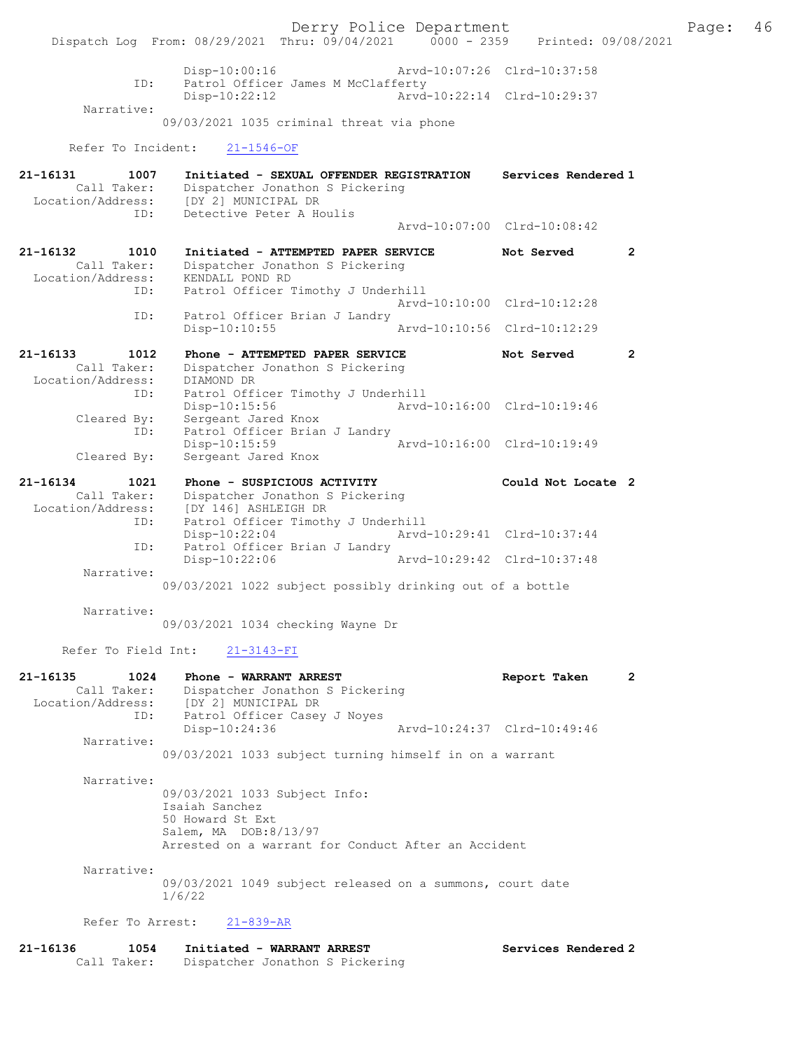Derry Police Department Fage: 46 Dispatch Log From: 08/29/2021 Thru: 09/04/2021 0000 - 2359 Printed: 09/08/2021 Disp-10:00:16 Arvd-10:07:26 Clrd-10:37:58<br>ID: Patrol Officer James M McClafferty Patrol Officer James M McClafferty Disp-10:22:12 Arvd-10:22:14 Clrd-10:29:37 Narrative: 09/03/2021 1035 criminal threat via phone Refer To Incident: 21-1546-OF 21-16131 1007 Initiated - SEXUAL OFFENDER REGISTRATION Services Rendered 1 Call Taker: Dispatcher Jonathon S Pickering Location/Address: [DY 2] MUNICIPAL DR ID: Detective Peter A Houlis Arvd-10:07:00 Clrd-10:08:42 21-16132 1010 Initiated - ATTEMPTED PAPER SERVICE Not Served 2 Call Taker: Dispatcher Jonathon S Pickering Location/Address: KENDALL POND RD ID: Patrol Officer Timothy J Underhill Arvd-10:10:00 Clrd-10:12:28 ID: Patrol Officer Brian J Landry<br>Disp-10:10:55 Disp-10:10:55 Arvd-10:10:56 Clrd-10:12:29 21-16133 1012 Phone - ATTEMPTED PAPER SERVICE Not Served 2 Call Taker: Dispatcher Jonathon S Pickering Location/Address: DIAMOND DR ID: Patrol Officer Timothy J Underhill Disp-10:15:56 Arvd-10:16:00 Clrd-10:19:46 Cleared By: Sergeant Jared Knox ID: Patrol Officer Brian J Landry Disp-10:15:59 Arvd-10:16:00 Clrd-10:19:49 Cleared By: Sergeant Jared Knox 21-16134 1021 Phone - SUSPICIOUS ACTIVITY Could Not Locate 2 Call Taker: Dispatcher Jonathon S Pickering Location/Address: [DY 146] ASHLEIGH DR ID: Patrol Officer Timothy J Underhill<br>Disp-10:22:04 Arvd- Disp-10:22:04 Arvd-10:29:41 Clrd-10:37:44 ID: Patrol Officer Brian J Landry Disp-10:22:06 Arvd-10:29:42 Clrd-10:37:48 Narrative: 09/03/2021 1022 subject possibly drinking out of a bottle Narrative: 09/03/2021 1034 checking Wayne Dr Refer To Field Int: 21-3143-FI 21-16135 1024 Phone - WARRANT ARREST Report Taken 2 Call Taker: Dispatcher Jonathon S Pickering Location/Address: [DY 2] MUNICIPAL DR ID: Patrol Officer Casey J Noyes<br>Disp-10:24:36 Disp-10:24:36 Arvd-10:24:37 Clrd-10:49:46 Narrative: 09/03/2021 1033 subject turning himself in on a warrant Narrative: 09/03/2021 1033 Subject Info: Isaiah Sanchez 50 Howard St Ext Salem, MA DOB:8/13/97 Arrested on a warrant for Conduct After an Accident Narrative: 09/03/2021 1049 subject released on a summons, court date 1/6/22 Refer To Arrest: 21-839-AR

21-16136 1054 Initiated - WARRANT ARREST Services Rendered 2 Call Taker: Dispatcher Jonathon S Pickering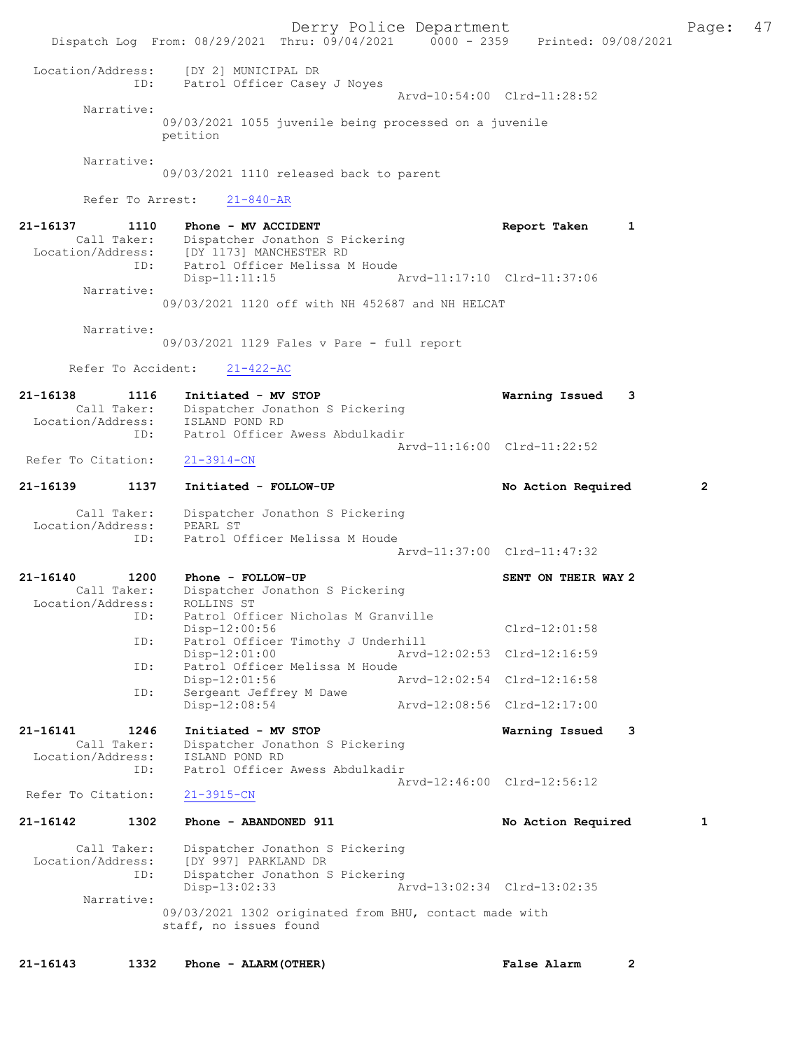Derry Police Department The Page: 47 Dispatch Log From: 08/29/2021 Thru: 09/04/2021 0000 - 2359 Printed: 09/08/2021 Location/Address: [DY 2] MUNICIPAL DR<br>TD: Patrol Officer Cases ID: Patrol Officer Casey J Noyes Arvd-10:54:00 Clrd-11:28:52 Narrative: 09/03/2021 1055 juvenile being processed on a juvenile petition Narrative: 09/03/2021 1110 released back to parent Refer To Arrest: 21-840-AR 21-16137 1110 Phone - MV ACCIDENT 121-16137 Report Taken 1 Call Taker: Dispatcher Jonathon S Pickering Location/Address: [DY 1173] MANCHESTER RD ID: Patrol Officer Melissa M Houde Disp-11:11:15 Arvd-11:17:10 Clrd-11:37:06 Narrative: 09/03/2021 1120 off with NH 452687 and NH HELCAT Narrative: 09/03/2021 1129 Fales v Pare - full report Refer To Accident: 21-422-AC 21-16138 1116 Initiated - MV STOP Warning Issued 3 Call Taker: Dispatcher Jonathon S Pickering<br>ion/Address: ISLAND POND RD Location/Address:<br>ID: Patrol Officer Awess Abdulkadir Arvd-11:16:00 Clrd-11:22:52<br>21-3914-CN Refer To Citation: 21-16139 1137 Initiated - FOLLOW-UP No Action Required 2 Call Taker: Dispatcher Jonathon S Pickering Location/Address: PEARL ST ID: Patrol Officer Melissa M Houde Arvd-11:37:00 Clrd-11:47:32 21-16140 1200 Phone - FOLLOW-UP SENT ON THEIR WAY 2 Call Taker: Dispatcher Jonathon S Pickering<br>ion/Address: ROLLINS ST Location/Address:<br>ID: Patrol Officer Nicholas M Granville Disp-12:00:56 Clrd-12:01:58 ID: Patrol Officer Timothy J Underhill<br>Disp-12:01:00 Arvd-Disp-12:01:00 Arvd-12:02:53 Clrd-12:16:59<br>TD: Patrol Officer Melissa M Houde Patrol Officer Melissa M Houde<br>Disp-12:01:56 A Disp-12:01:56 Arvd-12:02:54 Clrd-12:16:58<br>ID: Sergeant Jeffrey M Dawe Sergeant Jeffrey M Dawe<br>Disp-12:08:54 Disp-12:08:54 Arvd-12:08:56 Clrd-12:17:00 21-16141 1246 Initiated - MV STOP Warning Issued 3 Call Taker: Dispatcher Jonathon S Pickering<br>ion/Address: ISLAND POND RD Location/Address: ID: Patrol Officer Awess Abdulkadir Arvd-12:46:00 Clrd-12:56:12<br>21-3915-CN Refer To Citation: 21-16142 1302 Phone - ABANDONED 911 1 No Action Required 1 Call Taker: Dispatcher Jonathon S Pickering<br>Location/Address: [DY 997] PARKLAND DR Location/Address: [DY 997] PARKLAND DR ID: Dispatcher Jonathon S Pickering Disp-13:02:33 Arvd-13:02:34 Clrd-13:02:35 Narrative: 09/03/2021 1302 originated from BHU, contact made with staff, no issues found 21-16143 1332 Phone - ALARM(OTHER) False Alarm 2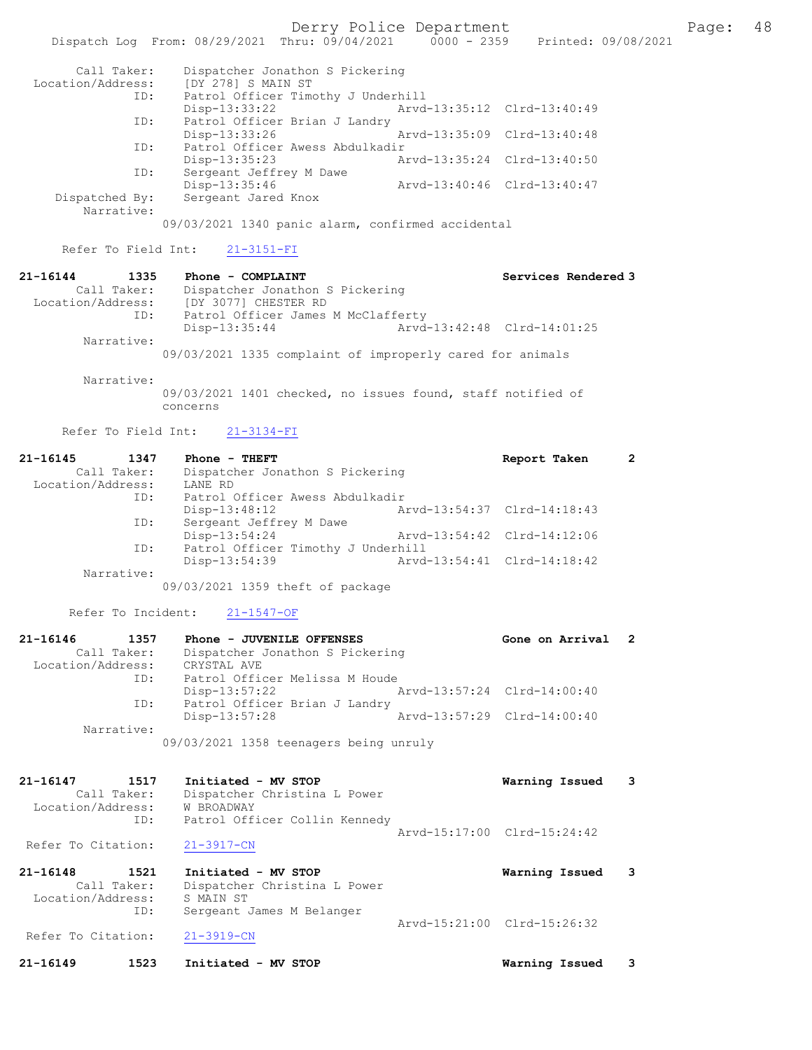Derry Police Department

Page: 48<br>3/08/2021

|                                  | Dispatch Log From: 08/29/2021 Thru: 09/04/2021                          | $0000 - 2359$               | Printed: 09/08/2            |              |
|----------------------------------|-------------------------------------------------------------------------|-----------------------------|-----------------------------|--------------|
| Call Taker:                      | Dispatcher Jonathon S Pickering                                         |                             |                             |              |
| Location/Address:<br>ID:         | [DY 278] S MAIN ST<br>Patrol Officer Timothy J Underhill                |                             |                             |              |
|                                  | Disp-13:33:22                                                           |                             | Arvd-13:35:12 Clrd-13:40:49 |              |
| ID:                              | Patrol Officer Brian J Landry<br>Disp-13:33:26                          | Arvd-13:35:09               | Clrd-13:40:48               |              |
| ID:                              | Patrol Officer Awess Abdulkadir<br>Disp-13:35:23                        | Arvd-13:35:24               | $Clrd-13:40:50$             |              |
| ID:                              | Sergeant Jeffrey M Dawe<br>Disp-13:35:46                                |                             | Arvd-13:40:46 Clrd-13:40:47 |              |
| Dispatched By:<br>Narrative:     | Sergeant Jared Knox                                                     |                             |                             |              |
|                                  | 09/03/2021 1340 panic alarm, confirmed accidental                       |                             |                             |              |
| Refer To Field Int:              | $21 - 3151 - FI$                                                        |                             |                             |              |
| 21-16144<br>1335                 | Phone - COMPLAINT                                                       |                             | Services Rendered 3         |              |
| Call Taker:<br>Location/Address: | Dispatcher Jonathon S Pickering<br>[DY 3077] CHESTER RD                 |                             |                             |              |
| ID:                              | Patrol Officer James M McClafferty                                      |                             |                             |              |
|                                  | Disp-13:35:44                                                           |                             | Aryd-13:42:48 Clrd-14:01:25 |              |
| Narrative:                       | 09/03/2021 1335 complaint of improperly cared for animals               |                             |                             |              |
| Narrative:                       |                                                                         |                             |                             |              |
|                                  | 09/03/2021 1401 checked, no issues found, staff notified of<br>concerns |                             |                             |              |
| Refer To Field Int:              | $21 - 3134 - FI$                                                        |                             |                             |              |
| 21-16145<br>1347                 | Phone - THEFT                                                           |                             | Report Taken                | $\mathbf{2}$ |
| Call Taker:                      | Dispatcher Jonathon S Pickering                                         |                             |                             |              |
| Location/Address:<br>ID:         | LANE RD<br>Patrol Officer Awess Abdulkadir                              |                             |                             |              |
|                                  | Disp-13:48:12                                                           |                             | Arvd-13:54:37 Clrd-14:18:43 |              |
| ID:                              | Sergeant Jeffrey M Dawe<br>Disp-13:54:24                                | Arvd-13:54:42               | $Clrd-14:12:06$             |              |
| ID:                              | Patrol Officer Timothy J Underhill<br>Disp-13:54:39                     | Arvd-13:54:41               | $Clrd-14:18:42$             |              |
| Narrative:                       |                                                                         |                             |                             |              |
|                                  | 09/03/2021 1359 theft of package                                        |                             |                             |              |
| Refer To Incident:               | 21-1547-OF                                                              |                             |                             |              |
| 21-16146<br>1357                 | Phone - JUVENILE OFFENSES                                               |                             | Gone on Arrival             | 2            |
| Call Taker:<br>Location/Address: | Dispatcher Jonathon S Pickering<br>CRYSTAL AVE                          |                             |                             |              |
| ID:                              | Patrol Officer Melissa M Houde                                          |                             |                             |              |
|                                  | $Disp-13:57:22$                                                         | Arvd-13:57:24 Clrd-14:00:40 |                             |              |
| ID:                              | Patrol Officer Brian J Landry<br>Disp-13:57:28                          |                             | Arvd-13:57:29 Clrd-14:00:40 |              |
| Narrative:                       | 09/03/2021 1358 teenagers being unruly                                  |                             |                             |              |
|                                  |                                                                         |                             |                             |              |
| 21-16147<br>1517                 | Initiated - MV STOP                                                     |                             | Warning Issued              | 3            |
| Call Taker:                      | Dispatcher Christina L Power                                            |                             |                             |              |
| Location/Address:<br>ID:         | W BROADWAY<br>Patrol Officer Collin Kennedy                             |                             |                             |              |
|                                  |                                                                         |                             | Arvd-15:17:00 Clrd-15:24:42 |              |
| Refer To Citation:               | $21 - 3917 - CN$                                                        |                             |                             |              |
| 21-16148<br>1521                 | Initiated - MV STOP                                                     |                             | Warning Issued              | 3            |
| Call Taker:<br>Location/Address: | Dispatcher Christina L Power<br>S MAIN ST                               |                             |                             |              |
| ID:                              | Sergeant James M Belanger                                               |                             |                             |              |
| Refer To Citation:               | $21 - 3919 - CN$                                                        |                             | Arvd-15:21:00 Clrd-15:26:32 |              |
| 21-16149<br>1523                 | Initiated - MV STOP                                                     |                             | Warning Issued              | 3            |
|                                  |                                                                         |                             |                             |              |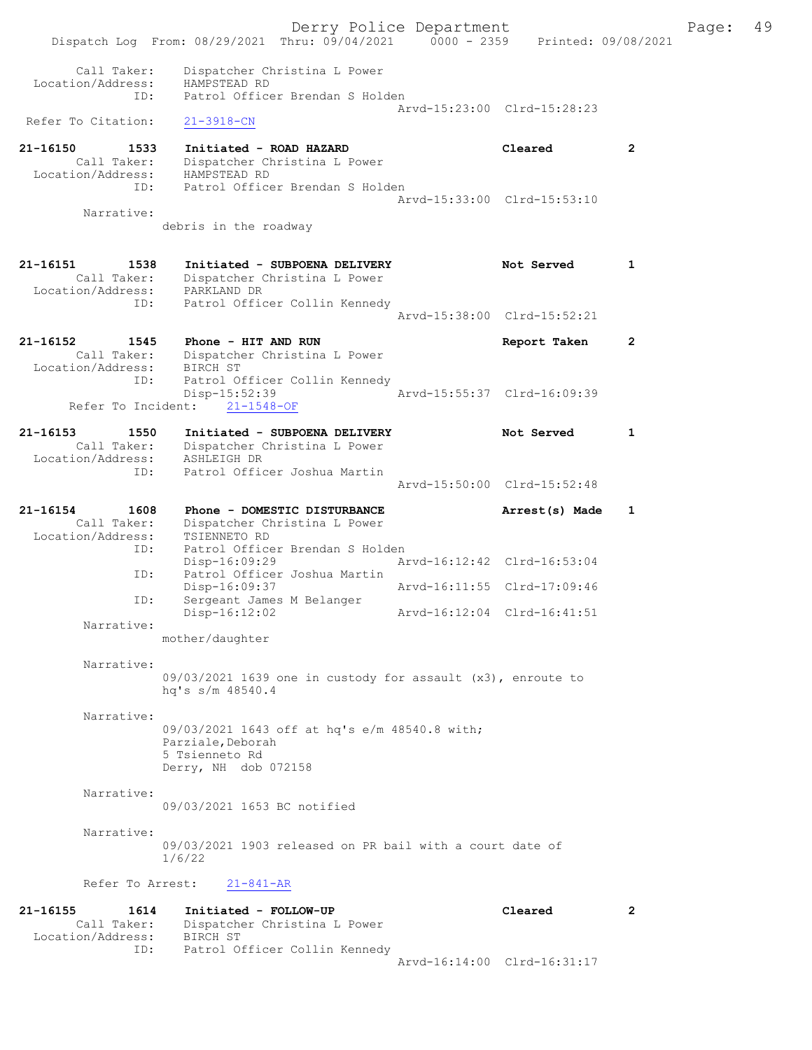Derry Police Department Fage: 49 Dispatch Log From: 08/29/2021 Thru: 09/04/2021 0000 - 2359 Printed: 09/08/2021 Call Taker: Dispatcher Christina L Power Location/Address: HAMPSTEAD RD ID: Patrol Officer Brendan S Holden Arvd-15:23:00 Clrd-15:28:23 Refer To Citation: 21-3918-CN 21-16150 1533 Initiated - ROAD HAZARD Cleared 2 Call Taker: Dispatcher Christina L Power Location/Address: HAMPSTEAD RD ID: Patrol Officer Brendan S Holden Arvd-15:33:00 Clrd-15:53:10 Narrative: debris in the roadway 21-16151 1538 Initiated - SUBPOENA DELIVERY Not Served 1 Call Taker: Dispatcher Christina L Power Location/Address: PARKLAND DR ID: Patrol Officer Collin Kennedy Arvd-15:38:00 Clrd-15:52:21 21-16152 1545 Phone - HIT AND RUN Report Taken 2 Call Taker: Dispatcher Christina L Power Location/Address: BIRCH ST ID: Patrol Officer Collin Kennedy Disp-15:52:39 Arvd-15:55:37 Clrd-16:09:39 Refer To Incident: 21-1548-OF 21-16153 1550 Initiated - SUBPOENA DELIVERY Not Served 1 Call Taker: Dispatcher Christina L Power Location/Address: ASHLEIGH DR ID: Patrol Officer Joshua Martin Arvd-15:50:00 Clrd-15:52:48 21-16154 1608 Phone - DOMESTIC DISTURBANCE Arrest(s) Made 1 Call Taker: Dispatcher Christina L Power Location/Address: TSIENNETO RD ID: Patrol Officer Brendan S Holden<br>Disp-16:09:29 Ar Disp-16:09:29 Arvd-16:12:42 Clrd-16:53:04<br>Disp-16:09:37 Arvd-16:11:55 Clrd-17:09:46<br>Disp-16:09:37 Arvd-16:11:55 Clrd-17:09:46 ID: Patrol Officer Joshua Martin Disp-16:09:37 Arvd-16:11:55 Clrd-17:09:46 ID: Sergeant James M Belanger Disp-16:12:02 Arvd-16:12:04 Clrd-16:41:51 Narrative: mother/daughter Narrative: 09/03/2021 1639 one in custody for assault (x3), enroute to hq's s/m 48540.4 Narrative: 09/03/2021 1643 off at hq's e/m 48540.8 with; Parziale, Deborah 5 Tsienneto Rd Derry, NH dob 072158 Narrative: 09/03/2021 1653 BC notified Narrative: 09/03/2021 1903 released on PR bail with a court date of 1/6/22 Refer To Arrest: 21-841-AR 21-16155 1614 Initiated - FOLLOW-UP Cleared 2<br>Cleared Call Taker: Dispatcher Christine I Bouer Call Taker: Dispatcher Christina L Power Location/Address: BIRCH ST

ID: Patrol Officer Collin Kennedy

Arvd-16:14:00 Clrd-16:31:17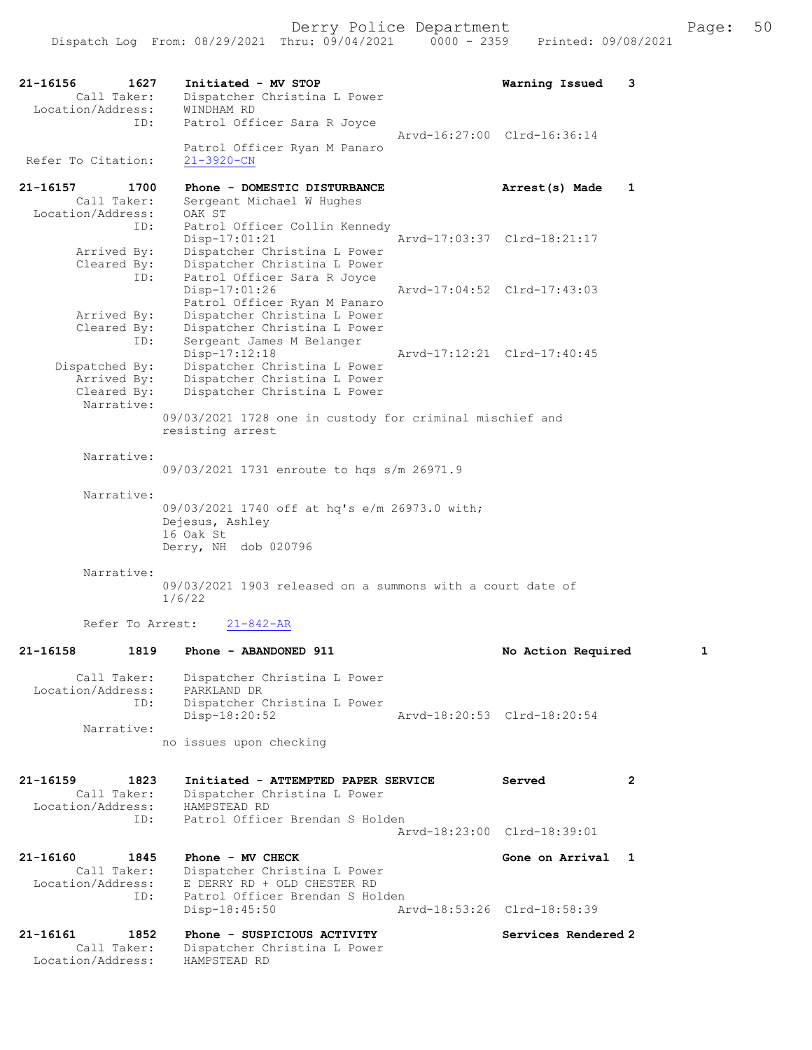| 21-16156<br>1627<br>Call Taker:<br>Location/Address: | Initiated - MV STOP<br>Dispatcher Christina L Power<br>WINDHAM RD            | Warning Issued              | 3 |
|------------------------------------------------------|------------------------------------------------------------------------------|-----------------------------|---|
| ID:                                                  | Patrol Officer Sara R Joyce                                                  | Arvd-16:27:00 Clrd-16:36:14 |   |
| Refer To Citation:                                   | Patrol Officer Ryan M Panaro<br>$21 - 3920 - CN$                             |                             |   |
| $21 - 16157$<br>1700                                 | Phone - DOMESTIC DISTURBANCE                                                 | Arrest(s) Made              | 1 |
| Call Taker:<br>Location/Address:                     | Sergeant Michael W Hughes<br>OAK ST                                          |                             |   |
| ID:                                                  | Patrol Officer Collin Kennedy                                                |                             |   |
| Arrived By:                                          | $Disp-17:01:21$<br>Dispatcher Christina L Power                              | Arvd-17:03:37 Clrd-18:21:17 |   |
| Cleared By:                                          | Dispatcher Christina L Power                                                 |                             |   |
| ID:                                                  | Patrol Officer Sara R Joyce<br>$Disp-17:01:26$                               | Arvd-17:04:52 Clrd-17:43:03 |   |
|                                                      | Patrol Officer Ryan M Panaro                                                 |                             |   |
| Arrived By:<br>Cleared By:                           | Dispatcher Christina L Power<br>Dispatcher Christina L Power                 |                             |   |
| ID:                                                  | Sergeant James M Belanger                                                    |                             |   |
| Dispatched By:                                       | Disp-17:12:18<br>Dispatcher Christina L Power                                | Arvd-17:12:21 Clrd-17:40:45 |   |
| Arrived By:                                          | Dispatcher Christina L Power                                                 |                             |   |
| Cleared By:<br>Narrative:                            | Dispatcher Christina L Power                                                 |                             |   |
|                                                      | 09/03/2021 1728 one in custody for criminal mischief and<br>resisting arrest |                             |   |
| Narrative:                                           |                                                                              |                             |   |
|                                                      | 09/03/2021 1731 enroute to hqs s/m 26971.9                                   |                             |   |
| Narrative:                                           |                                                                              |                             |   |
|                                                      | 09/03/2021 1740 off at hq's e/m 26973.0 with;<br>Dejesus, Ashley             |                             |   |
|                                                      | 16 Oak St                                                                    |                             |   |
|                                                      | Derry, NH dob 020796                                                         |                             |   |
| Narrative:                                           |                                                                              |                             |   |
|                                                      | 09/03/2021 1903 released on a summons with a court date of<br>1/6/22         |                             |   |
| Refer To Arrest:                                     | $21 - 842 - AR$                                                              |                             |   |
| 21-16158                                             | 1819 Phone - ABANDONED 911                                                   | No Action Required          |   |
| Call Taker:<br>Location/Address:                     | Dispatcher Christina L Power<br>PARKLAND DR                                  |                             |   |
| ID:                                                  | Dispatcher Christina L Power                                                 |                             |   |
| Narrative:                                           | Disp-18:20:52                                                                | Arvd-18:20:53 Clrd-18:20:54 |   |
|                                                      | no issues upon checking                                                      |                             |   |
| 21-16159<br>1823                                     | Initiated - ATTEMPTED PAPER SERVICE                                          | Served                      | 2 |
| Call Taker:                                          | Dispatcher Christina L Power<br>HAMPSTEAD RD                                 |                             |   |
| Location/Address:<br>ID:                             | Patrol Officer Brendan S Holden                                              |                             |   |
|                                                      |                                                                              | Arvd-18:23:00 Clrd-18:39:01 |   |
| 21-16160<br>1845                                     | Phone - MV CHECK                                                             | Gone on Arrival 1           |   |
| Call Taker:<br>Location/Address:                     | Dispatcher Christina L Power<br>E DERRY RD + OLD CHESTER RD                  |                             |   |
| ID:                                                  | Patrol Officer Brendan S Holden                                              |                             |   |
|                                                      | $Disp-18:45:50$                                                              | Arvd-18:53:26 Clrd-18:58:39 |   |
| 21-16161<br>1852                                     | Phone - SUSPICIOUS ACTIVITY                                                  | Services Rendered 2         |   |
| Call Taker:<br>Location/Address:                     | Dispatcher Christina L Power<br>HAMPSTEAD RD                                 |                             |   |
|                                                      |                                                                              |                             |   |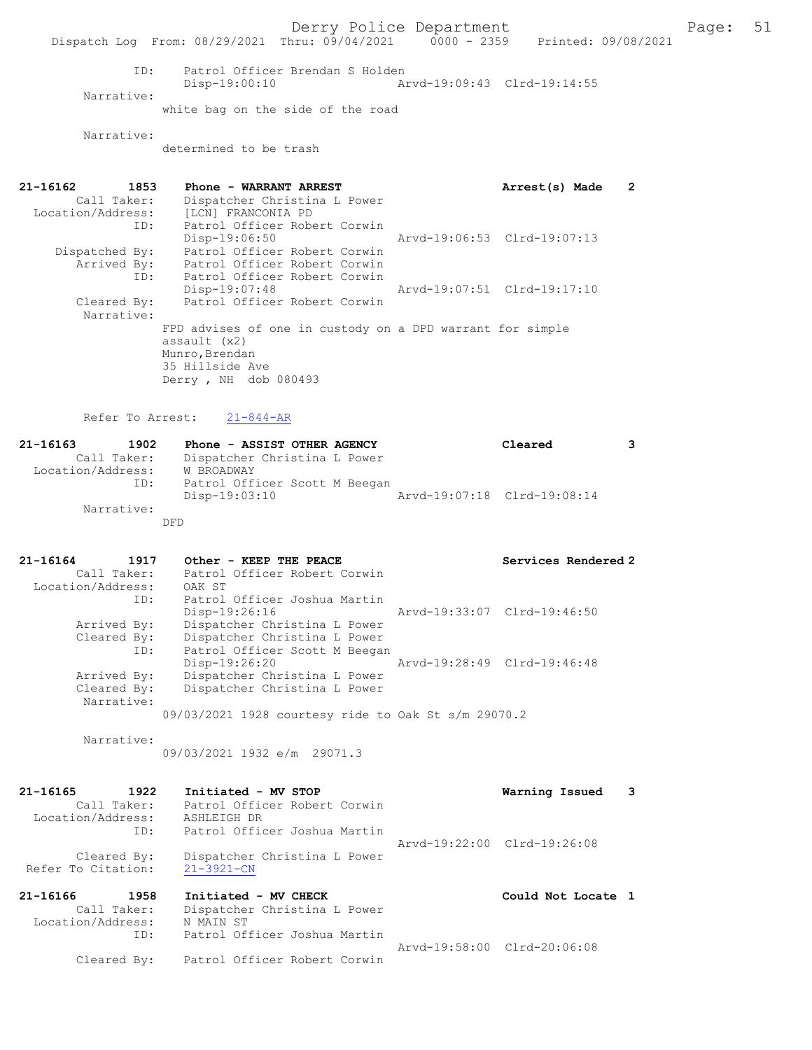Derry Police Department Fage: 51

Dispatch Log From: 08/29/2021 Thru: 09/04/2021 0000 - 2359 Printed: 09/08/2021

 ID: Patrol Officer Brendan S Holden Disp-19:00:10 Arvd-19:09:43 Clrd-19:14:55 Narrative: white bag on the side of the road

Narrative:

determined to be trash

| 21-16162          | 1853           | Phone - WARRANT ARREST                                    | Arrest(s) Made              | 2 |
|-------------------|----------------|-----------------------------------------------------------|-----------------------------|---|
|                   | Call Taker:    | Dispatcher Christina L Power                              |                             |   |
| Location/Address: |                | [LCN] FRANCONIA PD                                        |                             |   |
|                   | ID:            | Patrol Officer Robert Corwin                              |                             |   |
|                   |                | $Disp-19:06:50$                                           | Arvd-19:06:53 Clrd-19:07:13 |   |
|                   | Dispatched By: | Patrol Officer Robert Corwin                              |                             |   |
|                   | Arrived By:    | Patrol Officer Robert Corwin                              |                             |   |
|                   | ID:            | Patrol Officer Robert Corwin                              |                             |   |
|                   |                | $Disp-19:07:48$                                           | Arvd-19:07:51 Clrd-19:17:10 |   |
|                   | Cleared By:    | Patrol Officer Robert Corwin                              |                             |   |
|                   | Narrative:     |                                                           |                             |   |
|                   |                | FPD advises of one in custody on a DPD warrant for simple |                             |   |
|                   |                | assault (x2)                                              |                             |   |
|                   |                | Munro, Brendan                                            |                             |   |
|                   |                | 35 Hillside Ave                                           |                             |   |
|                   |                | Derry, NH dob 080493                                      |                             |   |
|                   |                |                                                           |                             |   |
|                   |                |                                                           |                             |   |

Refer To Arrest: 21-844-AR

| 21-16163          | 1902        | Phone - ASSIST OTHER AGENCY   |                             | Cleared |  |
|-------------------|-------------|-------------------------------|-----------------------------|---------|--|
|                   | Call Taker: | Dispatcher Christina L Power  |                             |         |  |
| Location/Address: |             | W BROADWAY                    |                             |         |  |
|                   | ID:         | Patrol Officer Scott M Beegan |                             |         |  |
|                   |             | Disp-19:03:10                 | Arvd-19:07:18 Clrd-19:08:14 |         |  |
|                   | Narrative:  |                               |                             |         |  |
|                   |             | DFD                           |                             |         |  |

| $21 - 16164$<br>1917 | Other - KEEP THE PEACE                              |                             | Services Rendered 2 |
|----------------------|-----------------------------------------------------|-----------------------------|---------------------|
| Call Taker:          | Patrol Officer Robert Corwin                        |                             |                     |
| Location/Address:    | OAK ST                                              |                             |                     |
| ID:                  | Patrol Officer Joshua Martin                        |                             |                     |
|                      | $Disp-19:26:16$                                     | Arvd-19:33:07 Clrd-19:46:50 |                     |
| Arrived By:          | Dispatcher Christina L Power                        |                             |                     |
| Cleared By:          | Dispatcher Christina L Power                        |                             |                     |
| ID:                  | Patrol Officer Scott M Beegan                       |                             |                     |
|                      | Disp-19:26:20                                       | Arvd-19:28:49 Clrd-19:46:48 |                     |
| Arrived By:          | Dispatcher Christina L Power                        |                             |                     |
| Cleared By:          | Dispatcher Christina L Power                        |                             |                     |
| Narrative:           |                                                     |                             |                     |
|                      | 09/03/2021 1928 courtesy ride to Oak St s/m 29070.2 |                             |                     |

Narrative:

09/03/2021 1932 e/m 29071.3

| $21 - 16165$<br>1922 | Initiated - MV STOP          | Warning Issued              | 3 |
|----------------------|------------------------------|-----------------------------|---|
| Call Taker:          | Patrol Officer Robert Corwin |                             |   |
| Location/Address:    | ASHLEIGH DR                  |                             |   |
| ID:                  | Patrol Officer Joshua Martin |                             |   |
|                      |                              | Aryd-19:22:00 Clrd-19:26:08 |   |
| Cleared By:          | Dispatcher Christina L Power |                             |   |
| Refer To Citation:   | $21 - 3921 - CN$             |                             |   |
|                      |                              |                             |   |
|                      |                              |                             |   |
| 21-16166<br>1958     | Initiated - MV CHECK         | Could Not Locate 1          |   |
| Call Taker:          | Dispatcher Christina L Power |                             |   |
| Location/Address:    | N MAIN ST                    |                             |   |
| ID:                  | Patrol Officer Joshua Martin |                             |   |
|                      |                              | Arvd-19:58:00 Clrd-20:06:08 |   |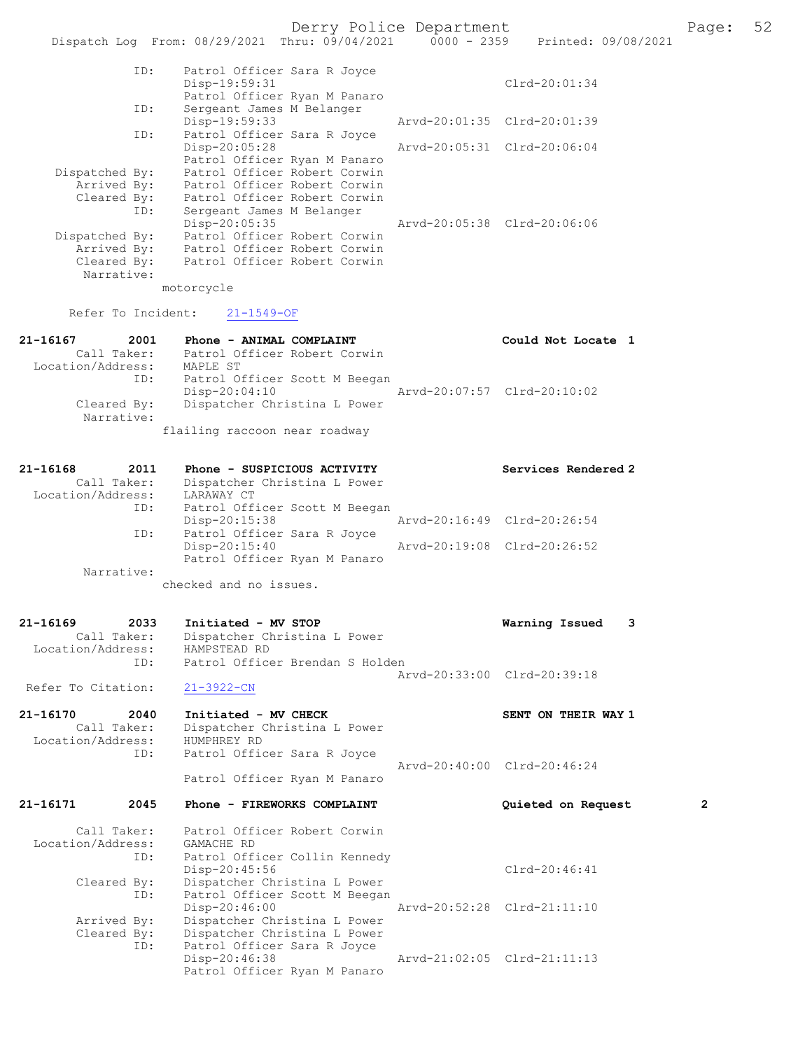|                                 | checked and no issues.                                          |                             |
|---------------------------------|-----------------------------------------------------------------|-----------------------------|
| Narrative:                      |                                                                 |                             |
|                                 | Patrol Officer Ryan M Panaro                                    | Arvd-20:19:08 Clrd-20:26:52 |
| ID:                             | Patrol Officer Sara R Joyce<br>Disp-20:15:40                    |                             |
|                                 | $Disp-20:15:38$                                                 | Arvd-20:16:49 Clrd-20:26:54 |
| ID:                             | Patrol Officer Scott M Beegan                                   |                             |
| Location/Address:               | Dispatcher Christina L Power<br>LARAWAY CT                      |                             |
| 21-16168<br>2011<br>Call Taker: | Phone - SUSPICIOUS ACTIVITY                                     | Services Rendered 2         |
|                                 |                                                                 |                             |
|                                 | flailing raccoon near roadway                                   |                             |
| Narrative:                      |                                                                 |                             |
| Cleared By:                     | Dispatcher Christina L Power                                    |                             |
| ID:                             | Patrol Officer Scott M Beegan<br>$Disp-20:04:10$                | Arvd-20:07:57 Clrd-20:10:02 |
| Location/Address:               | MAPLE ST                                                        |                             |
|                                 | Call Taker: Patrol Officer Robert Corwin                        |                             |
| 21-16167<br>2001                | Phone - ANIMAL COMPLAINT                                        | Could Not Locate 1          |
| Refer To Incident:              | $21 - 1549 - OF$                                                |                             |
|                                 | motorcycle                                                      |                             |
| Narrative:                      |                                                                 |                             |
| Cleared By:                     | Patrol Officer Robert Corwin                                    |                             |
| Dispatched By:<br>Arrived By:   | Patrol Officer Robert Corwin<br>Patrol Officer Robert Corwin    |                             |
|                                 | Disp-20:05:35                                                   | Arvd-20:05:38 Clrd-20:06:06 |
| ID:                             | Sergeant James M Belanger                                       |                             |
| Cleared By:                     | Patrol Officer Robert Corwin                                    |                             |
| Arrived By:                     | Patrol Officer Robert Corwin                                    |                             |
| Dispatched By:                  | Patrol Officer Robert Corwin                                    |                             |
|                                 | Disp-20:05:28<br>Patrol Officer Ryan M Panaro                   | Arvd-20:05:31 Clrd-20:06:04 |
| ID:                             | Patrol Officer Sara R Joyce                                     |                             |
|                                 | Disp-19:59:33                                                   | Arvd-20:01:35 Clrd-20:01:39 |
| ID:                             | Sergeant James M Belanger                                       |                             |
|                                 | Patrol Officer Ryan M Panaro                                    |                             |
| ID:                             | Patrol Officer Sara R Joyce<br>Disp-19:59:31                    | $Clrd-20:01:34$             |
|                                 |                                                                 |                             |
|                                 | Thru: $09/04/2021$ 0000 - 2359<br>Dispatch Log From: 08/29/2021 | Printed: 09/08/2021         |
|                                 |                                                                 |                             |
|                                 | Derry Police Department                                         |                             |

 Location/Address: HAMPSTEAD RD ID: Patrol Officer Brendan S Holden Arvd-20:33:00 Clrd-20:39:18<br>21-3922-CN Refer To Citation:

#### 21-16170 2040 Initiated - MV CHECK SENT ON THEIR WAY 1<br>Call Taker: Dispatcher Christina L Power Dispatcher Christina L Power<br>HUMPHREY RD Location/Address:<br>ID: Patrol Officer Sara R Joyce Arvd-20:40:00 Clrd-20:46:24

Patrol Officer Ryan M Panaro

21-16171 2045 Phone - FIREWORKS COMPLAINT Quieted on Request 2 Call Taker: Patrol Officer Robert Corwin<br>ion/Address: GAMACHE RD Location/Address: ID: Patrol Officer Collin Kennedy Disp-20:45:56 Cleared By: Dispatcher Christina L Power Cleared By: Dispatcher Christina L Power By: Dispatcher Christina L Power<br>ID: Patrol Officer Scott M Beegan Patrol Officer Scott M Beegan<br>Disp-20:46:00 Disp-20:46:00 Arvd-20:52:28 Clrd-21:11:10<br>Arrived By: Dispatcher Christina L Power Arrived By: Dispatcher Christina L Power<br>Cleared By: Dispatcher Christina L Power By: Dispatcher Christina L Power<br>ID: Patrol Officer Sara R Jovce Patrol Officer Sara R Joyce<br>Disp-20:46:38 Arvd-21:02:05 Clrd-21:11:13 Patrol Officer Ryan M Panaro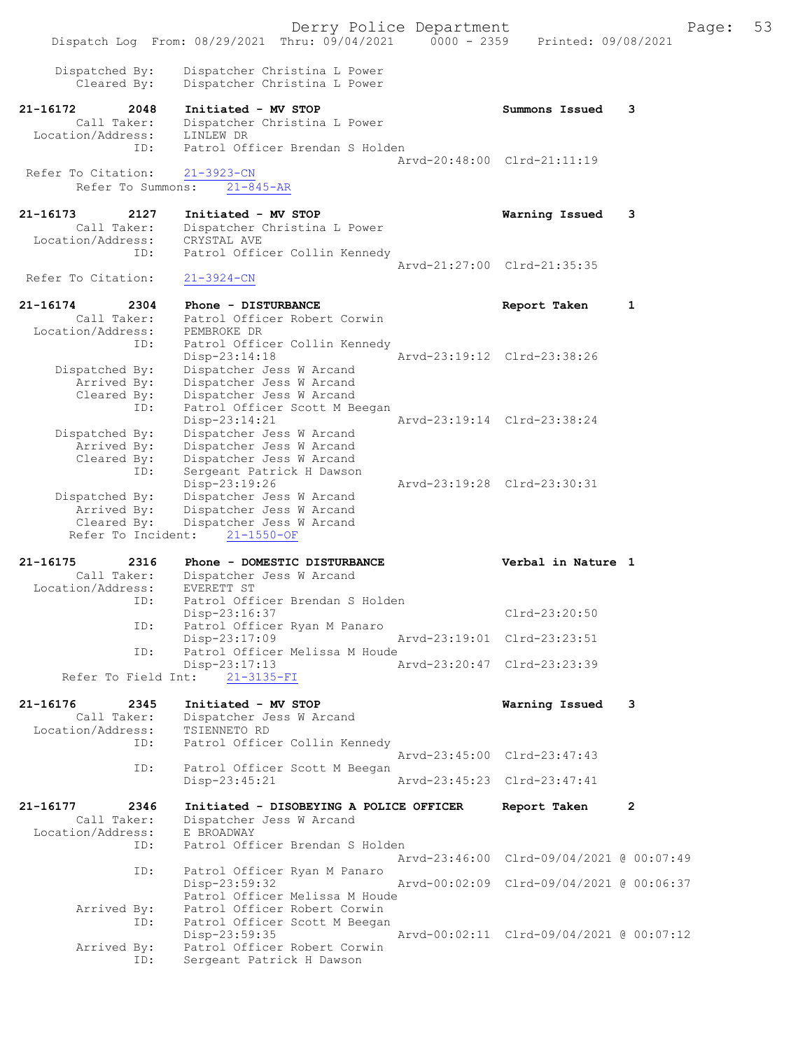Derry Police Department Form Page: 53 Dispatch Log From: 08/29/2021 Thru: 09/04/2021 0000 - 2359 Printed: 09/08/2021 Dispatched By: Dispatcher Christina L Power Cleared By: Dispatcher Christina L Power 21-16172 2048 Initiated - MV STOP Summons Issued 3 Call Taker: Dispatcher Christina L Power<br>ion/Address: LINLEW DR Location/Address:<br>TD: Patrol Officer Brendan S Holden Arvd-20:48:00 Clrd-21:11:19<br>21-3923-CN Refer To Citation: Refer To Summons: 21-845-AR 21-16173 2127 Initiated - MV STOP Warning Issued 3 Call Taker: Dispatcher Christina L Power<br>ion/Address: CRYSTAL AVE Location/Address:<br>ID: Patrol Officer Collin Kennedy Arvd-21:27:00 Clrd-21:35:35<br>21-3924-CN Refer To Citation: 21-16174 2304 Phone - DISTURBANCE Report Taken 1 Call Taker: Patrol Officer Robert Corwin Location/Address: PEMBROKE DR<br>ID: Patrol Offi Patrol Officer Collin Kennedy<br>Disp-23:14:18 Disp-23:14:18 Arvd-23:19:12 Clrd-23:38:26 Dispatched By: Dispatcher Jess W Arcand Arrived By: Dispatcher Jess W Arcand Cleared By: Dispatcher Jess W Arcand ID: Patrol Officer Scott M Beegan Disp-23:14:21 Arvd-23:19:14 Clrd-23:38:24 Dispatched By: Dispatcher Jess W Arcand Arrived By: Dispatcher Jess W Arcand Cleared By: Dispatcher Jess W Arcand ID: Sergeant Patrick H Dawson<br>Disp-23:19:26 Disp-23:19:26 Arvd-23:19:28 Clrd-23:30:31<br>Dispatched By: Dispatcher Jess W Arcand spatched By: Dispatcher Jess W Arcand<br>Arrived By: Dispatcher Jess W Arcand Dispatcher Jess W Arcand Cleared By: Dispatcher Jess W Arcand Refer To Incident: 21-1550-OF 21-16175 2316 Phone - DOMESTIC DISTURBANCE Verbal in Nature 1 Call Taker: Dispatcher Jess W Arcand<br>ion/Address: EVERETT ST Location/Address: ID: Patrol Officer Brendan S Holden Disp-23:16:37 Clrd-23:20:50<br>The Patrol Officer Ryan M Panaro Patrol Officer Ryan M Panaro Disp-23:17:09 Arvd-23:19:01 Clrd-23:23:51<br>ID: Patrol Officer Melissa M Houde Patrol Officer Melissa M Houde<br>Disp-23:17:13 Disp-23:17:13 Arvd-23:20:47 Clrd-23:23:39 Refer To Field Int: 21-3135-FI 21-16176 2345 Initiated - MV STOP Warning Issued 3 Call Taker: Dispatcher Jess W Arcand Location/Address: TSIENNETO RD<br>ID: Patrol Office Patrol Officer Collin Kennedy Arvd-23:45:00 Clrd-23:47:43<br>TD: Patrol Officer Scott M Beegan Patrol Officer Scott M Beegan<br>Disp-23:45:21 Disp-23:45:21 Arvd-23:45:23 Clrd-23:47:41 21-16177 2346 Initiated - DISOBEYING A POLICE OFFICER Report Taken 2<br>Call Taker: Dispatcher Jess W Arcand Dispatcher Jess W Arcand<br>E BROADWAY Location/Address:<br>TD: Patrol Officer Brendan S Holden Arvd-23:46:00 Clrd-09/04/2021 @ 00:07:49 ID: Patrol Officer Ryan M Panaro Disp-23:59:32 Arvd-00:02:09 Clrd-09/04/2021 @ 00:06:37 Patrol Officer Melissa M Houde<br>Arrived By: Patrol Officer Robert Corwin By: Patrol Officer Robert Corwin<br>ID: Patrol Officer Scott M Beegar Patrol Officer Scott M Beegan Disp-23:59:35 Arvd-00:02:11 Clrd-09/04/2021 @ 00:07:12<br>Arrived By: Patrol Officer Robert Corwin By: Patrol Officer Robert Corwin<br>ID: Sergeant Patrick H Dawson Sergeant Patrick H Dawson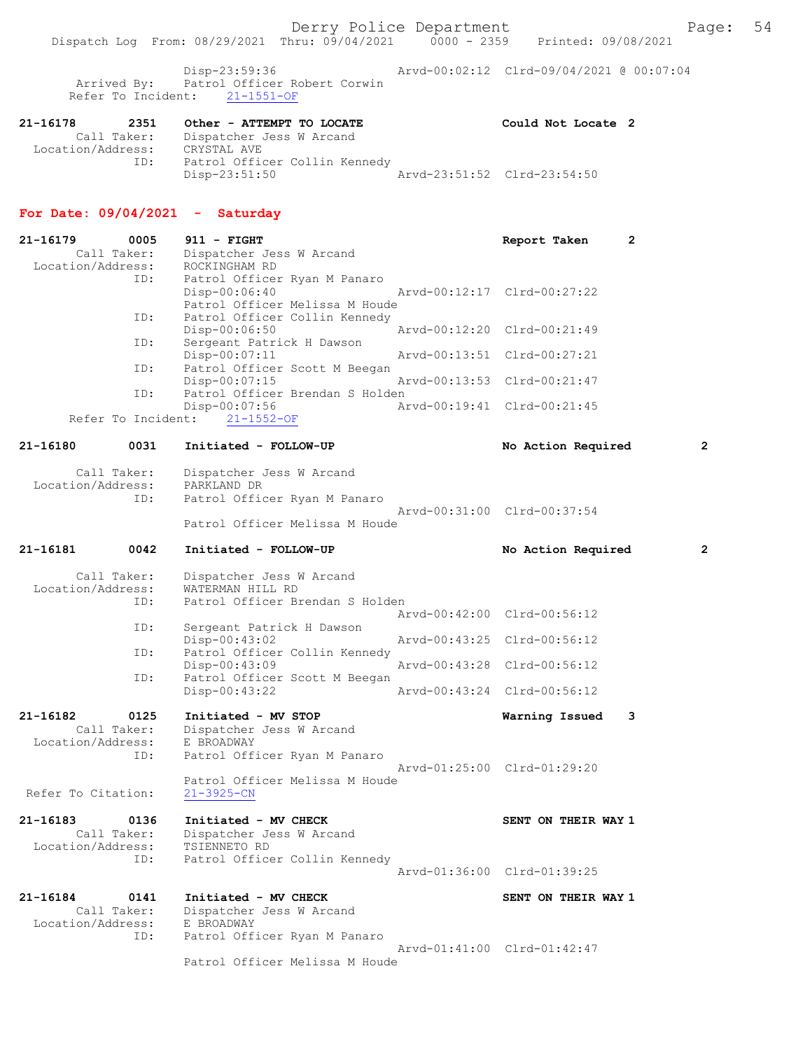Derry Police Department Fage: 54

Dispatch Log From: 08/29/2021 Thru: 09/04/2021 0000 - 2359 Printed: 09/08/2021

 Disp-23:59:36 Arvd-00:02:12 Clrd-09/04/2021 @ 00:07:04 Arrived By: Patrol Officer Robert Corwin Refer To Incident: 21-1551-OF

| 21-16178          | 2351        | Other - ATTEMPT TO LOCATE     | Could Not Locate 2          |  |
|-------------------|-------------|-------------------------------|-----------------------------|--|
|                   | Call Taker: | Dispatcher Jess W Arcand      |                             |  |
| Location/Address: |             | CRYSTAL AVE                   |                             |  |
|                   | ID:         | Patrol Officer Collin Kennedy |                             |  |
|                   |             | Disp-23:51:50                 | Arvd-23:51:52 Clrd-23:54:50 |  |

# For Date: 09/04/2021 - Saturday

| 21-16179<br>Call Taker:<br>Location/Address: | 0005               | $911 - FIGHT$<br>Dispatcher Jess W Arcand<br>ROCKINGHAM RD                                        | Report Taken                | $\overline{2}$ |
|----------------------------------------------|--------------------|---------------------------------------------------------------------------------------------------|-----------------------------|----------------|
|                                              | ID:                | Patrol Officer Ryan M Panaro<br>$Disp-00:06:40$<br>Patrol Officer Melissa M Houde                 | Arvd-00:12:17 Clrd-00:27:22 |                |
|                                              | ID:                | Patrol Officer Collin Kennedy<br>Disp-00:06:50                                                    | Arvd-00:12:20 Clrd-00:21:49 |                |
|                                              | ID:                | Sergeant Patrick H Dawson<br>$Disp-00:07:11$                                                      | Arvd-00:13:51 Clrd-00:27:21 |                |
|                                              | ID:                | Patrol Officer Scott M Beegan<br>$Disp-00:07:15$                                                  | Arvd-00:13:53 Clrd-00:21:47 |                |
|                                              | ID:                | Patrol Officer Brendan S Holden<br>Disp-00:07:56                                                  | Arvd-00:19:41 Clrd-00:21:45 |                |
|                                              | Refer To Incident: | $21 - 1552 - OF$                                                                                  |                             |                |
| 21-16180                                     | 0031               | Initiated - FOLLOW-UP                                                                             | No Action Required          | 2              |
| Call Taker:<br>Location/Address:             | ID:                | Dispatcher Jess W Arcand<br>PARKLAND DR<br>Patrol Officer Ryan M Panaro                           |                             |                |
|                                              |                    | Patrol Officer Melissa M Houde                                                                    | Arvd-00:31:00 Clrd-00:37:54 |                |
| 21-16181                                     | 0042               | Initiated - FOLLOW-UP                                                                             | No Action Required          | 2              |
| Call Taker:<br>Location/Address:             | ID:                | Dispatcher Jess W Arcand<br>WATERMAN HILL RD<br>Patrol Officer Brendan S Holden                   |                             |                |
|                                              |                    |                                                                                                   | Arvd-00:42:00 Clrd-00:56:12 |                |
|                                              | ID:                | Sergeant Patrick H Dawson<br>$Disp-00:43:02$                                                      | Arvd-00:43:25 Clrd-00:56:12 |                |
|                                              | ID:                | Patrol Officer Collin Kennedy<br>Disp-00:43:09                                                    | Arvd-00:43:28 Clrd-00:56:12 |                |
|                                              | ID:                | Patrol Officer Scott M Beegan<br>$Disp-00:43:22$                                                  | Arvd-00:43:24 Clrd-00:56:12 |                |
| 21-16182<br>Call Taker:<br>Location/Address: | 0125<br>ID:        | Initiated - MV STOP<br>Dispatcher Jess W Arcand<br>E BROADWAY<br>Patrol Officer Ryan M Panaro     | Warning Issued              | 3              |
| Refer To Citation:                           |                    | Patrol Officer Melissa M Houde<br>$21 - 3925 - CN$                                                | Arvd-01:25:00 Clrd-01:29:20 |                |
| 21-16183<br>Call Taker:<br>Location/Address: | 0136<br>ID:        | Initiated - MV CHECK<br>Dispatcher Jess W Arcand<br>TSIENNETO RD<br>Patrol Officer Collin Kennedy | SENT ON THEIR WAY 1         |                |
|                                              |                    |                                                                                                   | Arvd-01:36:00 Clrd-01:39:25 |                |
| 21-16184<br>Call Taker:<br>Location/Address: | 0141<br>ID:        | Initiated - MV CHECK<br>Dispatcher Jess W Arcand<br>E BROADWAY<br>Patrol Officer Ryan M Panaro    | SENT ON THEIR WAY 1         |                |
|                                              |                    | Patrol Officer Melissa M Houde                                                                    | Arvd-01:41:00 Clrd-01:42:47 |                |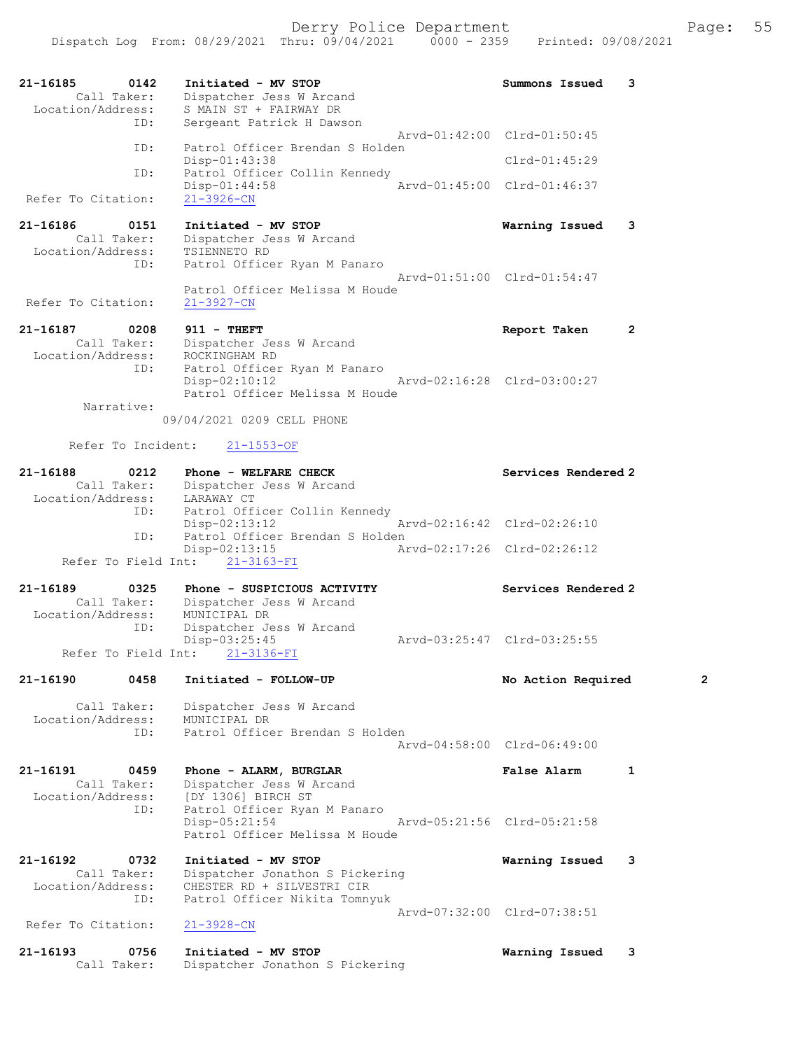| 21-16185<br>0142<br>Call Taker:<br>Location/Address: | Initiated - MV STOP<br>Dispatcher Jess W Arcand<br>S MAIN ST + FAIRWAY DR | Summons Issued<br>3                |
|------------------------------------------------------|---------------------------------------------------------------------------|------------------------------------|
| ID:                                                  | Sergeant Patrick H Dawson                                                 | Arvd-01:42:00 Clrd-01:50:45        |
| ID:                                                  | Patrol Officer Brendan S Holden<br>$Disp-01:43:38$                        | $Clrd-01:45:29$                    |
| ID:                                                  | Patrol Officer Collin Kennedy<br>$Disp-01:44:58$                          | Arvd-01:45:00 Clrd-01:46:37        |
| Refer To Citation:                                   | $21 - 3926 - CN$                                                          |                                    |
| 21-16186<br>0151                                     | Initiated - MV STOP                                                       | Warning Issued<br>3                |
| Call Taker:<br>Location/Address:                     | Dispatcher Jess W Arcand<br>TSIENNETO RD                                  |                                    |
| ID:                                                  | Patrol Officer Ryan M Panaro                                              | Arvd-01:51:00 Clrd-01:54:47        |
| Refer To Citation:                                   | Patrol Officer Melissa M Houde<br>$21 - 3927 - CN$                        |                                    |
| 21-16187<br>0208                                     | $911 - THEFT$                                                             | $\overline{2}$<br>Report Taken     |
| Call Taker:                                          | Dispatcher Jess W Arcand                                                  |                                    |
| Location/Address:<br>ID:                             | ROCKINGHAM RD<br>Patrol Officer Ryan M Panaro                             |                                    |
|                                                      | $Disp-02:10:12$<br>Patrol Officer Melissa M Houde                         | Arvd-02:16:28 Clrd-03:00:27        |
| Narrative:                                           | 09/04/2021 0209 CELL PHONE                                                |                                    |
| Refer To Incident:                                   | $21 - 1553 - OF$                                                          |                                    |
| 21-16188<br>0212                                     | Phone - WELFARE CHECK                                                     | Services Rendered 2                |
| Call Taker:                                          | Dispatcher Jess W Arcand                                                  |                                    |
| Location/Address:<br>ID:                             | LARAWAY CT<br>Patrol Officer Collin Kennedy                               |                                    |
| ID:                                                  | $Disp-02:13:12$<br>Patrol Officer Brendan S Holden                        | Arvd-02:16:42 Clrd-02:26:10        |
| Refer To Field Int:                                  | $Disp-02:13:15$<br>$21 - 3163 - FI$                                       | Arvd-02:17:26 Clrd-02:26:12        |
|                                                      |                                                                           |                                    |
| 21-16189<br>0325<br>Call Taker:                      | Phone - SUSPICIOUS ACTIVITY<br>Dispatcher Jess W Arcand                   | Services Rendered 2                |
| Location/Address:                                    | MUNICIPAL DR                                                              |                                    |
| ID:                                                  | Dispatcher Jess W Arcand<br>Disp-03:25:45                                 | Arvd-03:25:47 Clrd-03:25:55        |
| Refer To Field Int:                                  | $21 - 3136 - FI$                                                          |                                    |
| 21-16190<br>0458                                     | Initiated - FOLLOW-UP                                                     | 2<br>No Action Required            |
| Call Taker:                                          | Dispatcher Jess W Arcand                                                  |                                    |
| Location/Address:<br>ID:                             | MUNICIPAL DR<br>Patrol Officer Brendan S Holden                           |                                    |
|                                                      |                                                                           | Aryd-04:58:00 Clrd-06:49:00        |
| 21-16191<br>0459                                     | Phone - ALARM, BURGLAR                                                    | <b>False Alarm</b><br>$\mathbf{1}$ |
| Call Taker:<br>Location/Address:                     | Dispatcher Jess W Arcand<br>[DY 1306] BIRCH ST                            |                                    |
| ID:                                                  | Patrol Officer Ryan M Panaro                                              |                                    |
|                                                      | $Disp-05:21:54$<br>Patrol Officer Melissa M Houde                         | Arvd-05:21:56 Clrd-05:21:58        |
| 21-16192<br>0732                                     | Initiated - MV STOP                                                       | 3<br>Warning Issued                |
| Call Taker:<br>Location/Address:                     | Dispatcher Jonathon S Pickering<br>CHESTER RD + SILVESTRI CIR             |                                    |
| ID:                                                  | Patrol Officer Nikita Tomnyuk                                             |                                    |
| Refer To Citation:                                   | $21 - 3928 - CN$                                                          | Arvd-07:32:00 Clrd-07:38:51        |
| 21-16193<br>0756                                     | Initiated - MV STOP                                                       | Warning Issued<br>3                |
| Call Taker:                                          | Dispatcher Jonathon S Pickering                                           |                                    |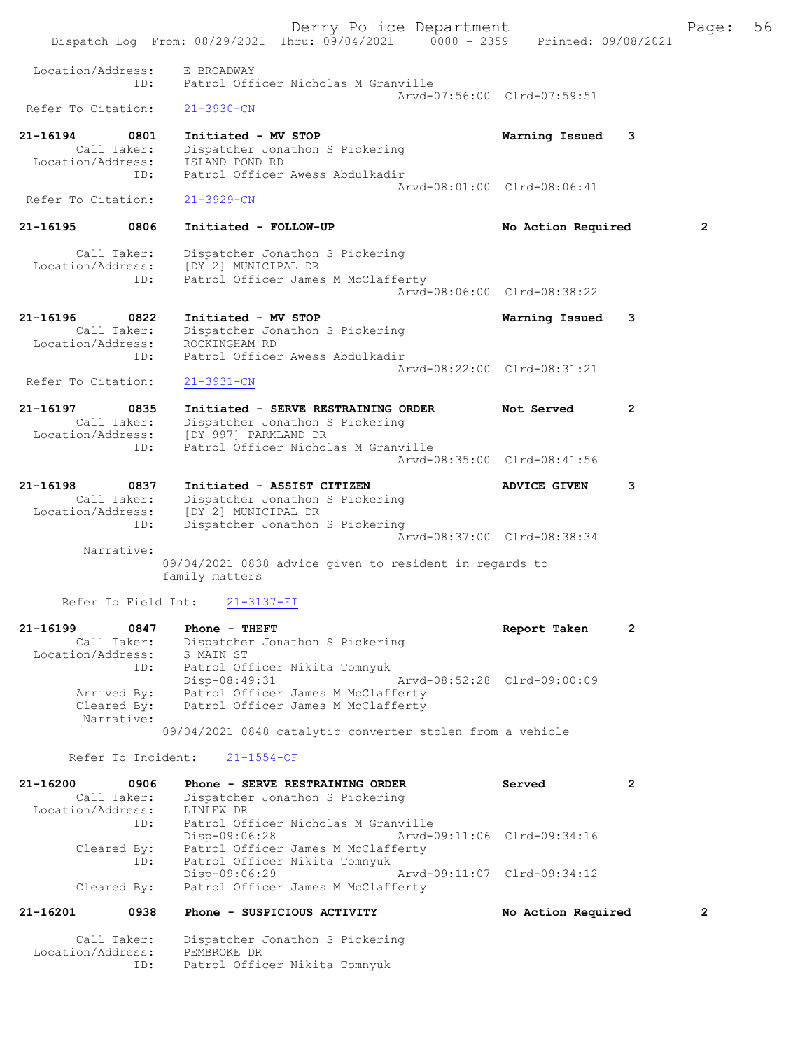Derry Police Department Fage: 56 Dispatch Log From: 08/29/2021 Thru: 09/04/2021 0000 - 2359 Printed: 09/08/2021 Location/Address: E BROADWAY ID: Patrol Officer Nicholas M Granville Arvd-07:56:00 Clrd-07:59:51<br>
21-3930-CN Refer To Citation: 21-16194 0801 Initiated - MV STOP Warning Issued 3 Call Taker: Dispatcher Jonathon S Pickering Location/Address: ISLAND POND RD ID: Patrol Officer Awess Abdulkadir Arvd-08:01:00 Clrd-08:06:41 Refer To Citation: 21-3929-CN 21-16195 0806 Initiated - FOLLOW-UP No Action Required 2 Call Taker: Dispatcher Jonathon S Pickering Location/Address: [DY 2] MUNICIPAL DR ID: Patrol Officer James M McClafferty Arvd-08:06:00 Clrd-08:38:22 21-16196 0822 Initiated - MV STOP Warning Issued 3 Call Taker: Dispatcher Jonathon S Pickering Location/Address: ROCKINGHAM RD ID: Patrol Officer Awess Abdulkadir Arvd-08:22:00 Clrd-08:31:21 Refer To Citation: 21-3931-CN 21-16197 0835 Initiated - SERVE RESTRAINING ORDER Not Served 2 Call Taker: Dispatcher Jonathon S Pickering Location/Address: [DY 997] PARKLAND DR ID: Patrol Officer Nicholas M Granville Arvd-08:35:00 Clrd-08:41:56 21-16198 0837 Initiated - ASSIST CITIZEN ADVICE GIVEN 3 Call Taker: Dispatcher Jonathon S Pickering Location/Address: [DY 2] MUNICIPAL DR ID: Dispatcher Jonathon S Pickering Arvd-08:37:00 Clrd-08:38:34 Narrative: 09/04/2021 0838 advice given to resident in regards to family matters Refer To Field Int: 21-3137-FI 21-16199 0847 Phone - THEFT Report Taken 2 Call Taker: Dispatcher Jonathon S Pickering Location/Address: S MAIN ST ID: Patrol Officer Nikita Tomnyuk Disp-08:49:31 Arvd-08:52:28 Clrd-09:00:09 Arrived By: Patrol Officer James M McClafferty Cleared By: Patrol Officer James M McClafferty Narrative: 09/04/2021 0848 catalytic converter stolen from a vehicle Refer To Incident: 21-1554-OF 21-16200 0906 Phone - SERVE RESTRAINING ORDER Served Call Taker: Dispatcher Jonathon S Pickering Call Taker: Dispatcher Jonathon S Pickering Location/Address: LINLEW DR ID: Patrol Officer Nicholas M Granville Disp-09:06:28 Arvd-09:11:06 Clrd-09:34:16<br>Cleared By: Patrol Officer James M McClafferty By: Patrol Officer James M McClafferty<br>ID: Patrol Officer Nikita Tomnyuk Patrol Officer Nikita Tomnyuk<br>Disp-09:06:29 Disp-09:06:29 Arvd-09:11:07 Clrd-09:34:12 Cleared By: Patrol Officer James M McClafferty

#### 21-16201 0938 Phone - SUSPICIOUS ACTIVITY No Action Required 2

 Call Taker: Dispatcher Jonathon S Pickering Location/Address: PEMBROKE DR ID: Patrol Officer Nikita Tomnyuk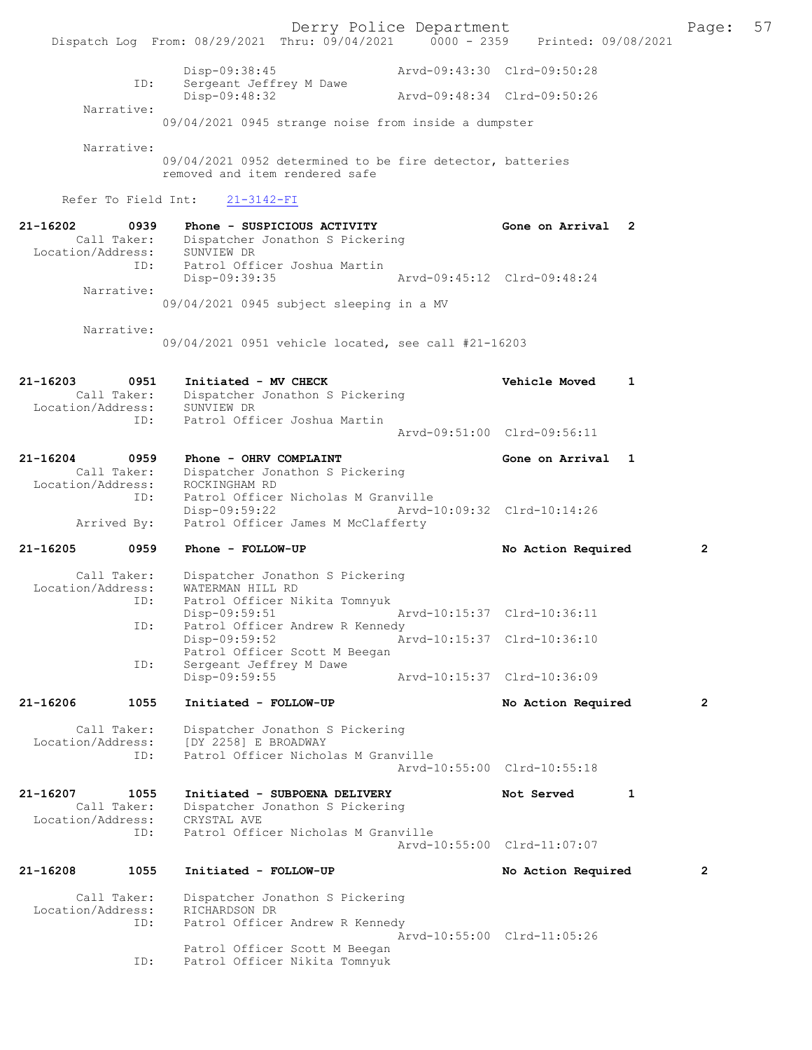Derry Police Department<br>Page: 57<br>Printed: 09/08/2021 0000 - 2359 Printed: 09/08/2021 Dispatch Log From: 08/29/2021 Thru: 09/04/2021 0000 - 2359 Disp-09:38:45 Arvd-09:43:30 Clrd-09:50:28 ID: Sergeant Jeffrey M Dawe<br>Disp-09:48:32 Disp-09:48:32 Arvd-09:48:34 Clrd-09:50:26 Narrative: 09/04/2021 0945 strange noise from inside a dumpster Narrative: 09/04/2021 0952 determined to be fire detector, batteries removed and item rendered safe Refer To Field Int: 21-3142-FI 21-16202 0939 Phone - SUSPICIOUS ACTIVITY Gone on Arrival 2 Call Taker: Dispatcher Jonathon S Pickering Location/Address: SUNVIEW DR ID: Patrol Officer Joshua Martin Disp-09:39:35 Arvd-09:45:12 Clrd-09:48:24 Narrative: 09/04/2021 0945 subject sleeping in a MV Narrative: 09/04/2021 0951 vehicle located, see call #21-16203 21-16203 0951 Initiated - MV CHECK Vehicle Moved 1 Call Taker: Dispatcher Jonathon S Pickering<br>ion/Address: SUNVIEW DR Location/Address: ID: Patrol Officer Joshua Martin Arvd-09:51:00 Clrd-09:56:11 21-16204 0959 Phone - OHRV COMPLAINT Gone on Arrival 1 Call Taker: Dispatcher Jonathon S Pickering<br>.on/Address: ROCKINGHAM RD Location/Address:<br>ID: Patrol Officer Nicholas M Granville<br>Disp-09:59:22 Arvd-1 Disp-09:59:22 Arvd-10:09:32 Clrd-10:14:26<br>Arrived By: Patrol Officer James M McClafferty Patrol Officer James M McClafferty 21-16205 0959 Phone - FOLLOW-UP No Required 2 Call Taker: Dispatcher Jonathon S Pickering<br>ion/Address: WATERMAN HILL RD Location/Address: ID: Patrol Officer Nikita Tomnyuk<br>Disp-09:59:51 Mrvd-10:15:37 Clrd-10:36:11 Disp-09:59:51 ID: Patrol Officer Andrew R Kennedy Disp-09:59:52 Arvd-10:15:37 Clrd-10:36:10 Patrol Officer Scott M Beegan<br>ID: Sergeant Jeffrey M Dawe Sergeant Jeffrey M Dawe<br>Disp-09:59:55 Disp-09:59:55 Arvd-10:15:37 Clrd-10:36:09 21-16206 1055 Initiated - FOLLOW-UP No Action Required 2 Call Taker: Dispatcher Jonathon S Pickering<br>Location/Address: [DY 2258] E BROADWAY Location/Address: [DY 2258] E BROADWAY ID: Patrol Officer Nicholas M Granville Arvd-10:55:00 Clrd-10:55:18 21-16207 1055 Initiated - SUBPOENA DELIVERY Not Served 1 Call Taker: Dispatcher Jonathon S Pickering<br>ion/Address: CRYSTAL AVE Location/Address:<br>TD: Patrol Officer Nicholas M Granville Arvd-10:55:00 Clrd-11:07:07 21-16208 1055 Initiated - FOLLOW-UP No Action Required 2 Call Taker: Dispatcher Jonathon S Pickering<br>ion/Address: RICHARDSON DR Location/Address: ID: Patrol Officer Andrew R Kennedy Arvd-10:55:00 Clrd-11:05:26 Patrol Officer Scott M Beegan<br>The Patrol Officer Nikita Tomnyuk Patrol Officer Nikita Tomnyuk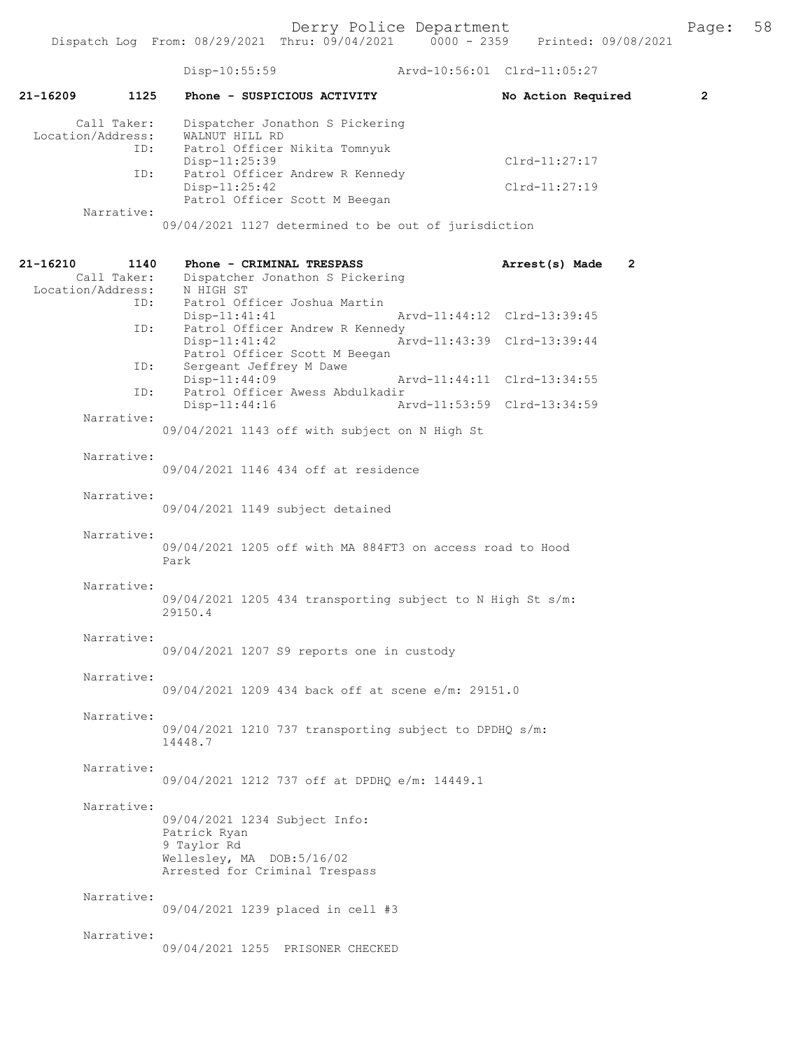|                               |                     | Disp-10:55:59                                                                                                               | Arvd-10:56:01 Clrd-11:05:27    |                |
|-------------------------------|---------------------|-----------------------------------------------------------------------------------------------------------------------------|--------------------------------|----------------|
| $21 - 16209$                  | 1125                | Phone - SUSPICIOUS ACTIVITY                                                                                                 | No Action Required             | $\overline{2}$ |
| Location/Address:             | Call Taker:<br>ID:  | Dispatcher Jonathon S Pickering<br>WALNUT HILL RD<br>Patrol Officer Nikita Tomnyuk                                          |                                |                |
|                               |                     | Disp-11:25:39                                                                                                               | $Clrd-11:27:17$                |                |
|                               | ID:                 | Patrol Officer Andrew R Kennedy<br>Disp-11:25:42<br>Patrol Officer Scott M Beegan                                           | $Clrd-11:27:19$                |                |
|                               | Narrative:          | 09/04/2021 1127 determined to be out of jurisdiction                                                                        |                                |                |
| 21-16210<br>Location/Address: | 1140<br>Call Taker: | Phone - CRIMINAL TRESPASS<br>Dispatcher Jonathon S Pickering<br>N HIGH ST                                                   | $\mathbf{2}$<br>Arrest(s) Made |                |
|                               | ID:<br>ID:          | Patrol Officer Joshua Martin<br>$Disp-11:41:41$<br>Patrol Officer Andrew R Kennedy                                          | Arvd-11:44:12 Clrd-13:39:45    |                |
|                               |                     | $Disp-11:41:42$<br>Patrol Officer Scott M Beegan                                                                            | Arvd-11:43:39 Clrd-13:39:44    |                |
|                               | ID:<br>ID:          | Sergeant Jeffrey M Dawe<br>Disp-11:44:09<br>Patrol Officer Awess Abdulkadir                                                 | Arvd-11:44:11 Clrd-13:34:55    |                |
|                               | Narrative:          | $Disp-11:44:16$                                                                                                             | Arvd-11:53:59 Clrd-13:34:59    |                |
|                               |                     | 09/04/2021 1143 off with subject on N High St                                                                               |                                |                |
|                               | Narrative:          | 09/04/2021 1146 434 off at residence                                                                                        |                                |                |
|                               | Narrative:          | 09/04/2021 1149 subject detained                                                                                            |                                |                |
|                               | Narrative:          | 09/04/2021 1205 off with MA 884FT3 on access road to Hood<br>Park                                                           |                                |                |
|                               | Narrative:          | 09/04/2021 1205 434 transporting subject to N High St s/m:<br>29150.4                                                       |                                |                |
|                               | Narrative:          | 09/04/2021 1207 S9 reports one in custody                                                                                   |                                |                |
|                               | Narrative:          | 09/04/2021 1209 434 back off at scene e/m: 29151.0                                                                          |                                |                |
|                               | Narrative:          | 09/04/2021 1210 737 transporting subject to DPDHQ s/m:<br>14448.7                                                           |                                |                |
|                               | Narrative:          | 09/04/2021 1212 737 off at DPDHO e/m: 14449.1                                                                               |                                |                |
|                               | Narrative:          | 09/04/2021 1234 Subject Info:<br>Patrick Ryan<br>9 Taylor Rd<br>Wellesley, MA DOB:5/16/02<br>Arrested for Criminal Trespass |                                |                |
|                               | Narrative:          | 09/04/2021 1239 placed in cell #3                                                                                           |                                |                |
|                               | Narrative:          | 09/04/2021 1255 PRISONER CHECKED                                                                                            |                                |                |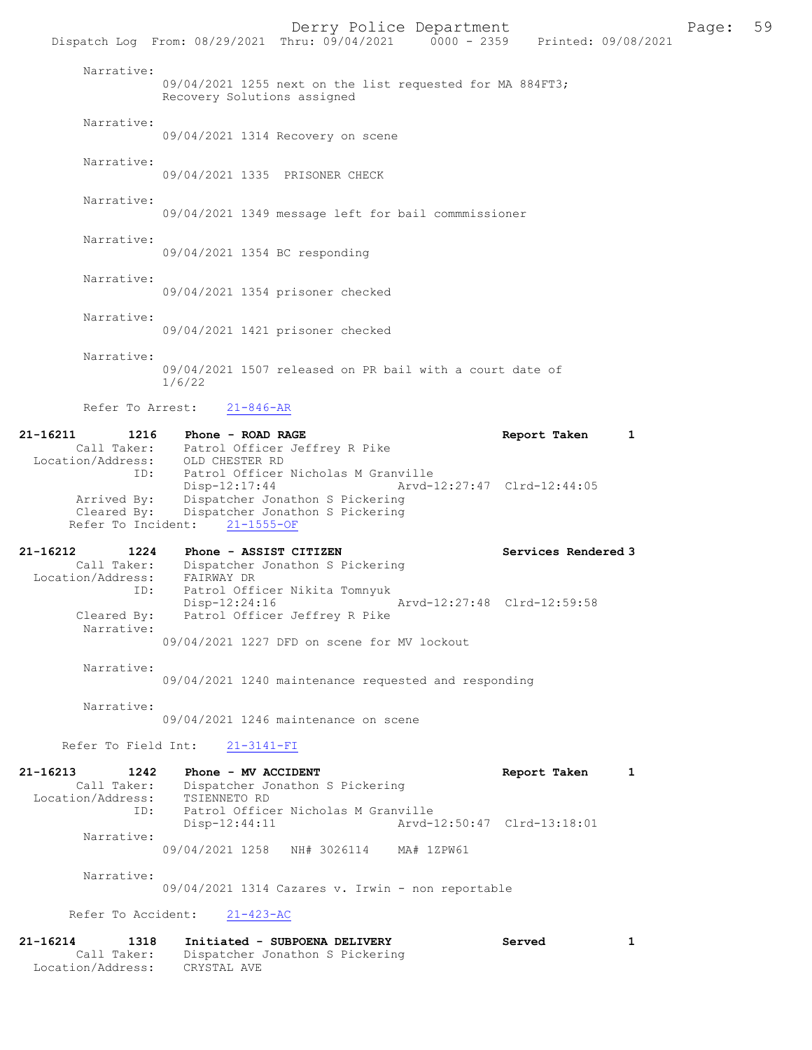Derry Police Department Fage: 59 Dispatch Log From: 08/29/2021 Thru: 09/04/2021 0000 - 2359 Printed: 09/08/2021 Narrative: 09/04/2021 1255 next on the list requested for MA 884FT3; Recovery Solutions assigned Narrative: 09/04/2021 1314 Recovery on scene Narrative: 09/04/2021 1335 PRISONER CHECK Narrative: 09/04/2021 1349 message left for bail commmissioner Narrative: 09/04/2021 1354 BC responding Narrative: 09/04/2021 1354 prisoner checked Narrative: 09/04/2021 1421 prisoner checked Narrative: 09/04/2021 1507 released on PR bail with a court date of 1/6/22 Refer To Arrest: 21-846-AR 21-16211 1216 Phone - ROAD RAGE Report Taken 1 Call Taker: Patrol Officer Jeffrey R Pike Location/Address: OLD CHESTER RD ID: Patrol Officer Nicholas M Granville<br>Disp-12:17:44 Arvd-1 Disp-12:17:44 Arvd-12:27:47 Clrd-12:44:05 Arrived By: Dispatcher Jonathon S Pickering Cleared By: Dispatcher Jonathon S Pickering Refer To Incident: 21-1555-OF 21-16212 1224 Phone - ASSIST CITIZEN Services Rendered 3 Call Taker: Dispatcher Jonathon S Pickering Location/Address: FAIRWAY DR ID: Patrol Officer Nikita Tomnyuk Disp-12:24:16 Arvd-12:27:48 Clrd-12:59:58<br>Cleared By: Patrol Officer Jeffrey R Pike Patrol Officer Jeffrey R Pike Narrative: 09/04/2021 1227 DFD on scene for MV lockout Narrative: 09/04/2021 1240 maintenance requested and responding Narrative: 09/04/2021 1246 maintenance on scene Refer To Field Int: 21-3141-FI 21-16213 1242 Phone - MV ACCIDENT Report Taken 1 Call Taker: Dispatcher Jonathon S Pickering<br>ion/Address: TSIENNETO RD Location/Address: ID: Patrol Officer Nicholas M Granville<br>Disp-12:44:11 Arvd- Disp-12:44:11 Arvd-12:50:47 Clrd-13:18:01 Narrative: 09/04/2021 1258 NH# 3026114 MA# 1ZPW61 Narrative: 09/04/2021 1314 Cazares v. Irwin - non reportable Refer To Accident: 21-423-AC 21-16214 1318 Initiated - SUBPOENA DELIVERY Served 1 Call Taker: Dispatcher Jonathon S Pickering<br>ion/Address: CRYSTAL AVE Location/Address: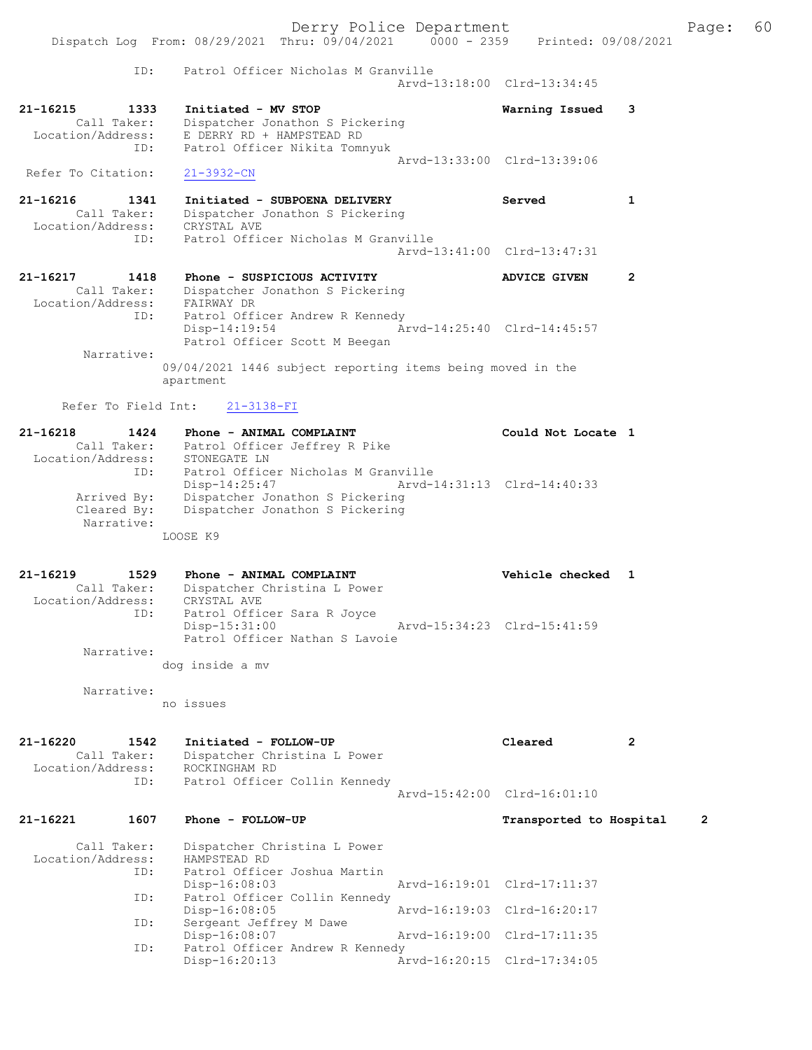|                                                             | Derry Police Department<br>Dispatch Log From: 08/29/2021 Thru: 09/04/2021 0000 - 2359 Printed: 09/08/2021                        |                             | 60<br>Page:    |
|-------------------------------------------------------------|----------------------------------------------------------------------------------------------------------------------------------|-----------------------------|----------------|
| ID:                                                         | Patrol Officer Nicholas M Granville                                                                                              | Arvd-13:18:00 Clrd-13:34:45 |                |
| 21-16215<br>1333<br>Call Taker:<br>Location/Address:<br>ID: | Initiated - MV STOP<br>Dispatcher Jonathon S Pickering<br>E DERRY RD + HAMPSTEAD RD<br>Patrol Officer Nikita Tomnyuk             | Warning Issued              | 3              |
| Refer To Citation:                                          | $21 - 3932 - CN$                                                                                                                 | Arvd-13:33:00 Clrd-13:39:06 |                |
| 21-16216<br>1341<br>Call Taker:<br>Location/Address:        | Initiated - SUBPOENA DELIVERY<br>Dispatcher Jonathon S Pickering<br>CRYSTAL AVE                                                  | Served                      | $\mathbf{1}$   |
| ID:                                                         | Patrol Officer Nicholas M Granville                                                                                              | Arvd-13:41:00 Clrd-13:47:31 |                |
| 21-16217<br>1418<br>Call Taker:                             | Phone - SUSPICIOUS ACTIVITY<br>Dispatcher Jonathon S Pickering                                                                   | <b>ADVICE GIVEN</b>         | $\mathbf{2}$   |
| Location/Address: FAIRWAY DR                                | Patrol Officer Andrew R Kennedy<br>ID:<br>Disp-14:19:54<br>Patrol Officer Scott M Beegan                                         | Arvd-14:25:40 Clrd-14:45:57 |                |
| Narrative:                                                  | 09/04/2021 1446 subject reporting items being moved in the                                                                       |                             |                |
|                                                             | apartment                                                                                                                        |                             |                |
| Refer To Field Int:                                         | $21 - 3138 - FI$                                                                                                                 |                             |                |
| 21-16218<br>1424                                            | Phone - ANIMAL COMPLAINT<br>Call Taker: Patrol Officer Jeffrey R Pike                                                            | Could Not Locate 1          |                |
| Arrived By:                                                 | Location/Address: STONEGATE LN<br>Patrol Officer Nicholas M Granville<br>ID:<br>Disp-14:25:47<br>Dispatcher Jonathon S Pickering | Arvd-14:31:13 Clrd-14:40:33 |                |
| Cleared By:<br>Narrative:                                   | Dispatcher Jonathon S Pickering<br>LOOSE K9                                                                                      |                             |                |
| 21-16219<br>1529                                            | Phone - ANIMAL COMPLAINT                                                                                                         | Vehicle checked 1           |                |
| Call Taker:<br>Location/Address:                            | Dispatcher Christina L Power<br>CRYSTAL AVE                                                                                      |                             |                |
| ID:                                                         | Patrol Officer Sara R Joyce<br>Disp-15:31:00<br>Patrol Officer Nathan S Lavoie                                                   | Arvd-15:34:23 Clrd-15:41:59 |                |
| Narrative:                                                  | dog inside a mv                                                                                                                  |                             |                |
| Narrative:                                                  |                                                                                                                                  |                             |                |
|                                                             | no issues                                                                                                                        |                             |                |
| 21-16220<br>1542<br>Call Taker:<br>Location/Address:        | Initiated - FOLLOW-UP<br>Dispatcher Christina L Power<br>ROCKINGHAM RD                                                           | Cleared                     | $\overline{2}$ |
| ID:                                                         | Patrol Officer Collin Kennedy                                                                                                    | Arvd-15:42:00 Clrd-16:01:10 |                |
| 1607<br>21-16221                                            | Phone - FOLLOW-UP                                                                                                                | Transported to Hospital     | $\overline{2}$ |
| Call Taker:<br>Location/Address:                            | Dispatcher Christina L Power<br>HAMPSTEAD RD                                                                                     |                             |                |
| ID:                                                         | Patrol Officer Joshua Martin<br>Disp-16:08:03                                                                                    | Arvd-16:19:01 Clrd-17:11:37 |                |
| ID:                                                         | Patrol Officer Collin Kennedy<br>Disp-16:08:05                                                                                   | Arvd-16:19:03 Clrd-16:20:17 |                |
| ID:                                                         | Sergeant Jeffrey M Dawe<br>Disp-16:08:07                                                                                         | Arvd-16:19:00 Clrd-17:11:35 |                |
| ID:                                                         | Patrol Officer Andrew R Kennedy<br>Disp-16:20:13                                                                                 | Arvd-16:20:15 Clrd-17:34:05 |                |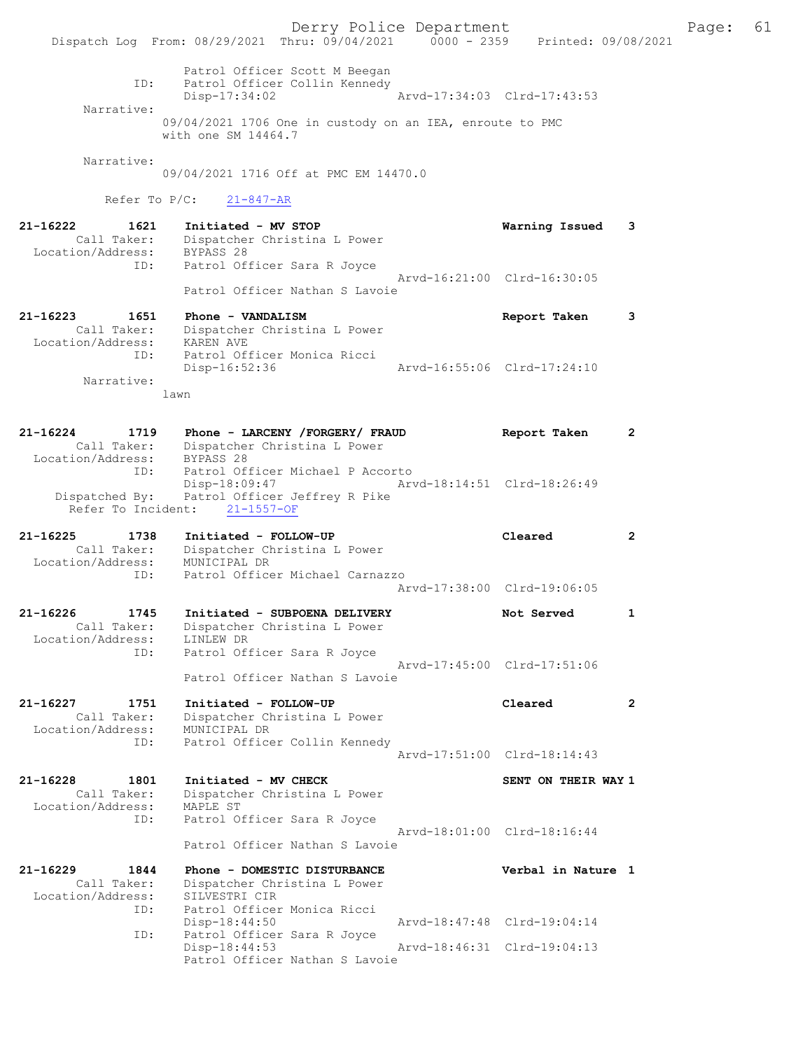Derry Police Department Fage: 61 Dispatch Log From: 08/29/2021 Thru: 09/04/2021 0000 - 2359 Printed: 09/08/2021 Patrol Officer Scott M Beegan ID: Patrol Officer Collin Kennedy Disp-17:34:02 Arvd-17:34:03 Clrd-17:43:53 Narrative: 09/04/2021 1706 One in custody on an IEA, enroute to PMC with one SM 14464.7 Narrative: 09/04/2021 1716 Off at PMC EM 14470.0 Refer To P/C: 21-847-AR 21-16222 1621 Initiated - MV STOP Warning Issued 3 Call Taker: Dispatcher Christina L Power Location/Address: BYPASS 28 ID: Patrol Officer Sara R Joyce Arvd-16:21:00 Clrd-16:30:05 Patrol Officer Nathan S Lavoie 21-16223 1651 Phone - VANDALISM Report Taken 3 Call Taker: Dispatcher Christina L Power Location/Address: KAREN AVE ID: Patrol Officer Monica Ricci Disp-16:52:36 Arvd-16:55:06 Clrd-17:24:10 Narrative: lawn 21-16224 1719 Phone - LARCENY /FORGERY/ FRAUD Report Taken 2 Call Taker: Dispatcher Christina L Power Location/Address: BYPASS 28 ID: Patrol Officer Michael P Accorto Disp-18:09:47 Arvd-18:14:51 Clrd-18:26:49 Dispatched By: Patrol Officer Jeffrey R Pike Refer To Incident: 21-1557-OF 21-16225 1738 Initiated - FOLLOW-UP Cleared 2 Call Taker: Dispatcher Christina L Power Location/Address: MUNICIPAL DR ID: Patrol Officer Michael Carnazzo Arvd-17:38:00 Clrd-19:06:05 21-16226 1745 Initiated - SUBPOENA DELIVERY Not Served 1 Call Taker: Dispatcher Christina L Power Location/Address: LINLEW DR ID: Patrol Officer Sara R Joyce Arvd-17:45:00 Clrd-17:51:06 Patrol Officer Nathan S Lavoie 21-16227 1751 Initiated - FOLLOW-UP Cleared 2 Call Taker: Dispatcher Christina L Power Location/Address: MUNICIPAL DR ID: Patrol Officer Collin Kennedy Arvd-17:51:00 Clrd-18:14:43 21-16228 1801 Initiated - MV CHECK SENT ON THEIR WAY 1 Call Taker: Dispatcher Christina L Power Location/Address: MAPLE ST ID: Patrol Officer Sara R Joyce Arvd-18:01:00 Clrd-18:16:44 Patrol Officer Nathan S Lavoie 21-16229 1844 Phone - DOMESTIC DISTURBANCE Verbal in Nature 1 Call Taker: Dispatcher Christina L Power Location/Address: SILVESTRI CIR ID: Patrol Officer Monica Ricci Disp-18:44:50 Arvd-18:47:48 Clrd-19:04:14 ID: Patrol Officer Sara R Joyce Disp-18:44:53 Arvd-18:46:31 Clrd-19:04:13 Patrol Officer Nathan S Lavoie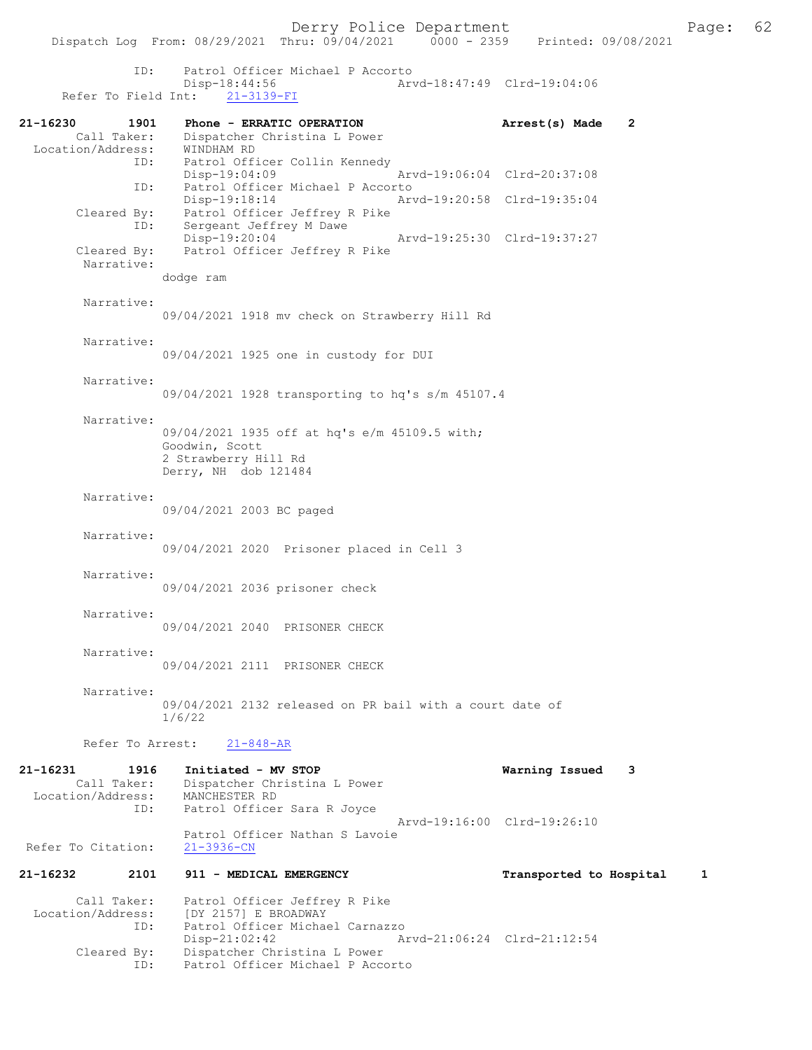Dispatch Log From:  $08/29/2021$  Thru:  $09/04/2021$  0000 - 2359 Printed: 09/08/2021 ID: Patrol Officer Michael P Accorto Disp-18:44:56 Arvd-18:47:49 Clrd-19:04:06 Refer To Field Int: 21-3139-FI 21-16230 1901 Phone - ERRATIC OPERATION Arrest(s) Made 2 Call Taker: Dispatcher Christina L Power Location/Address: WINDHAM RD ID: Patrol Officer Collin Kennedy Disp-19:04:09 Arvd-19:06:04 Clrd-20:37:08 ID: Patrol Officer Michael P Accorto<br>Disp-19:18:14 Art Disp-19:18:14 Arvd-19:20:58 Clrd-19:35:04 Cleared By: Patrol Officer Jeffrey R Pike ID: Sergeant Jeffrey M Dawe Disp-19:20:04 Arvd-19:25:30 Clrd-19:37:27 Cleared By: Patrol Officer Jeffrey R Pike Narrative: dodge ram Narrative: 09/04/2021 1918 mv check on Strawberry Hill Rd Narrative: 09/04/2021 1925 one in custody for DUI Narrative: 09/04/2021 1928 transporting to hq's s/m 45107.4 Narrative: 09/04/2021 1935 off at hq's e/m 45109.5 with; Goodwin, Scott 2 Strawberry Hill Rd Derry, NH dob 121484 Narrative: 09/04/2021 2003 BC paged Narrative: 09/04/2021 2020 Prisoner placed in Cell 3 Narrative: 09/04/2021 2036 prisoner check Narrative: 09/04/2021 2040 PRISONER CHECK Narrative: 09/04/2021 2111 PRISONER CHECK Narrative: 09/04/2021 2132 released on PR bail with a court date of 1/6/22 Refer To Arrest: 21-848-AR 21-16231 1916 Initiated - MV STOP Warning Issued 3 Call Taker: Dispatcher Christina L Power Location/Address: MANCHESTER RD ID: Patrol Officer Sara R Joyce Arvd-19:16:00 Clrd-19:26:10 Patrol Officer Nathan S Lavoie Refer To Citation: 21-3936-CN 21-16232 2101 911 - MEDICAL EMERGENCY Transported to Hospital 1 Call Taker: Patrol Officer Jeffrey R Pike Location/Address: [DY 2157] E BROADWAY ID: Patrol Officer Michael Carnazzo Disp-21:02:42 Arvd-21:06:24 Clrd-21:12:54 Cleared By: Dispatcher Christina L Power ID: Patrol Officer Michael P Accorto